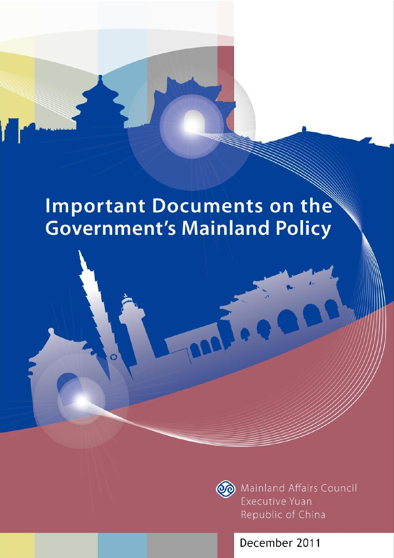# Important Documents on the **Government's Mainland Policy**



# December 2011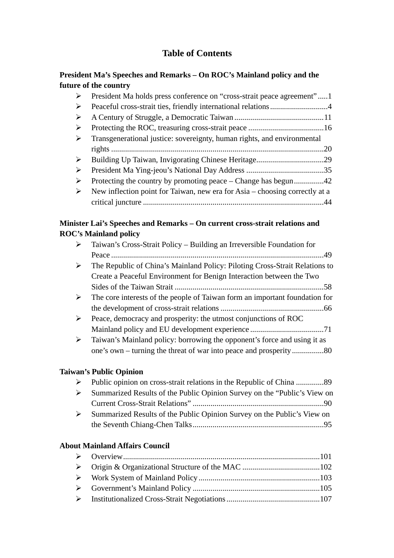# **Table of Contents**

#### **President Ma's Speeches and Remarks – On ROC's Mainland policy and the future of the country**

| $\blacktriangleright$ | President Ma holds press conference on "cross-strait peace agreement"1      |  |  |
|-----------------------|-----------------------------------------------------------------------------|--|--|
| ➤                     |                                                                             |  |  |
| ➤                     |                                                                             |  |  |
| ➤                     |                                                                             |  |  |
| ➤                     | Transgenerational justice: sovereignty, human rights, and environmental     |  |  |
|                       |                                                                             |  |  |
| ≻                     |                                                                             |  |  |
| $\blacktriangleright$ |                                                                             |  |  |
| ➤                     | Protecting the country by promoting peace – Change has begun42              |  |  |
| $\blacktriangleright$ | New inflection point for Taiwan, new era for Asia – choosing correctly at a |  |  |
|                       |                                                                             |  |  |

# **Minister Lai's Speeches and Remarks – On current cross-strait relations and ROC's Mainland policy**

| ➤ | Taiwan's Cross-Strait Policy - Building an Irreversible Foundation for      |
|---|-----------------------------------------------------------------------------|
|   |                                                                             |
| ➤ | The Republic of China's Mainland Policy: Piloting Cross-Strait Relations to |
|   | Create a Peaceful Environment for Benign Interaction between the Two        |
|   |                                                                             |
| ➤ | The core interests of the people of Taiwan form an important foundation for |
|   |                                                                             |
| ➤ | Peace, democracy and prosperity: the utmost conjunctions of ROC             |
|   |                                                                             |
| ➤ | Taiwan's Mainland policy: borrowing the opponent's force and using it as    |
|   |                                                                             |
|   |                                                                             |
|   | <b>Taiwan's Public Opinion</b>                                              |
|   |                                                                             |

| $\triangleright$ Summarized Results of the Public Opinion Survey on the "Public's View on |  |
|-------------------------------------------------------------------------------------------|--|
|                                                                                           |  |
| $\triangleright$ Summarized Results of the Public Opinion Survey on the Public's View on  |  |
|                                                                                           |  |

#### **About Mainland Affairs Council**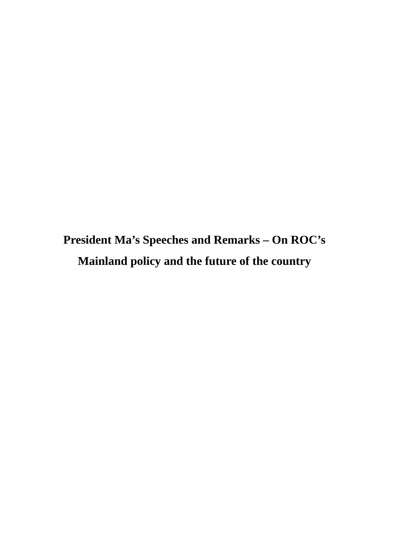**President Ma's Speeches and Remarks – On ROC's Mainland policy and the future of the country**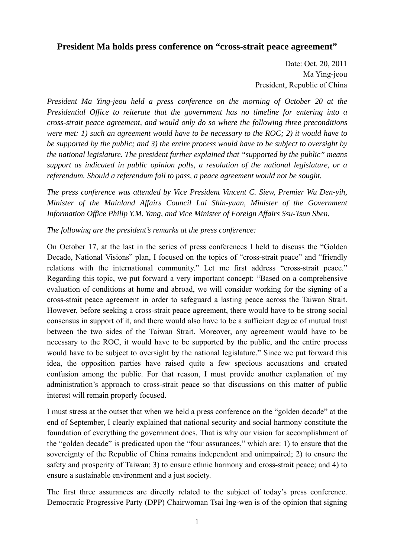#### **President Ma holds press conference on "cross-strait peace agreement"**

Date: Oct. 20, 2011 Ma Ying-jeou President, Republic of China

*President Ma Ying-jeou held a press conference on the morning of October 20 at the Presidential Office to reiterate that the government has no timeline for entering into a cross-strait peace agreement, and would only do so where the following three preconditions were met: 1) such an agreement would have to be necessary to the ROC; 2) it would have to be supported by the public; and 3) the entire process would have to be subject to oversight by the national legislature. The president further explained that "supported by the public" means support as indicated in public opinion polls, a resolution of the national legislature, or a referendum. Should a referendum fail to pass, a peace agreement would not be sought.* 

*The press conference was attended by Vice President Vincent C. Siew, Premier Wu Den-yih, Minister of the Mainland Affairs Council Lai Shin-yuan, Minister of the Government Information Office Philip Y.M. Yang, and Vice Minister of Foreign Affairs Ssu-Tsun Shen.* 

#### *The following are the president's remarks at the press conference:*

On October 17, at the last in the series of press conferences I held to discuss the "Golden Decade, National Visions" plan, I focused on the topics of "cross-strait peace" and "friendly relations with the international community." Let me first address "cross-strait peace." Regarding this topic, we put forward a very important concept: "Based on a comprehensive evaluation of conditions at home and abroad, we will consider working for the signing of a cross-strait peace agreement in order to safeguard a lasting peace across the Taiwan Strait. However, before seeking a cross-strait peace agreement, there would have to be strong social consensus in support of it, and there would also have to be a sufficient degree of mutual trust between the two sides of the Taiwan Strait. Moreover, any agreement would have to be necessary to the ROC, it would have to be supported by the public, and the entire process would have to be subject to oversight by the national legislature." Since we put forward this idea, the opposition parties have raised quite a few specious accusations and created confusion among the public. For that reason, I must provide another explanation of my administration's approach to cross-strait peace so that discussions on this matter of public interest will remain properly focused.

I must stress at the outset that when we held a press conference on the "golden decade" at the end of September, I clearly explained that national security and social harmony constitute the foundation of everything the government does. That is why our vision for accomplishment of the "golden decade" is predicated upon the "four assurances," which are: 1) to ensure that the sovereignty of the Republic of China remains independent and unimpaired; 2) to ensure the safety and prosperity of Taiwan; 3) to ensure ethnic harmony and cross-strait peace; and 4) to ensure a sustainable environment and a just society.

The first three assurances are directly related to the subject of today's press conference. Democratic Progressive Party (DPP) Chairwoman Tsai Ing-wen is of the opinion that signing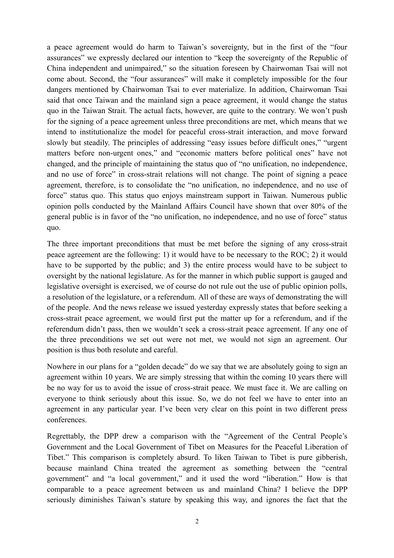a peace agreement would do harm to Taiwan's sovereignty, but in the first of the "four assurances" we expressly declared our intention to "keep the sovereignty of the Republic of China independent and unimpaired," so the situation foreseen by Chairwoman Tsai will not come about. Second, the "four assurances" will make it completely impossible for the four dangers mentioned by Chairwoman Tsai to ever materialize. In addition, Chairwoman Tsai said that once Taiwan and the mainland sign a peace agreement, it would change the status quo in the Taiwan Strait. The actual facts, however, are quite to the contrary. We won't push for the signing of a peace agreement unless three preconditions are met, which means that we intend to institutionalize the model for peaceful cross-strait interaction, and move forward slowly but steadily. The principles of addressing "easy issues before difficult ones," "urgent matters before non-urgent ones," and "economic matters before political ones" have not changed, and the principle of maintaining the status quo of "no unification, no independence, and no use of force" in cross-strait relations will not change. The point of signing a peace agreement, therefore, is to consolidate the "no unification, no independence, and no use of force" status quo. This status quo enjoys mainstream support in Taiwan. Numerous public opinion polls conducted by the Mainland Affairs Council have shown that over 80% of the general public is in favor of the "no unification, no independence, and no use of force" status quo.

The three important preconditions that must be met before the signing of any cross-strait peace agreement are the following: 1) it would have to be necessary to the ROC; 2) it would have to be supported by the public; and 3) the entire process would have to be subject to oversight by the national legislature. As for the manner in which public support is gauged and legislative oversight is exercised, we of course do not rule out the use of public opinion polls, a resolution of the legislature, or a referendum. All of these are ways of demonstrating the will of the people. And the news release we issued yesterday expressly states that before seeking a cross-strait peace agreement, we would first put the matter up for a referendum, and if the referendum didn't pass, then we wouldn't seek a cross-strait peace agreement. If any one of the three preconditions we set out were not met, we would not sign an agreement. Our position is thus both resolute and careful.

Nowhere in our plans for a "golden decade" do we say that we are absolutely going to sign an agreement within 10 years. We are simply stressing that within the coming 10 years there will be no way for us to avoid the issue of cross-strait peace. We must face it. We are calling on everyone to think seriously about this issue. So, we do not feel we have to enter into an agreement in any particular year. I've been very clear on this point in two different press conferences.

Regrettably, the DPP drew a comparison with the "Agreement of the Central People's Government and the Local Government of Tibet on Measures for the Peaceful Liberation of Tibet." This comparison is completely absurd. To liken Taiwan to Tibet is pure gibberish, because mainland China treated the agreement as something between the "central government" and "a local government," and it used the word "liberation." How is that comparable to a peace agreement between us and mainland China? I believe the DPP seriously diminishes Taiwan's stature by speaking this way, and ignores the fact that the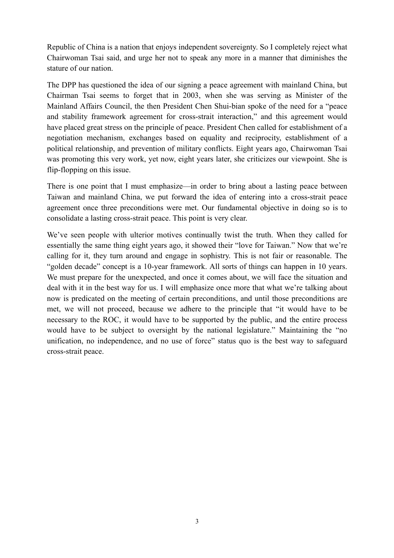Republic of China is a nation that enjoys independent sovereignty. So I completely reject what Chairwoman Tsai said, and urge her not to speak any more in a manner that diminishes the stature of our nation.

The DPP has questioned the idea of our signing a peace agreement with mainland China, but Chairman Tsai seems to forget that in 2003, when she was serving as Minister of the Mainland Affairs Council, the then President Chen Shui-bian spoke of the need for a "peace and stability framework agreement for cross-strait interaction," and this agreement would have placed great stress on the principle of peace. President Chen called for establishment of a negotiation mechanism, exchanges based on equality and reciprocity, establishment of a political relationship, and prevention of military conflicts. Eight years ago, Chairwoman Tsai was promoting this very work, yet now, eight years later, she criticizes our viewpoint. She is flip-flopping on this issue.

There is one point that I must emphasize—in order to bring about a lasting peace between Taiwan and mainland China, we put forward the idea of entering into a cross-strait peace agreement once three preconditions were met. Our fundamental objective in doing so is to consolidate a lasting cross-strait peace. This point is very clear.

We've seen people with ulterior motives continually twist the truth. When they called for essentially the same thing eight years ago, it showed their "love for Taiwan." Now that we're calling for it, they turn around and engage in sophistry. This is not fair or reasonable. The "golden decade" concept is a 10-year framework. All sorts of things can happen in 10 years. We must prepare for the unexpected, and once it comes about, we will face the situation and deal with it in the best way for us. I will emphasize once more that what we're talking about now is predicated on the meeting of certain preconditions, and until those preconditions are met, we will not proceed, because we adhere to the principle that "it would have to be necessary to the ROC, it would have to be supported by the public, and the entire process would have to be subject to oversight by the national legislature." Maintaining the "no unification, no independence, and no use of force" status quo is the best way to safeguard cross-strait peace.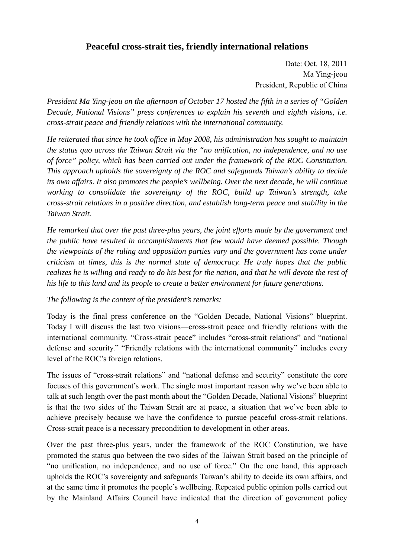#### **Peaceful cross-strait ties, friendly international relations**

Date: Oct. 18, 2011 Ma Ying-jeou President, Republic of China

*President Ma Ying-jeou on the afternoon of October 17 hosted the fifth in a series of "Golden Decade, National Visions" press conferences to explain his seventh and eighth visions, i.e. cross-strait peace and friendly relations with the international community.* 

*He reiterated that since he took office in May 2008, his administration has sought to maintain the status quo across the Taiwan Strait via the "no unification, no independence, and no use of force" policy, which has been carried out under the framework of the ROC Constitution. This approach upholds the sovereignty of the ROC and safeguards Taiwan's ability to decide its own affairs. It also promotes the people's wellbeing. Over the next decade, he will continue working to consolidate the sovereignty of the ROC, build up Taiwan's strength, take cross-strait relations in a positive direction, and establish long-term peace and stability in the Taiwan Strait.* 

*He remarked that over the past three-plus years, the joint efforts made by the government and the public have resulted in accomplishments that few would have deemed possible. Though the viewpoints of the ruling and opposition parties vary and the government has come under criticism at times, this is the normal state of democracy. He truly hopes that the public realizes he is willing and ready to do his best for the nation, and that he will devote the rest of his life to this land and its people to create a better environment for future generations.* 

#### *The following is the content of the president's remarks:*

Today is the final press conference on the "Golden Decade, National Visions" blueprint. Today I will discuss the last two visions—cross-strait peace and friendly relations with the international community. "Cross-strait peace" includes "cross-strait relations" and "national defense and security." "Friendly relations with the international community" includes every level of the ROC's foreign relations.

The issues of "cross-strait relations" and "national defense and security" constitute the core focuses of this government's work. The single most important reason why we've been able to talk at such length over the past month about the "Golden Decade, National Visions" blueprint is that the two sides of the Taiwan Strait are at peace, a situation that we've been able to achieve precisely because we have the confidence to pursue peaceful cross-strait relations. Cross-strait peace is a necessary precondition to development in other areas.

Over the past three-plus years, under the framework of the ROC Constitution, we have promoted the status quo between the two sides of the Taiwan Strait based on the principle of "no unification, no independence, and no use of force." On the one hand, this approach upholds the ROC's sovereignty and safeguards Taiwan's ability to decide its own affairs, and at the same time it promotes the people's wellbeing. Repeated public opinion polls carried out by the Mainland Affairs Council have indicated that the direction of government policy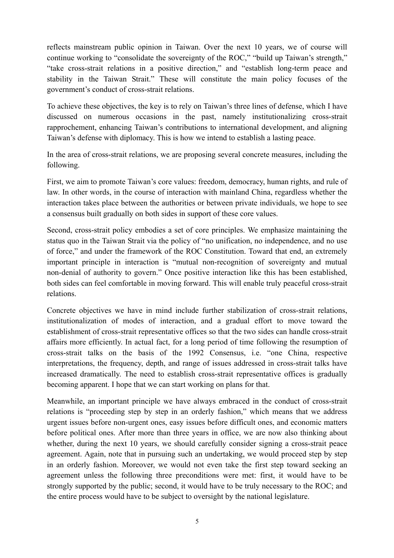reflects mainstream public opinion in Taiwan. Over the next 10 years, we of course will continue working to "consolidate the sovereignty of the ROC," "build up Taiwan's strength," "take cross-strait relations in a positive direction," and "establish long-term peace and stability in the Taiwan Strait." These will constitute the main policy focuses of the government's conduct of cross-strait relations.

To achieve these objectives, the key is to rely on Taiwan's three lines of defense, which I have discussed on numerous occasions in the past, namely institutionalizing cross-strait rapprochement, enhancing Taiwan's contributions to international development, and aligning Taiwan's defense with diplomacy. This is how we intend to establish a lasting peace.

In the area of cross-strait relations, we are proposing several concrete measures, including the following.

First, we aim to promote Taiwan's core values: freedom, democracy, human rights, and rule of law. In other words, in the course of interaction with mainland China, regardless whether the interaction takes place between the authorities or between private individuals, we hope to see a consensus built gradually on both sides in support of these core values.

Second, cross-strait policy embodies a set of core principles. We emphasize maintaining the status quo in the Taiwan Strait via the policy of "no unification, no independence, and no use of force," and under the framework of the ROC Constitution. Toward that end, an extremely important principle in interaction is "mutual non-recognition of sovereignty and mutual non-denial of authority to govern." Once positive interaction like this has been established, both sides can feel comfortable in moving forward. This will enable truly peaceful cross-strait relations.

Concrete objectives we have in mind include further stabilization of cross-strait relations, institutionalization of modes of interaction, and a gradual effort to move toward the establishment of cross-strait representative offices so that the two sides can handle cross-strait affairs more efficiently. In actual fact, for a long period of time following the resumption of cross-strait talks on the basis of the 1992 Consensus, i.e. "one China, respective interpretations, the frequency, depth, and range of issues addressed in cross-strait talks have increased dramatically. The need to establish cross-strait representative offices is gradually becoming apparent. I hope that we can start working on plans for that.

Meanwhile, an important principle we have always embraced in the conduct of cross-strait relations is "proceeding step by step in an orderly fashion," which means that we address urgent issues before non-urgent ones, easy issues before difficult ones, and economic matters before political ones. After more than three years in office, we are now also thinking about whether, during the next 10 years, we should carefully consider signing a cross-strait peace agreement. Again, note that in pursuing such an undertaking, we would proceed step by step in an orderly fashion. Moreover, we would not even take the first step toward seeking an agreement unless the following three preconditions were met: first, it would have to be strongly supported by the public; second, it would have to be truly necessary to the ROC; and the entire process would have to be subject to oversight by the national legislature.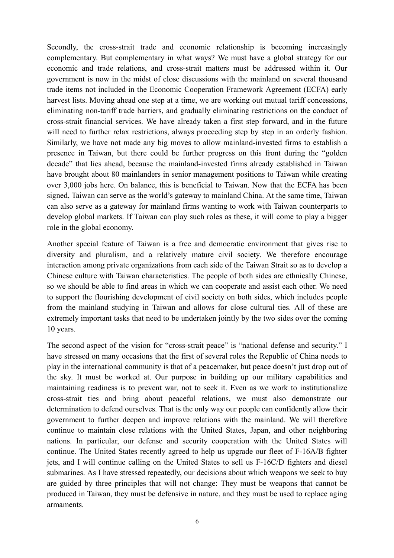Secondly, the cross-strait trade and economic relationship is becoming increasingly complementary. But complementary in what ways? We must have a global strategy for our economic and trade relations, and cross-strait matters must be addressed within it. Our government is now in the midst of close discussions with the mainland on several thousand trade items not included in the Economic Cooperation Framework Agreement (ECFA) early harvest lists. Moving ahead one step at a time, we are working out mutual tariff concessions, eliminating non-tariff trade barriers, and gradually eliminating restrictions on the conduct of cross-strait financial services. We have already taken a first step forward, and in the future will need to further relax restrictions, always proceeding step by step in an orderly fashion. Similarly, we have not made any big moves to allow mainland-invested firms to establish a presence in Taiwan, but there could be further progress on this front during the "golden decade" that lies ahead, because the mainland-invested firms already established in Taiwan have brought about 80 mainlanders in senior management positions to Taiwan while creating over 3,000 jobs here. On balance, this is beneficial to Taiwan. Now that the ECFA has been signed, Taiwan can serve as the world's gateway to mainland China. At the same time, Taiwan can also serve as a gateway for mainland firms wanting to work with Taiwan counterparts to develop global markets. If Taiwan can play such roles as these, it will come to play a bigger role in the global economy.

Another special feature of Taiwan is a free and democratic environment that gives rise to diversity and pluralism, and a relatively mature civil society. We therefore encourage interaction among private organizations from each side of the Taiwan Strait so as to develop a Chinese culture with Taiwan characteristics. The people of both sides are ethnically Chinese, so we should be able to find areas in which we can cooperate and assist each other. We need to support the flourishing development of civil society on both sides, which includes people from the mainland studying in Taiwan and allows for close cultural ties. All of these are extremely important tasks that need to be undertaken jointly by the two sides over the coming 10 years.

The second aspect of the vision for "cross-strait peace" is "national defense and security." I have stressed on many occasions that the first of several roles the Republic of China needs to play in the international community is that of a peacemaker, but peace doesn't just drop out of the sky. It must be worked at. Our purpose in building up our military capabilities and maintaining readiness is to prevent war, not to seek it. Even as we work to institutionalize cross-strait ties and bring about peaceful relations, we must also demonstrate our determination to defend ourselves. That is the only way our people can confidently allow their government to further deepen and improve relations with the mainland. We will therefore continue to maintain close relations with the United States, Japan, and other neighboring nations. In particular, our defense and security cooperation with the United States will continue. The United States recently agreed to help us upgrade our fleet of F-16A/B fighter jets, and I will continue calling on the United States to sell us F-16C/D fighters and diesel submarines. As I have stressed repeatedly, our decisions about which weapons we seek to buy are guided by three principles that will not change: They must be weapons that cannot be produced in Taiwan, they must be defensive in nature, and they must be used to replace aging armaments.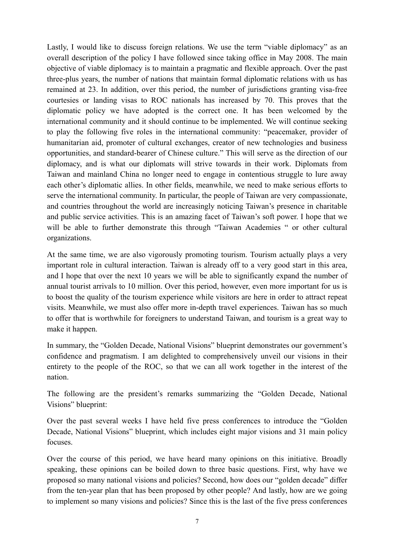Lastly, I would like to discuss foreign relations. We use the term "viable diplomacy" as an overall description of the policy I have followed since taking office in May 2008. The main objective of viable diplomacy is to maintain a pragmatic and flexible approach. Over the past three-plus years, the number of nations that maintain formal diplomatic relations with us has remained at 23. In addition, over this period, the number of jurisdictions granting visa-free courtesies or landing visas to ROC nationals has increased by 70. This proves that the diplomatic policy we have adopted is the correct one. It has been welcomed by the international community and it should continue to be implemented. We will continue seeking to play the following five roles in the international community: "peacemaker, provider of humanitarian aid, promoter of cultural exchanges, creator of new technologies and business opportunities, and standard-bearer of Chinese culture." This will serve as the direction of our diplomacy, and is what our diplomats will strive towards in their work. Diplomats from Taiwan and mainland China no longer need to engage in contentious struggle to lure away each other's diplomatic allies. In other fields, meanwhile, we need to make serious efforts to serve the international community. In particular, the people of Taiwan are very compassionate, and countries throughout the world are increasingly noticing Taiwan's presence in charitable and public service activities. This is an amazing facet of Taiwan's soft power. I hope that we will be able to further demonstrate this through "Taiwan Academies " or other cultural organizations.

At the same time, we are also vigorously promoting tourism. Tourism actually plays a very important role in cultural interaction. Taiwan is already off to a very good start in this area, and I hope that over the next 10 years we will be able to significantly expand the number of annual tourist arrivals to 10 million. Over this period, however, even more important for us is to boost the quality of the tourism experience while visitors are here in order to attract repeat visits. Meanwhile, we must also offer more in-depth travel experiences. Taiwan has so much to offer that is worthwhile for foreigners to understand Taiwan, and tourism is a great way to make it happen.

In summary, the "Golden Decade, National Visions" blueprint demonstrates our government's confidence and pragmatism. I am delighted to comprehensively unveil our visions in their entirety to the people of the ROC, so that we can all work together in the interest of the nation.

The following are the president's remarks summarizing the "Golden Decade, National Visions" blueprint:

Over the past several weeks I have held five press conferences to introduce the "Golden Decade, National Visions" blueprint, which includes eight major visions and 31 main policy focuses.

Over the course of this period, we have heard many opinions on this initiative. Broadly speaking, these opinions can be boiled down to three basic questions. First, why have we proposed so many national visions and policies? Second, how does our "golden decade" differ from the ten-year plan that has been proposed by other people? And lastly, how are we going to implement so many visions and policies? Since this is the last of the five press conferences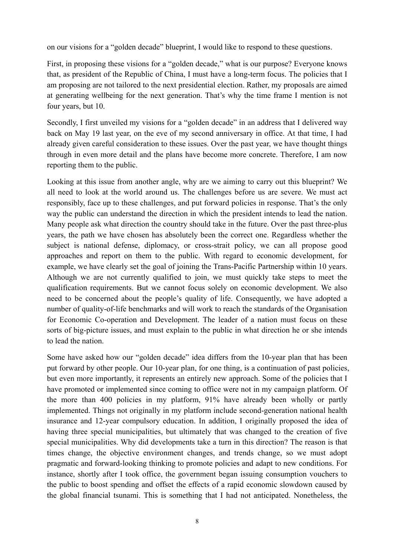on our visions for a "golden decade" blueprint, I would like to respond to these questions.

First, in proposing these visions for a "golden decade," what is our purpose? Everyone knows that, as president of the Republic of China, I must have a long-term focus. The policies that I am proposing are not tailored to the next presidential election. Rather, my proposals are aimed at generating wellbeing for the next generation. That's why the time frame I mention is not four years, but 10.

Secondly, I first unveiled my visions for a "golden decade" in an address that I delivered way back on May 19 last year, on the eve of my second anniversary in office. At that time, I had already given careful consideration to these issues. Over the past year, we have thought things through in even more detail and the plans have become more concrete. Therefore, I am now reporting them to the public.

Looking at this issue from another angle, why are we aiming to carry out this blueprint? We all need to look at the world around us. The challenges before us are severe. We must act responsibly, face up to these challenges, and put forward policies in response. That's the only way the public can understand the direction in which the president intends to lead the nation. Many people ask what direction the country should take in the future. Over the past three-plus years, the path we have chosen has absolutely been the correct one. Regardless whether the subject is national defense, diplomacy, or cross-strait policy, we can all propose good approaches and report on them to the public. With regard to economic development, for example, we have clearly set the goal of joining the Trans-Pacific Partnership within 10 years. Although we are not currently qualified to join, we must quickly take steps to meet the qualification requirements. But we cannot focus solely on economic development. We also need to be concerned about the people's quality of life. Consequently, we have adopted a number of quality-of-life benchmarks and will work to reach the standards of the Organisation for Economic Co-operation and Development. The leader of a nation must focus on these sorts of big-picture issues, and must explain to the public in what direction he or she intends to lead the nation.

Some have asked how our "golden decade" idea differs from the 10-year plan that has been put forward by other people. Our 10-year plan, for one thing, is a continuation of past policies, but even more importantly, it represents an entirely new approach. Some of the policies that I have promoted or implemented since coming to office were not in my campaign platform. Of the more than 400 policies in my platform, 91% have already been wholly or partly implemented. Things not originally in my platform include second-generation national health insurance and 12-year compulsory education. In addition, I originally proposed the idea of having three special municipalities, but ultimately that was changed to the creation of five special municipalities. Why did developments take a turn in this direction? The reason is that times change, the objective environment changes, and trends change, so we must adopt pragmatic and forward-looking thinking to promote policies and adapt to new conditions. For instance, shortly after I took office, the government began issuing consumption vouchers to the public to boost spending and offset the effects of a rapid economic slowdown caused by the global financial tsunami. This is something that I had not anticipated. Nonetheless, the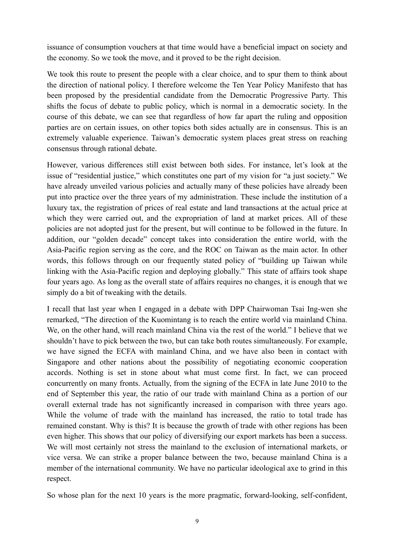issuance of consumption vouchers at that time would have a beneficial impact on society and the economy. So we took the move, and it proved to be the right decision.

We took this route to present the people with a clear choice, and to spur them to think about the direction of national policy. I therefore welcome the Ten Year Policy Manifesto that has been proposed by the presidential candidate from the Democratic Progressive Party. This shifts the focus of debate to public policy, which is normal in a democratic society. In the course of this debate, we can see that regardless of how far apart the ruling and opposition parties are on certain issues, on other topics both sides actually are in consensus. This is an extremely valuable experience. Taiwan's democratic system places great stress on reaching consensus through rational debate.

However, various differences still exist between both sides. For instance, let's look at the issue of "residential justice," which constitutes one part of my vision for "a just society." We have already unveiled various policies and actually many of these policies have already been put into practice over the three years of my administration. These include the institution of a luxury tax, the registration of prices of real estate and land transactions at the actual price at which they were carried out, and the expropriation of land at market prices. All of these policies are not adopted just for the present, but will continue to be followed in the future. In addition, our "golden decade" concept takes into consideration the entire world, with the Asia-Pacific region serving as the core, and the ROC on Taiwan as the main actor. In other words, this follows through on our frequently stated policy of "building up Taiwan while linking with the Asia-Pacific region and deploying globally." This state of affairs took shape four years ago. As long as the overall state of affairs requires no changes, it is enough that we simply do a bit of tweaking with the details.

I recall that last year when I engaged in a debate with DPP Chairwoman Tsai Ing-wen she remarked, "The direction of the Kuomintang is to reach the entire world via mainland China. We, on the other hand, will reach mainland China via the rest of the world." I believe that we shouldn't have to pick between the two, but can take both routes simultaneously. For example, we have signed the ECFA with mainland China, and we have also been in contact with Singapore and other nations about the possibility of negotiating economic cooperation accords. Nothing is set in stone about what must come first. In fact, we can proceed concurrently on many fronts. Actually, from the signing of the ECFA in late June 2010 to the end of September this year, the ratio of our trade with mainland China as a portion of our overall external trade has not significantly increased in comparison with three years ago. While the volume of trade with the mainland has increased, the ratio to total trade has remained constant. Why is this? It is because the growth of trade with other regions has been even higher. This shows that our policy of diversifying our export markets has been a success. We will most certainly not stress the mainland to the exclusion of international markets, or vice versa. We can strike a proper balance between the two, because mainland China is a member of the international community. We have no particular ideological axe to grind in this respect.

So whose plan for the next 10 years is the more pragmatic, forward-looking, self-confident,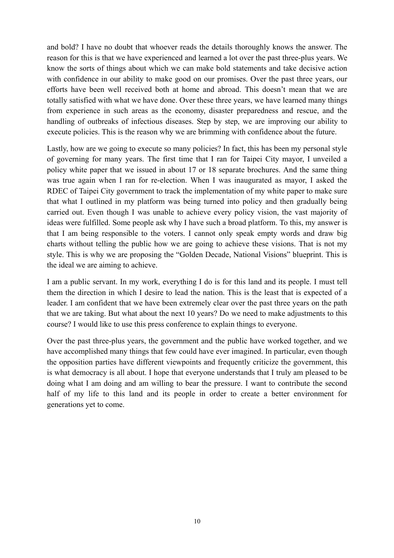and bold? I have no doubt that whoever reads the details thoroughly knows the answer. The reason for this is that we have experienced and learned a lot over the past three-plus years. We know the sorts of things about which we can make bold statements and take decisive action with confidence in our ability to make good on our promises. Over the past three years, our efforts have been well received both at home and abroad. This doesn't mean that we are totally satisfied with what we have done. Over these three years, we have learned many things from experience in such areas as the economy, disaster preparedness and rescue, and the handling of outbreaks of infectious diseases. Step by step, we are improving our ability to execute policies. This is the reason why we are brimming with confidence about the future.

Lastly, how are we going to execute so many policies? In fact, this has been my personal style of governing for many years. The first time that I ran for Taipei City mayor, I unveiled a policy white paper that we issued in about 17 or 18 separate brochures. And the same thing was true again when I ran for re-election. When I was inaugurated as mayor, I asked the RDEC of Taipei City government to track the implementation of my white paper to make sure that what I outlined in my platform was being turned into policy and then gradually being carried out. Even though I was unable to achieve every policy vision, the vast majority of ideas were fulfilled. Some people ask why I have such a broad platform. To this, my answer is that I am being responsible to the voters. I cannot only speak empty words and draw big charts without telling the public how we are going to achieve these visions. That is not my style. This is why we are proposing the "Golden Decade, National Visions" blueprint. This is the ideal we are aiming to achieve.

I am a public servant. In my work, everything I do is for this land and its people. I must tell them the direction in which I desire to lead the nation. This is the least that is expected of a leader. I am confident that we have been extremely clear over the past three years on the path that we are taking. But what about the next 10 years? Do we need to make adjustments to this course? I would like to use this press conference to explain things to everyone.

Over the past three-plus years, the government and the public have worked together, and we have accomplished many things that few could have ever imagined. In particular, even though the opposition parties have different viewpoints and frequently criticize the government, this is what democracy is all about. I hope that everyone understands that I truly am pleased to be doing what I am doing and am willing to bear the pressure. I want to contribute the second half of my life to this land and its people in order to create a better environment for generations yet to come.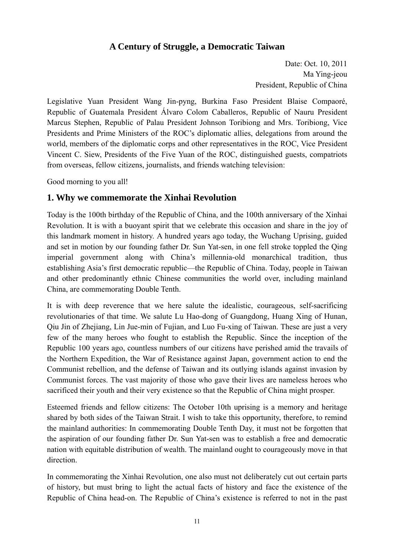# **A Century of Struggle, a Democratic Taiwan**

Date: Oct. 10, 2011 Ma Ying-jeou President, Republic of China

Legislative Yuan President Wang Jin-pyng, Burkina Faso President Blaise Compaoré, Republic of Guatemala President Álvaro Colom Caballeros, Republic of Nauru President Marcus Stephen, Republic of Palau President Johnson Toribiong and Mrs. Toribiong, Vice Presidents and Prime Ministers of the ROC's diplomatic allies, delegations from around the world, members of the diplomatic corps and other representatives in the ROC, Vice President Vincent C. Siew, Presidents of the Five Yuan of the ROC, distinguished guests, compatriots from overseas, fellow citizens, journalists, and friends watching television:

Good morning to you all!

#### **1. Why we commemorate the Xinhai Revolution**

Today is the 100th birthday of the Republic of China, and the 100th anniversary of the Xinhai Revolution. It is with a buoyant spirit that we celebrate this occasion and share in the joy of this landmark moment in history. A hundred years ago today, the Wuchang Uprising, guided and set in motion by our founding father Dr. Sun Yat-sen, in one fell stroke toppled the Qing imperial government along with China's millennia-old monarchical tradition, thus establishing Asia's first democratic republic—the Republic of China. Today, people in Taiwan and other predominantly ethnic Chinese communities the world over, including mainland China, are commemorating Double Tenth.

It is with deep reverence that we here salute the idealistic, courageous, self-sacrificing revolutionaries of that time. We salute Lu Hao-dong of Guangdong, Huang Xing of Hunan, Qiu Jin of Zhejiang, Lin Jue-min of Fujian, and Luo Fu-xing of Taiwan. These are just a very few of the many heroes who fought to establish the Republic. Since the inception of the Republic 100 years ago, countless numbers of our citizens have perished amid the travails of the Northern Expedition, the War of Resistance against Japan, government action to end the Communist rebellion, and the defense of Taiwan and its outlying islands against invasion by Communist forces. The vast majority of those who gave their lives are nameless heroes who sacrificed their youth and their very existence so that the Republic of China might prosper.

Esteemed friends and fellow citizens: The October 10th uprising is a memory and heritage shared by both sides of the Taiwan Strait. I wish to take this opportunity, therefore, to remind the mainland authorities: In commemorating Double Tenth Day, it must not be forgotten that the aspiration of our founding father Dr. Sun Yat-sen was to establish a free and democratic nation with equitable distribution of wealth. The mainland ought to courageously move in that direction.

In commemorating the Xinhai Revolution, one also must not deliberately cut out certain parts of history, but must bring to light the actual facts of history and face the existence of the Republic of China head-on. The Republic of China's existence is referred to not in the past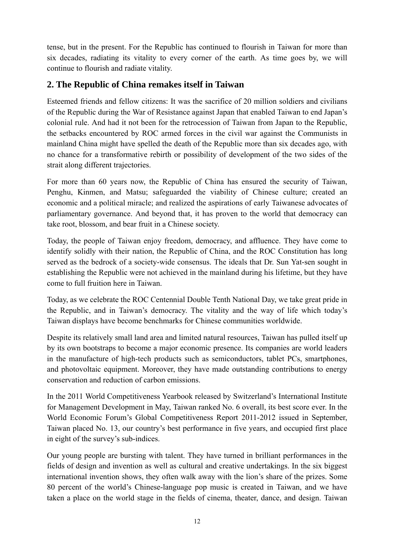tense, but in the present. For the Republic has continued to flourish in Taiwan for more than six decades, radiating its vitality to every corner of the earth. As time goes by, we will continue to flourish and radiate vitality.

# **2. The Republic of China remakes itself in Taiwan**

Esteemed friends and fellow citizens: It was the sacrifice of 20 million soldiers and civilians of the Republic during the War of Resistance against Japan that enabled Taiwan to end Japan's colonial rule. And had it not been for the retrocession of Taiwan from Japan to the Republic, the setbacks encountered by ROC armed forces in the civil war against the Communists in mainland China might have spelled the death of the Republic more than six decades ago, with no chance for a transformative rebirth or possibility of development of the two sides of the strait along different trajectories.

For more than 60 years now, the Republic of China has ensured the security of Taiwan, Penghu, Kinmen, and Matsu; safeguarded the viability of Chinese culture; created an economic and a political miracle; and realized the aspirations of early Taiwanese advocates of parliamentary governance. And beyond that, it has proven to the world that democracy can take root, blossom, and bear fruit in a Chinese society.

Today, the people of Taiwan enjoy freedom, democracy, and affluence. They have come to identify solidly with their nation, the Republic of China, and the ROC Constitution has long served as the bedrock of a society-wide consensus. The ideals that Dr. Sun Yat-sen sought in establishing the Republic were not achieved in the mainland during his lifetime, but they have come to full fruition here in Taiwan.

Today, as we celebrate the ROC Centennial Double Tenth National Day, we take great pride in the Republic, and in Taiwan's democracy. The vitality and the way of life which today's Taiwan displays have become benchmarks for Chinese communities worldwide.

Despite its relatively small land area and limited natural resources, Taiwan has pulled itself up by its own bootstraps to become a major economic presence. Its companies are world leaders in the manufacture of high-tech products such as semiconductors, tablet PCs, smartphones, and photovoltaic equipment. Moreover, they have made outstanding contributions to energy conservation and reduction of carbon emissions.

In the 2011 World Competitiveness Yearbook released by Switzerland's International Institute for Management Development in May, Taiwan ranked No. 6 overall, its best score ever. In the World Economic Forum's Global Competitiveness Report 2011-2012 issued in September, Taiwan placed No. 13, our country's best performance in five years, and occupied first place in eight of the survey's sub-indices.

Our young people are bursting with talent. They have turned in brilliant performances in the fields of design and invention as well as cultural and creative undertakings. In the six biggest international invention shows, they often walk away with the lion's share of the prizes. Some 80 percent of the world's Chinese-language pop music is created in Taiwan, and we have taken a place on the world stage in the fields of cinema, theater, dance, and design. Taiwan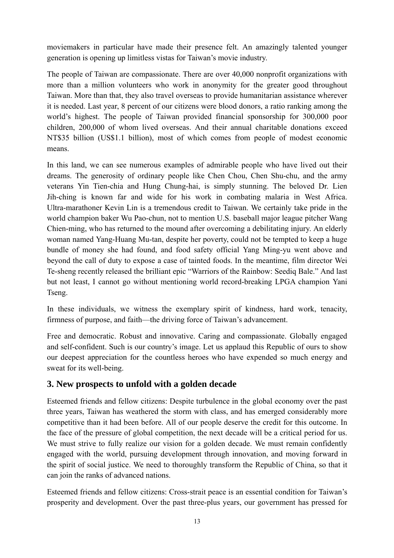moviemakers in particular have made their presence felt. An amazingly talented younger generation is opening up limitless vistas for Taiwan's movie industry.

The people of Taiwan are compassionate. There are over 40,000 nonprofit organizations with more than a million volunteers who work in anonymity for the greater good throughout Taiwan. More than that, they also travel overseas to provide humanitarian assistance wherever it is needed. Last year, 8 percent of our citizens were blood donors, a ratio ranking among the world's highest. The people of Taiwan provided financial sponsorship for 300,000 poor children, 200,000 of whom lived overseas. And their annual charitable donations exceed NT\$35 billion (US\$1.1 billion), most of which comes from people of modest economic means.

In this land, we can see numerous examples of admirable people who have lived out their dreams. The generosity of ordinary people like Chen Chou, Chen Shu-chu, and the army veterans Yin Tien-chia and Hung Chung-hai, is simply stunning. The beloved Dr. Lien Jih-ching is known far and wide for his work in combating malaria in West Africa. Ultra-marathoner Kevin Lin is a tremendous credit to Taiwan. We certainly take pride in the world champion baker Wu Pao-chun, not to mention U.S. baseball major league pitcher Wang Chien-ming, who has returned to the mound after overcoming a debilitating injury. An elderly woman named Yang-Huang Mu-tan, despite her poverty, could not be tempted to keep a huge bundle of money she had found, and food safety official Yang Ming-yu went above and beyond the call of duty to expose a case of tainted foods. In the meantime, film director Wei Te-sheng recently released the brilliant epic "Warriors of the Rainbow: Seediq Bale." And last but not least, I cannot go without mentioning world record-breaking LPGA champion Yani Tseng.

In these individuals, we witness the exemplary spirit of kindness, hard work, tenacity, firmness of purpose, and faith—the driving force of Taiwan's advancement.

Free and democratic. Robust and innovative. Caring and compassionate. Globally engaged and self-confident. Such is our country's image. Let us applaud this Republic of ours to show our deepest appreciation for the countless heroes who have expended so much energy and sweat for its well-being.

# **3. New prospects to unfold with a golden decade**

Esteemed friends and fellow citizens: Despite turbulence in the global economy over the past three years, Taiwan has weathered the storm with class, and has emerged considerably more competitive than it had been before. All of our people deserve the credit for this outcome. In the face of the pressure of global competition, the next decade will be a critical period for us. We must strive to fully realize our vision for a golden decade. We must remain confidently engaged with the world, pursuing development through innovation, and moving forward in the spirit of social justice. We need to thoroughly transform the Republic of China, so that it can join the ranks of advanced nations.

Esteemed friends and fellow citizens: Cross-strait peace is an essential condition for Taiwan's prosperity and development. Over the past three-plus years, our government has pressed for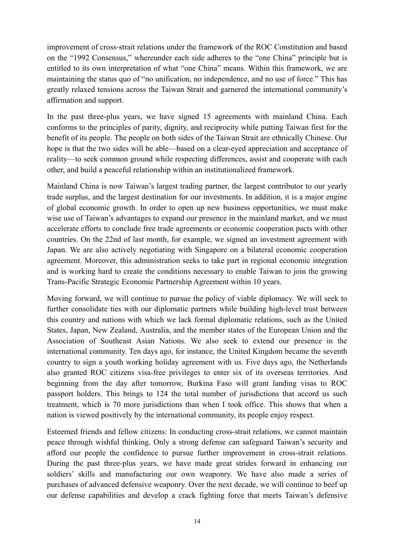improvement of cross-strait relations under the framework of the ROC Constitution and based on the "1992 Consensus," whereunder each side adheres to the "one China" principle but is entitled to its own interpretation of what "one China" means. Within this framework, we are maintaining the status quo of "no unification, no independence, and no use of force." This has greatly relaxed tensions across the Taiwan Strait and garnered the international community's affirmation and support.

In the past three-plus years, we have signed 15 agreements with mainland China. Each conforms to the principles of parity, dignity, and reciprocity while putting Taiwan first for the benefit of its people. The people on both sides of the Taiwan Strait are ethnically Chinese. Our hope is that the two sides will be able—based on a clear-eyed appreciation and acceptance of reality—to seek common ground while respecting differences, assist and cooperate with each other, and build a peaceful relationship within an institutionalized framework.

Mainland China is now Taiwan's largest trading partner, the largest contributor to our yearly trade surplus, and the largest destination for our investments. In addition, it is a major engine of global economic growth. In order to open up new business opportunities, we must make wise use of Taiwan's advantages to expand our presence in the mainland market, and we must accelerate efforts to conclude free trade agreements or economic cooperation pacts with other countries. On the 22nd of last month, for example, we signed an investment agreement with Japan. We are also actively negotiating with Singapore on a bilateral economic cooperation agreement. Moreover, this administration seeks to take part in regional economic integration and is working hard to create the conditions necessary to enable Taiwan to join the growing Trans-Pacific Strategic Economic Partnership Agreement within 10 years.

Moving forward, we will continue to pursue the policy of viable diplomacy. We will seek to further consolidate ties with our diplomatic partners while building high-level trust between this country and nations with which we lack formal diplomatic relations, such as the United States, Japan, New Zealand, Australia, and the member states of the European Union and the Association of Southeast Asian Nations. We also seek to extend our presence in the international community. Ten days ago, for instance, the United Kingdom became the seventh country to sign a youth working holiday agreement with us. Five days ago, the Netherlands also granted ROC citizens visa-free privileges to enter six of its overseas territories. And beginning from the day after tomorrow, Burkina Faso will grant landing visas to ROC passport holders. This brings to 124 the total number of jurisdictions that accord us such treatment, which is 70 more jurisdictions than when I took office. This shows that when a nation is viewed positively by the international community, its people enjoy respect.

Esteemed friends and fellow citizens: In conducting cross-strait relations, we cannot maintain peace through wishful thinking. Only a strong defense can safeguard Taiwan's security and afford our people the confidence to pursue further improvement in cross-strait relations. During the past three-plus years, we have made great strides forward in enhancing our soldiers' skills and manufacturing our own weaponry. We have also made a series of purchases of advanced defensive weaponry. Over the next decade, we will continue to beef up our defense capabilities and develop a crack fighting force that meets Taiwan's defensive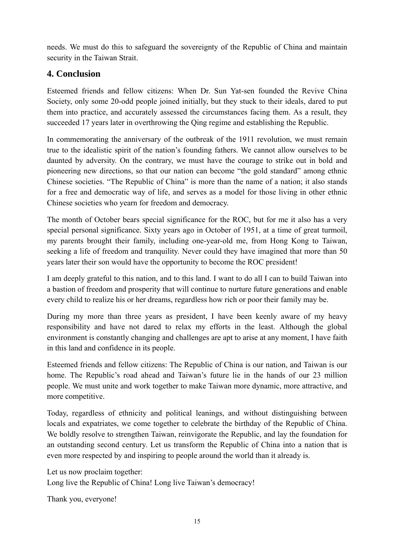needs. We must do this to safeguard the sovereignty of the Republic of China and maintain security in the Taiwan Strait.

# **4. Conclusion**

Esteemed friends and fellow citizens: When Dr. Sun Yat-sen founded the Revive China Society, only some 20-odd people joined initially, but they stuck to their ideals, dared to put them into practice, and accurately assessed the circumstances facing them. As a result, they succeeded 17 years later in overthrowing the Qing regime and establishing the Republic.

In commemorating the anniversary of the outbreak of the 1911 revolution, we must remain true to the idealistic spirit of the nation's founding fathers. We cannot allow ourselves to be daunted by adversity. On the contrary, we must have the courage to strike out in bold and pioneering new directions, so that our nation can become "the gold standard" among ethnic Chinese societies. "The Republic of China" is more than the name of a nation; it also stands for a free and democratic way of life, and serves as a model for those living in other ethnic Chinese societies who yearn for freedom and democracy.

The month of October bears special significance for the ROC, but for me it also has a very special personal significance. Sixty years ago in October of 1951, at a time of great turmoil, my parents brought their family, including one-year-old me, from Hong Kong to Taiwan, seeking a life of freedom and tranquility. Never could they have imagined that more than 50 years later their son would have the opportunity to become the ROC president!

I am deeply grateful to this nation, and to this land. I want to do all I can to build Taiwan into a bastion of freedom and prosperity that will continue to nurture future generations and enable every child to realize his or her dreams, regardless how rich or poor their family may be.

During my more than three years as president, I have been keenly aware of my heavy responsibility and have not dared to relax my efforts in the least. Although the global environment is constantly changing and challenges are apt to arise at any moment, I have faith in this land and confidence in its people.

Esteemed friends and fellow citizens: The Republic of China is our nation, and Taiwan is our home. The Republic's road ahead and Taiwan's future lie in the hands of our 23 million people. We must unite and work together to make Taiwan more dynamic, more attractive, and more competitive.

Today, regardless of ethnicity and political leanings, and without distinguishing between locals and expatriates, we come together to celebrate the birthday of the Republic of China. We boldly resolve to strengthen Taiwan, reinvigorate the Republic, and lay the foundation for an outstanding second century. Let us transform the Republic of China into a nation that is even more respected by and inspiring to people around the world than it already is.

Let us now proclaim together: Long live the Republic of China! Long live Taiwan's democracy!

Thank you, everyone!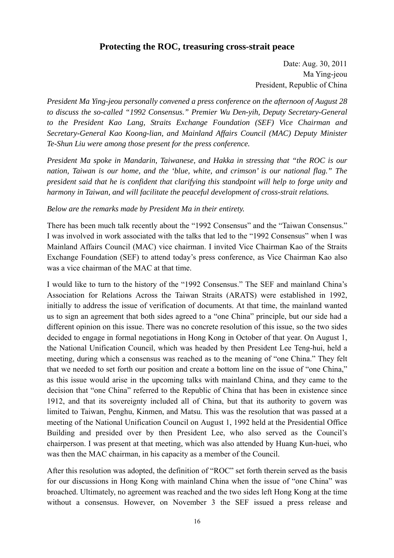#### **Protecting the ROC, treasuring cross-strait peace**

Date: Aug. 30, 2011 Ma Ying-jeou President, Republic of China

*President Ma Ying-jeou personally convened a press conference on the afternoon of August 28 to discuss the so-called "1992 Consensus." Premier Wu Den-yih, Deputy Secretary-General to the President Kao Lang, Straits Exchange Foundation (SEF) Vice Chairman and Secretary-General Kao Koong-lian, and Mainland Affairs Council (MAC) Deputy Minister Te-Shun Liu were among those present for the press conference.* 

*President Ma spoke in Mandarin, Taiwanese, and Hakka in stressing that "the ROC is our nation, Taiwan is our home, and the 'blue, white, and crimson' is our national flag." The president said that he is confident that clarifying this standpoint will help to forge unity and harmony in Taiwan, and will facilitate the peaceful development of cross-strait relations.* 

#### *Below are the remarks made by President Ma in their entirety.*

There has been much talk recently about the "1992 Consensus" and the "Taiwan Consensus." I was involved in work associated with the talks that led to the "1992 Consensus" when I was Mainland Affairs Council (MAC) vice chairman. I invited Vice Chairman Kao of the Straits Exchange Foundation (SEF) to attend today's press conference, as Vice Chairman Kao also was a vice chairman of the MAC at that time.

I would like to turn to the history of the "1992 Consensus." The SEF and mainland China's Association for Relations Across the Taiwan Straits (ARATS) were established in 1992, initially to address the issue of verification of documents. At that time, the mainland wanted us to sign an agreement that both sides agreed to a "one China" principle, but our side had a different opinion on this issue. There was no concrete resolution of this issue, so the two sides decided to engage in formal negotiations in Hong Kong in October of that year. On August 1, the National Unification Council, which was headed by then President Lee Teng-hui, held a meeting, during which a consensus was reached as to the meaning of "one China." They felt that we needed to set forth our position and create a bottom line on the issue of "one China," as this issue would arise in the upcoming talks with mainland China, and they came to the decision that "one China" referred to the Republic of China that has been in existence since 1912, and that its sovereignty included all of China, but that its authority to govern was limited to Taiwan, Penghu, Kinmen, and Matsu. This was the resolution that was passed at a meeting of the National Unification Council on August 1, 1992 held at the Presidential Office Building and presided over by then President Lee, who also served as the Council's chairperson. I was present at that meeting, which was also attended by Huang Kun-huei, who was then the MAC chairman, in his capacity as a member of the Council.

After this resolution was adopted, the definition of "ROC" set forth therein served as the basis for our discussions in Hong Kong with mainland China when the issue of "one China" was broached. Ultimately, no agreement was reached and the two sides left Hong Kong at the time without a consensus. However, on November 3 the SEF issued a press release and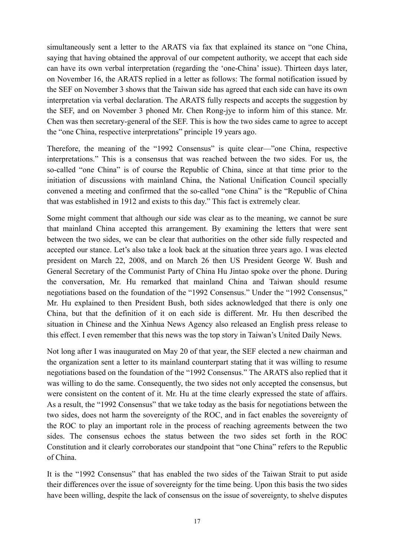simultaneously sent a letter to the ARATS via fax that explained its stance on "one China, saying that having obtained the approval of our competent authority, we accept that each side can have its own verbal interpretation (regarding the 'one-China' issue). Thirteen days later, on November 16, the ARATS replied in a letter as follows: The formal notification issued by the SEF on November 3 shows that the Taiwan side has agreed that each side can have its own interpretation via verbal declaration. The ARATS fully respects and accepts the suggestion by the SEF, and on November 3 phoned Mr. Chen Rong-jye to inform him of this stance. Mr. Chen was then secretary-general of the SEF. This is how the two sides came to agree to accept the "one China, respective interpretations" principle 19 years ago.

Therefore, the meaning of the "1992 Consensus" is quite clear—"one China, respective interpretations." This is a consensus that was reached between the two sides. For us, the so-called "one China" is of course the Republic of China, since at that time prior to the initiation of discussions with mainland China, the National Unification Council specially convened a meeting and confirmed that the so-called "one China" is the "Republic of China that was established in 1912 and exists to this day." This fact is extremely clear.

Some might comment that although our side was clear as to the meaning, we cannot be sure that mainland China accepted this arrangement. By examining the letters that were sent between the two sides, we can be clear that authorities on the other side fully respected and accepted our stance. Let's also take a look back at the situation three years ago. I was elected president on March 22, 2008, and on March 26 then US President George W. Bush and General Secretary of the Communist Party of China Hu Jintao spoke over the phone. During the conversation, Mr. Hu remarked that mainland China and Taiwan should resume negotiations based on the foundation of the "1992 Consensus." Under the "1992 Consensus," Mr. Hu explained to then President Bush, both sides acknowledged that there is only one China, but that the definition of it on each side is different. Mr. Hu then described the situation in Chinese and the Xinhua News Agency also released an English press release to this effect. I even remember that this news was the top story in Taiwan's United Daily News.

Not long after I was inaugurated on May 20 of that year, the SEF elected a new chairman and the organization sent a letter to its mainland counterpart stating that it was willing to resume negotiations based on the foundation of the "1992 Consensus." The ARATS also replied that it was willing to do the same. Consequently, the two sides not only accepted the consensus, but were consistent on the content of it. Mr. Hu at the time clearly expressed the state of affairs. As a result, the "1992 Consensus" that we take today as the basis for negotiations between the two sides, does not harm the sovereignty of the ROC, and in fact enables the sovereignty of the ROC to play an important role in the process of reaching agreements between the two sides. The consensus echoes the status between the two sides set forth in the ROC Constitution and it clearly corroborates our standpoint that "one China" refers to the Republic of China.

It is the "1992 Consensus" that has enabled the two sides of the Taiwan Strait to put aside their differences over the issue of sovereignty for the time being. Upon this basis the two sides have been willing, despite the lack of consensus on the issue of sovereignty, to shelve disputes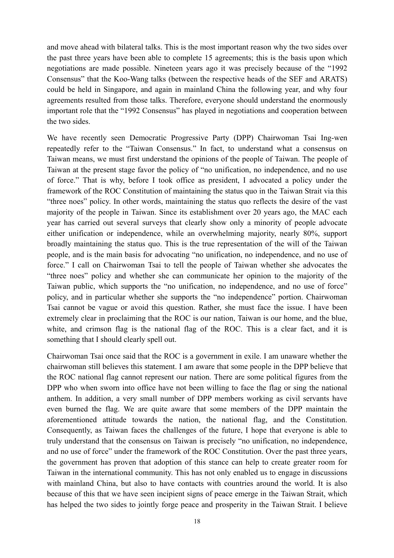and move ahead with bilateral talks. This is the most important reason why the two sides over the past three years have been able to complete 15 agreements; this is the basis upon which negotiations are made possible. Nineteen years ago it was precisely because of the "1992 Consensus" that the Koo-Wang talks (between the respective heads of the SEF and ARATS) could be held in Singapore, and again in mainland China the following year, and why four agreements resulted from those talks. Therefore, everyone should understand the enormously important role that the "1992 Consensus" has played in negotiations and cooperation between the two sides.

We have recently seen Democratic Progressive Party (DPP) Chairwoman Tsai Ing-wen repeatedly refer to the "Taiwan Consensus." In fact, to understand what a consensus on Taiwan means, we must first understand the opinions of the people of Taiwan. The people of Taiwan at the present stage favor the policy of "no unification, no independence, and no use of force." That is why, before I took office as president, I advocated a policy under the framework of the ROC Constitution of maintaining the status quo in the Taiwan Strait via this "three noes" policy. In other words, maintaining the status quo reflects the desire of the vast majority of the people in Taiwan. Since its establishment over 20 years ago, the MAC each year has carried out several surveys that clearly show only a minority of people advocate either unification or independence, while an overwhelming majority, nearly 80%, support broadly maintaining the status quo. This is the true representation of the will of the Taiwan people, and is the main basis for advocating "no unification, no independence, and no use of force." I call on Chairwoman Tsai to tell the people of Taiwan whether she advocates the "three noes" policy and whether she can communicate her opinion to the majority of the Taiwan public, which supports the "no unification, no independence, and no use of force" policy, and in particular whether she supports the "no independence" portion. Chairwoman Tsai cannot be vague or avoid this question. Rather, she must face the issue. I have been extremely clear in proclaiming that the ROC is our nation, Taiwan is our home, and the blue, white, and crimson flag is the national flag of the ROC. This is a clear fact, and it is something that I should clearly spell out.

Chairwoman Tsai once said that the ROC is a government in exile. I am unaware whether the chairwoman still believes this statement. I am aware that some people in the DPP believe that the ROC national flag cannot represent our nation. There are some political figures from the DPP who when sworn into office have not been willing to face the flag or sing the national anthem. In addition, a very small number of DPP members working as civil servants have even burned the flag. We are quite aware that some members of the DPP maintain the aforementioned attitude towards the nation, the national flag, and the Constitution. Consequently, as Taiwan faces the challenges of the future, I hope that everyone is able to truly understand that the consensus on Taiwan is precisely "no unification, no independence, and no use of force" under the framework of the ROC Constitution. Over the past three years, the government has proven that adoption of this stance can help to create greater room for Taiwan in the international community. This has not only enabled us to engage in discussions with mainland China, but also to have contacts with countries around the world. It is also because of this that we have seen incipient signs of peace emerge in the Taiwan Strait, which has helped the two sides to jointly forge peace and prosperity in the Taiwan Strait. I believe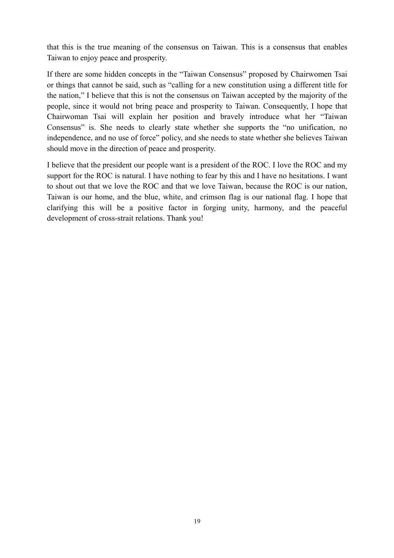that this is the true meaning of the consensus on Taiwan. This is a consensus that enables Taiwan to enjoy peace and prosperity.

If there are some hidden concepts in the "Taiwan Consensus" proposed by Chairwomen Tsai or things that cannot be said, such as "calling for a new constitution using a different title for the nation," I believe that this is not the consensus on Taiwan accepted by the majority of the people, since it would not bring peace and prosperity to Taiwan. Consequently, I hope that Chairwoman Tsai will explain her position and bravely introduce what her "Taiwan Consensus" is. She needs to clearly state whether she supports the "no unification, no independence, and no use of force" policy, and she needs to state whether she believes Taiwan should move in the direction of peace and prosperity.

I believe that the president our people want is a president of the ROC. I love the ROC and my support for the ROC is natural. I have nothing to fear by this and I have no hesitations. I want to shout out that we love the ROC and that we love Taiwan, because the ROC is our nation, Taiwan is our home, and the blue, white, and crimson flag is our national flag. I hope that clarifying this will be a positive factor in forging unity, harmony, and the peaceful development of cross-strait relations. Thank you!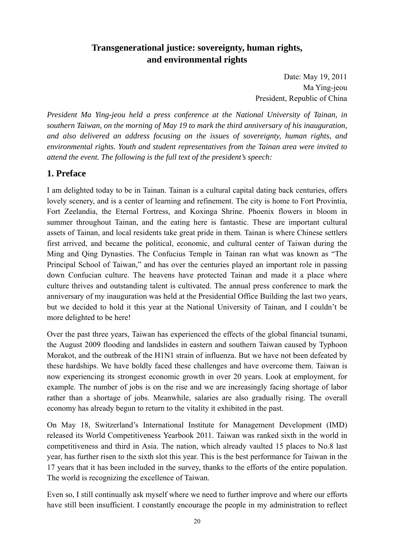# **Transgenerational justice: sovereignty, human rights, and environmental rights**

Date: May 19, 2011 Ma Ying-jeou President, Republic of China

*President Ma Ying-jeou held a press conference at the National University of Tainan, in southern Taiwan, on the morning of May 19 to mark the third anniversary of his inauguration, and also delivered an address focusing on the issues of sovereignty, human rights, and environmental rights. Youth and student representatives from the Tainan area were invited to attend the event. The following is the full text of the president's speech:* 

# **1. Preface**

I am delighted today to be in Tainan. Tainan is a cultural capital dating back centuries, offers lovely scenery, and is a center of learning and refinement. The city is home to Fort Provintia, Fort Zeelandia, the Eternal Fortress, and Koxinga Shrine. Phoenix flowers in bloom in summer throughout Tainan, and the eating here is fantastic. These are important cultural assets of Tainan, and local residents take great pride in them. Tainan is where Chinese settlers first arrived, and became the political, economic, and cultural center of Taiwan during the Ming and Qing Dynasties. The Confucius Temple in Tainan ran what was known as "The Principal School of Taiwan," and has over the centuries played an important role in passing down Confucian culture. The heavens have protected Tainan and made it a place where culture thrives and outstanding talent is cultivated. The annual press conference to mark the anniversary of my inauguration was held at the Presidential Office Building the last two years, but we decided to hold it this year at the National University of Tainan, and I couldn't be more delighted to be here!

Over the past three years, Taiwan has experienced the effects of the global financial tsunami, the August 2009 flooding and landslides in eastern and southern Taiwan caused by Typhoon Morakot, and the outbreak of the H1N1 strain of influenza. But we have not been defeated by these hardships. We have boldly faced these challenges and have overcome them. Taiwan is now experiencing its strongest economic growth in over 20 years. Look at employment, for example. The number of jobs is on the rise and we are increasingly facing shortage of labor rather than a shortage of jobs. Meanwhile, salaries are also gradually rising. The overall economy has already begun to return to the vitality it exhibited in the past.

On May 18, Switzerland's International Institute for Management Development (IMD) released its World Competitiveness Yearbook 2011. Taiwan was ranked sixth in the world in competitiveness and third in Asia. The nation, which already vaulted 15 places to No.8 last year, has further risen to the sixth slot this year. This is the best performance for Taiwan in the 17 years that it has been included in the survey, thanks to the efforts of the entire population. The world is recognizing the excellence of Taiwan.

Even so, I still continually ask myself where we need to further improve and where our efforts have still been insufficient. I constantly encourage the people in my administration to reflect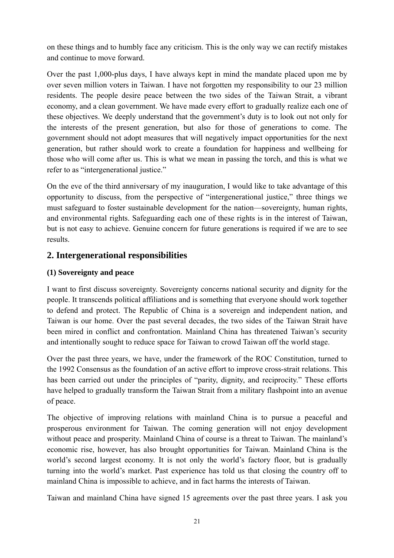on these things and to humbly face any criticism. This is the only way we can rectify mistakes and continue to move forward.

Over the past 1,000-plus days, I have always kept in mind the mandate placed upon me by over seven million voters in Taiwan. I have not forgotten my responsibility to our 23 million residents. The people desire peace between the two sides of the Taiwan Strait, a vibrant economy, and a clean government. We have made every effort to gradually realize each one of these objectives. We deeply understand that the government's duty is to look out not only for the interests of the present generation, but also for those of generations to come. The government should not adopt measures that will negatively impact opportunities for the next generation, but rather should work to create a foundation for happiness and wellbeing for those who will come after us. This is what we mean in passing the torch, and this is what we refer to as "intergenerational justice."

On the eve of the third anniversary of my inauguration, I would like to take advantage of this opportunity to discuss, from the perspective of "intergenerational justice," three things we must safeguard to foster sustainable development for the nation—sovereignty, human rights, and environmental rights. Safeguarding each one of these rights is in the interest of Taiwan, but is not easy to achieve. Genuine concern for future generations is required if we are to see results.

# **2. Intergenerational responsibilities**

#### **(1) Sovereignty and peace**

I want to first discuss sovereignty. Sovereignty concerns national security and dignity for the people. It transcends political affiliations and is something that everyone should work together to defend and protect. The Republic of China is a sovereign and independent nation, and Taiwan is our home. Over the past several decades, the two sides of the Taiwan Strait have been mired in conflict and confrontation. Mainland China has threatened Taiwan's security and intentionally sought to reduce space for Taiwan to crowd Taiwan off the world stage.

Over the past three years, we have, under the framework of the ROC Constitution, turned to the 1992 Consensus as the foundation of an active effort to improve cross-strait relations. This has been carried out under the principles of "parity, dignity, and reciprocity." These efforts have helped to gradually transform the Taiwan Strait from a military flashpoint into an avenue of peace.

The objective of improving relations with mainland China is to pursue a peaceful and prosperous environment for Taiwan. The coming generation will not enjoy development without peace and prosperity. Mainland China of course is a threat to Taiwan. The mainland's economic rise, however, has also brought opportunities for Taiwan. Mainland China is the world's second largest economy. It is not only the world's factory floor, but is gradually turning into the world's market. Past experience has told us that closing the country off to mainland China is impossible to achieve, and in fact harms the interests of Taiwan.

Taiwan and mainland China have signed 15 agreements over the past three years. I ask you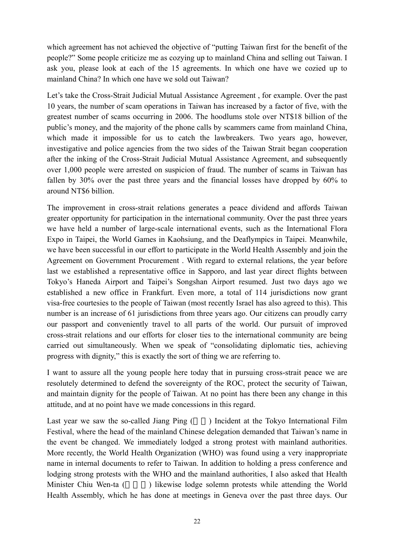which agreement has not achieved the objective of "putting Taiwan first for the benefit of the people?" Some people criticize me as cozying up to mainland China and selling out Taiwan. I ask you, please look at each of the 15 agreements. In which one have we cozied up to mainland China? In which one have we sold out Taiwan?

Let's take the Cross-Strait Judicial Mutual Assistance Agreement , for example. Over the past 10 years, the number of scam operations in Taiwan has increased by a factor of five, with the greatest number of scams occurring in 2006. The hoodlums stole over NT\$18 billion of the public's money, and the majority of the phone calls by scammers came from mainland China, which made it impossible for us to catch the lawbreakers. Two years ago, however, investigative and police agencies from the two sides of the Taiwan Strait began cooperation after the inking of the Cross-Strait Judicial Mutual Assistance Agreement, and subsequently over 1,000 people were arrested on suspicion of fraud. The number of scams in Taiwan has fallen by 30% over the past three years and the financial losses have dropped by 60% to around NT\$6 billion.

The improvement in cross-strait relations generates a peace dividend and affords Taiwan greater opportunity for participation in the international community. Over the past three years we have held a number of large-scale international events, such as the International Flora Expo in Taipei, the World Games in Kaohsiung, and the Deaflympics in Taipei. Meanwhile, we have been successful in our effort to participate in the World Health Assembly and join the Agreement on Government Procurement . With regard to external relations, the year before last we established a representative office in Sapporo, and last year direct flights between Tokyo's Haneda Airport and Taipei's Songshan Airport resumed. Just two days ago we established a new office in Frankfurt. Even more, a total of 114 jurisdictions now grant visa-free courtesies to the people of Taiwan (most recently Israel has also agreed to this). This number is an increase of 61 jurisdictions from three years ago. Our citizens can proudly carry our passport and conveniently travel to all parts of the world. Our pursuit of improved cross-strait relations and our efforts for closer ties to the international community are being carried out simultaneously. When we speak of "consolidating diplomatic ties, achieving progress with dignity," this is exactly the sort of thing we are referring to.

I want to assure all the young people here today that in pursuing cross-strait peace we are resolutely determined to defend the sovereignty of the ROC, protect the security of Taiwan, and maintain dignity for the people of Taiwan. At no point has there been any change in this attitude, and at no point have we made concessions in this regard.

Last year we saw the so-called Jiang Ping  $($ ) Incident at the Tokyo International Film Festival, where the head of the mainland Chinese delegation demanded that Taiwan's name in the event be changed. We immediately lodged a strong protest with mainland authorities. More recently, the World Health Organization (WHO) was found using a very inappropriate name in internal documents to refer to Taiwan. In addition to holding a press conference and lodging strong protests with the WHO and the mainland authorities, I also asked that Health Minister Chiu Wen-ta () likewise lodge solemn protests while attending the World Health Assembly, which he has done at meetings in Geneva over the past three days. Our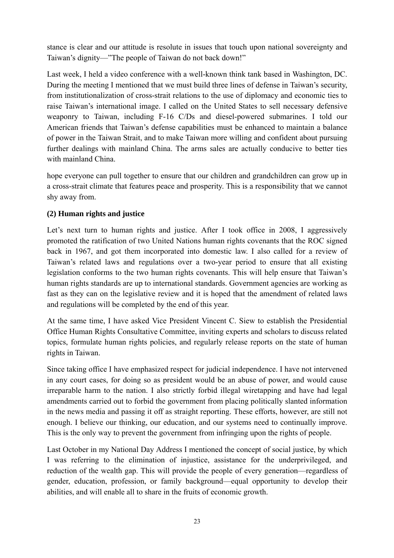stance is clear and our attitude is resolute in issues that touch upon national sovereignty and Taiwan's dignity—"The people of Taiwan do not back down!"

Last week, I held a video conference with a well-known think tank based in Washington, DC. During the meeting I mentioned that we must build three lines of defense in Taiwan's security, from institutionalization of cross-strait relations to the use of diplomacy and economic ties to raise Taiwan's international image. I called on the United States to sell necessary defensive weaponry to Taiwan, including F-16 C/Ds and diesel-powered submarines. I told our American friends that Taiwan's defense capabilities must be enhanced to maintain a balance of power in the Taiwan Strait, and to make Taiwan more willing and confident about pursuing further dealings with mainland China. The arms sales are actually conducive to better ties with mainland China.

hope everyone can pull together to ensure that our children and grandchildren can grow up in a cross-strait climate that features peace and prosperity. This is a responsibility that we cannot shy away from.

#### **(2) Human rights and justice**

Let's next turn to human rights and justice. After I took office in 2008, I aggressively promoted the ratification of two United Nations human rights covenants that the ROC signed back in 1967, and got them incorporated into domestic law. I also called for a review of Taiwan's related laws and regulations over a two-year period to ensure that all existing legislation conforms to the two human rights covenants. This will help ensure that Taiwan's human rights standards are up to international standards. Government agencies are working as fast as they can on the legislative review and it is hoped that the amendment of related laws and regulations will be completed by the end of this year.

At the same time, I have asked Vice President Vincent C. Siew to establish the Presidential Office Human Rights Consultative Committee, inviting experts and scholars to discuss related topics, formulate human rights policies, and regularly release reports on the state of human rights in Taiwan.

Since taking office I have emphasized respect for judicial independence. I have not intervened in any court cases, for doing so as president would be an abuse of power, and would cause irreparable harm to the nation. I also strictly forbid illegal wiretapping and have had legal amendments carried out to forbid the government from placing politically slanted information in the news media and passing it off as straight reporting. These efforts, however, are still not enough. I believe our thinking, our education, and our systems need to continually improve. This is the only way to prevent the government from infringing upon the rights of people.

Last October in my National Day Address I mentioned the concept of social justice, by which I was referring to the elimination of injustice, assistance for the underprivileged, and reduction of the wealth gap. This will provide the people of every generation—regardless of gender, education, profession, or family background—equal opportunity to develop their abilities, and will enable all to share in the fruits of economic growth.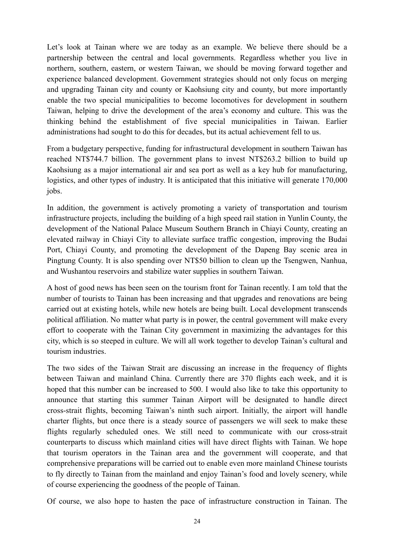Let's look at Tainan where we are today as an example. We believe there should be a partnership between the central and local governments. Regardless whether you live in northern, southern, eastern, or western Taiwan, we should be moving forward together and experience balanced development. Government strategies should not only focus on merging and upgrading Tainan city and county or Kaohsiung city and county, but more importantly enable the two special municipalities to become locomotives for development in southern Taiwan, helping to drive the development of the area's economy and culture. This was the thinking behind the establishment of five special municipalities in Taiwan. Earlier administrations had sought to do this for decades, but its actual achievement fell to us.

From a budgetary perspective, funding for infrastructural development in southern Taiwan has reached NT\$744.7 billion. The government plans to invest NT\$263.2 billion to build up Kaohsiung as a major international air and sea port as well as a key hub for manufacturing, logistics, and other types of industry. It is anticipated that this initiative will generate 170,000 jobs.

In addition, the government is actively promoting a variety of transportation and tourism infrastructure projects, including the building of a high speed rail station in Yunlin County, the development of the National Palace Museum Southern Branch in Chiayi County, creating an elevated railway in Chiayi City to alleviate surface traffic congestion, improving the Budai Port, Chiayi County, and promoting the development of the Dapeng Bay scenic area in Pingtung County. It is also spending over NT\$50 billion to clean up the Tsengwen, Nanhua, and Wushantou reservoirs and stabilize water supplies in southern Taiwan.

A host of good news has been seen on the tourism front for Tainan recently. I am told that the number of tourists to Tainan has been increasing and that upgrades and renovations are being carried out at existing hotels, while new hotels are being built. Local development transcends political affiliation. No matter what party is in power, the central government will make every effort to cooperate with the Tainan City government in maximizing the advantages for this city, which is so steeped in culture. We will all work together to develop Tainan's cultural and tourism industries.

The two sides of the Taiwan Strait are discussing an increase in the frequency of flights between Taiwan and mainland China. Currently there are 370 flights each week, and it is hoped that this number can be increased to 500. I would also like to take this opportunity to announce that starting this summer Tainan Airport will be designated to handle direct cross-strait flights, becoming Taiwan's ninth such airport. Initially, the airport will handle charter flights, but once there is a steady source of passengers we will seek to make these flights regularly scheduled ones. We still need to communicate with our cross-strait counterparts to discuss which mainland cities will have direct flights with Tainan. We hope that tourism operators in the Tainan area and the government will cooperate, and that comprehensive preparations will be carried out to enable even more mainland Chinese tourists to fly directly to Tainan from the mainland and enjoy Tainan's food and lovely scenery, while of course experiencing the goodness of the people of Tainan.

Of course, we also hope to hasten the pace of infrastructure construction in Tainan. The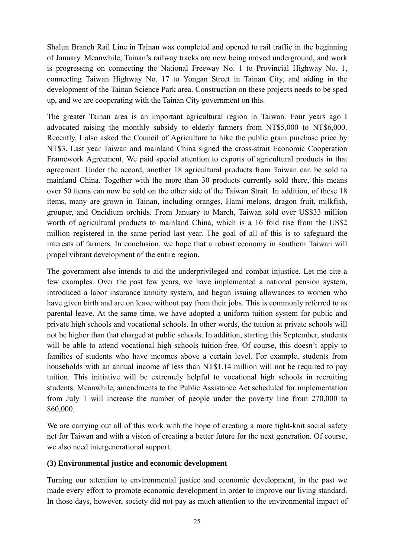Shalun Branch Rail Line in Tainan was completed and opened to rail traffic in the beginning of January. Meanwhile, Tainan's railway tracks are now being moved underground, and work is progressing on connecting the National Freeway No. 1 to Provincial Highway No. 1, connecting Taiwan Highway No. 17 to Yongan Street in Tainan City, and aiding in the development of the Tainan Science Park area. Construction on these projects needs to be sped up, and we are cooperating with the Tainan City government on this.

The greater Tainan area is an important agricultural region in Taiwan. Four years ago I advocated raising the monthly subsidy to elderly farmers from NT\$5,000 to NT\$6,000. Recently, I also asked the Council of Agriculture to hike the public grain purchase price by NT\$3. Last year Taiwan and mainland China signed the cross-strait Economic Cooperation Framework Agreement. We paid special attention to exports of agricultural products in that agreement. Under the accord, another 18 agricultural products from Taiwan can be sold to mainland China. Together with the more than 30 products currently sold there, this means over 50 items can now be sold on the other side of the Taiwan Strait. In addition, of these 18 items, many are grown in Tainan, including oranges, Hami melons, dragon fruit, milkfish, grouper, and Oncidium orchids. From January to March, Taiwan sold over US\$33 million worth of agricultural products to mainland China, which is a 16 fold rise from the US\$2 million registered in the same period last year. The goal of all of this is to safeguard the interests of farmers. In conclusion, we hope that a robust economy in southern Taiwan will propel vibrant development of the entire region.

The government also intends to aid the underprivileged and combat injustice. Let me cite a few examples. Over the past few years, we have implemented a national pension system, introduced a labor insurance annuity system, and begun issuing allowances to women who have given birth and are on leave without pay from their jobs. This is commonly referred to as parental leave. At the same time, we have adopted a uniform tuition system for public and private high schools and vocational schools. In other words, the tuition at private schools will not be higher than that charged at public schools. In addition, starting this September, students will be able to attend vocational high schools tuition-free. Of course, this doesn't apply to families of students who have incomes above a certain level. For example, students from households with an annual income of less than NT\$1.14 million will not be required to pay tuition. This initiative will be extremely helpful to vocational high schools in recruiting students. Meanwhile, amendments to the Public Assistance Act scheduled for implementation from July 1 will increase the number of people under the poverty line from 270,000 to 860,000.

We are carrying out all of this work with the hope of creating a more tight-knit social safety net for Taiwan and with a vision of creating a better future for the next generation. Of course, we also need intergenerational support.

#### **(3) Environmental justice and economic development**

Turning our attention to environmental justice and economic development, in the past we made every effort to promote economic development in order to improve our living standard. In those days, however, society did not pay as much attention to the environmental impact of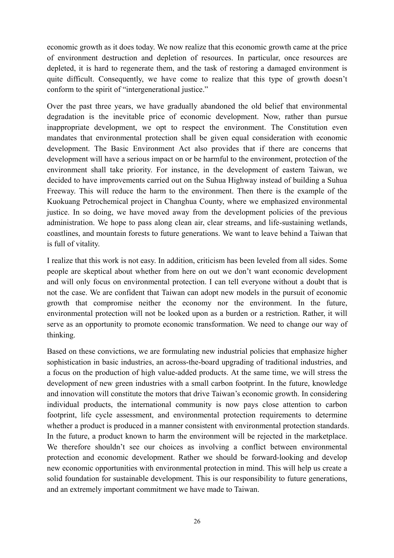economic growth as it does today. We now realize that this economic growth came at the price of environment destruction and depletion of resources. In particular, once resources are depleted, it is hard to regenerate them, and the task of restoring a damaged environment is quite difficult. Consequently, we have come to realize that this type of growth doesn't conform to the spirit of "intergenerational justice."

Over the past three years, we have gradually abandoned the old belief that environmental degradation is the inevitable price of economic development. Now, rather than pursue inappropriate development, we opt to respect the environment. The Constitution even mandates that environmental protection shall be given equal consideration with economic development. The Basic Environment Act also provides that if there are concerns that development will have a serious impact on or be harmful to the environment, protection of the environment shall take priority. For instance, in the development of eastern Taiwan, we decided to have improvements carried out on the Suhua Highway instead of building a Suhua Freeway. This will reduce the harm to the environment. Then there is the example of the Kuokuang Petrochemical project in Changhua County, where we emphasized environmental justice. In so doing, we have moved away from the development policies of the previous administration. We hope to pass along clean air, clear streams, and life-sustaining wetlands, coastlines, and mountain forests to future generations. We want to leave behind a Taiwan that is full of vitality.

I realize that this work is not easy. In addition, criticism has been leveled from all sides. Some people are skeptical about whether from here on out we don't want economic development and will only focus on environmental protection. I can tell everyone without a doubt that is not the case. We are confident that Taiwan can adopt new models in the pursuit of economic growth that compromise neither the economy nor the environment. In the future, environmental protection will not be looked upon as a burden or a restriction. Rather, it will serve as an opportunity to promote economic transformation. We need to change our way of thinking.

Based on these convictions, we are formulating new industrial policies that emphasize higher sophistication in basic industries, an across-the-board upgrading of traditional industries, and a focus on the production of high value-added products. At the same time, we will stress the development of new green industries with a small carbon footprint. In the future, knowledge and innovation will constitute the motors that drive Taiwan's economic growth. In considering individual products, the international community is now pays close attention to carbon footprint, life cycle assessment, and environmental protection requirements to determine whether a product is produced in a manner consistent with environmental protection standards. In the future, a product known to harm the environment will be rejected in the marketplace. We therefore shouldn't see our choices as involving a conflict between environmental protection and economic development. Rather we should be forward-looking and develop new economic opportunities with environmental protection in mind. This will help us create a solid foundation for sustainable development. This is our responsibility to future generations, and an extremely important commitment we have made to Taiwan.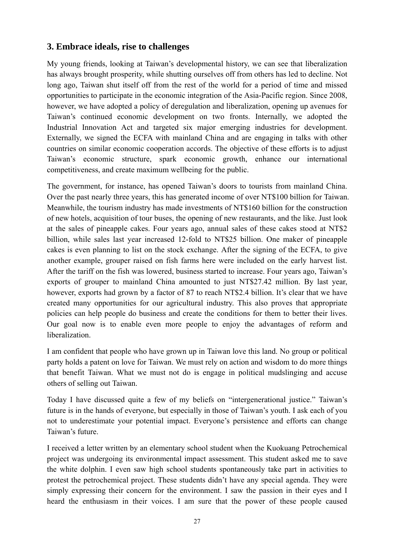# **3. Embrace ideals, rise to challenges**

My young friends, looking at Taiwan's developmental history, we can see that liberalization has always brought prosperity, while shutting ourselves off from others has led to decline. Not long ago, Taiwan shut itself off from the rest of the world for a period of time and missed opportunities to participate in the economic integration of the Asia-Pacific region. Since 2008, however, we have adopted a policy of deregulation and liberalization, opening up avenues for Taiwan's continued economic development on two fronts. Internally, we adopted the Industrial Innovation Act and targeted six major emerging industries for development. Externally, we signed the ECFA with mainland China and are engaging in talks with other countries on similar economic cooperation accords. The objective of these efforts is to adjust Taiwan's economic structure, spark economic growth, enhance our international competitiveness, and create maximum wellbeing for the public.

The government, for instance, has opened Taiwan's doors to tourists from mainland China. Over the past nearly three years, this has generated income of over NT\$100 billion for Taiwan. Meanwhile, the tourism industry has made investments of NT\$160 billion for the construction of new hotels, acquisition of tour buses, the opening of new restaurants, and the like. Just look at the sales of pineapple cakes. Four years ago, annual sales of these cakes stood at NT\$2 billion, while sales last year increased 12-fold to NT\$25 billion. One maker of pineapple cakes is even planning to list on the stock exchange. After the signing of the ECFA, to give another example, grouper raised on fish farms here were included on the early harvest list. After the tariff on the fish was lowered, business started to increase. Four years ago, Taiwan's exports of grouper to mainland China amounted to just NT\$27.42 million. By last year, however, exports had grown by a factor of 87 to reach NT\$2.4 billion. It's clear that we have created many opportunities for our agricultural industry. This also proves that appropriate policies can help people do business and create the conditions for them to better their lives. Our goal now is to enable even more people to enjoy the advantages of reform and liberalization.

I am confident that people who have grown up in Taiwan love this land. No group or political party holds a patent on love for Taiwan. We must rely on action and wisdom to do more things that benefit Taiwan. What we must not do is engage in political mudslinging and accuse others of selling out Taiwan.

Today I have discussed quite a few of my beliefs on "intergenerational justice." Taiwan's future is in the hands of everyone, but especially in those of Taiwan's youth. I ask each of you not to underestimate your potential impact. Everyone's persistence and efforts can change Taiwan's future.

I received a letter written by an elementary school student when the Kuokuang Petrochemical project was undergoing its environmental impact assessment. This student asked me to save the white dolphin. I even saw high school students spontaneously take part in activities to protest the petrochemical project. These students didn't have any special agenda. They were simply expressing their concern for the environment. I saw the passion in their eyes and I heard the enthusiasm in their voices. I am sure that the power of these people caused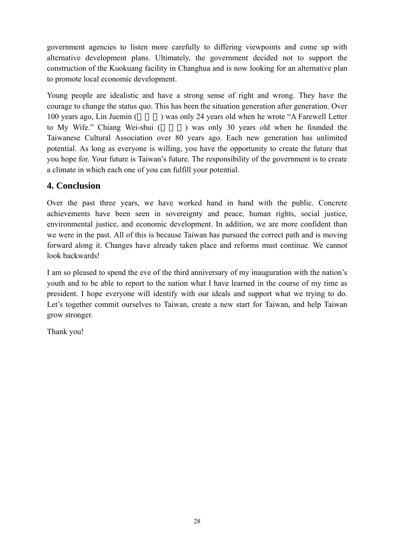government agencies to listen more carefully to differing viewpoints and come up with alternative development plans. Ultimately, the government decided not to support the construction of the Kuokuang facility in Changhua and is now looking for an alternative plan to promote local economic development.

Young people are idealistic and have a strong sense of right and wrong. They have the courage to change the status quo. This has been the situation generation after generation. Over 100 years ago, Lin Juemin () was only 24 years old when he wrote "A Farewell Letter to My Wife." Chiang Wei-shui ( $\qquad$ ) was only 30 years old when he founded the Taiwanese Cultural Association over 80 years ago. Each new generation has unlimited potential. As long as everyone is willing, you have the opportunity to create the future that you hope for. Your future is Taiwan's future. The responsibility of the government is to create a climate in which each one of you can fulfill your potential.

# **4. Conclusion**

Over the past three years, we have worked hand in hand with the public. Concrete achievements have been seen in sovereignty and peace, human rights, social justice, environmental justice, and economic development. In addition, we are more confident than we were in the past. All of this is because Taiwan has pursued the correct path and is moving forward along it. Changes have already taken place and reforms must continue. We cannot look backwards!

I am so pleased to spend the eve of the third anniversary of my inauguration with the nation's youth and to be able to report to the nation what I have learned in the course of my time as president. I hope everyone will identify with our ideals and support what we trying to do. Let's together commit ourselves to Taiwan, create a new start for Taiwan, and help Taiwan grow stronger.

Thank you!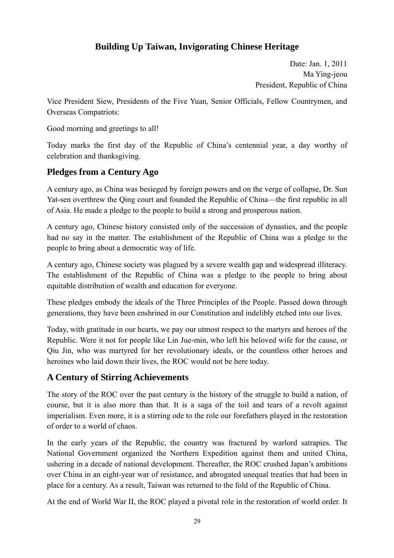# **Building Up Taiwan, Invigorating Chinese Heritage**

Date: Jan. 1, 2011 Ma Ying-jeou President, Republic of China

Vice President Siew, Presidents of the Five Yuan, Senior Officials, Fellow Countrymen, and Overseas Compatriots:

Good morning and greetings to all!

Today marks the first day of the Republic of China's centennial year, a day worthy of celebration and thanksgiving.

# **Pledges from a Century Ago**

A century ago, as China was besieged by foreign powers and on the verge of collapse, Dr. Sun Yat-sen overthrew the Qing court and founded the Republic of China—the first republic in all of Asia. He made a pledge to the people to build a strong and prosperous nation.

A century ago, Chinese history consisted only of the succession of dynasties, and the people had no say in the matter. The establishment of the Republic of China was a pledge to the people to bring about a democratic way of life.

A century ago, Chinese society was plagued by a severe wealth gap and widespread illiteracy. The establishment of the Republic of China was a pledge to the people to bring about equitable distribution of wealth and education for everyone.

These pledges embody the ideals of the Three Principles of the People. Passed down through generations, they have been enshrined in our Constitution and indelibly etched into our lives.

Today, with gratitude in our hearts, we pay our utmost respect to the martyrs and heroes of the Republic. Were it not for people like Lin Jue-min, who left his beloved wife for the cause, or Qiu Jin, who was martyred for her revolutionary ideals, or the countless other heroes and heroines who laid down their lives, the ROC would not be here today.

# **A Century of Stirring Achievements**

The story of the ROC over the past century is the history of the struggle to build a nation, of course, but it is also more than that. It is a saga of the toil and tears of a revolt against imperialism. Even more, it is a stirring ode to the role our forefathers played in the restoration of order to a world of chaos.

In the early years of the Republic, the country was fractured by warlord satrapies. The National Government organized the Northern Expedition against them and united China, ushering in a decade of national development. Thereafter, the ROC crushed Japan's ambitions over China in an eight-year war of resistance, and abrogated unequal treaties that had been in place for a century. As a result, Taiwan was returned to the fold of the Republic of China.

At the end of World War II, the ROC played a pivotal role in the restoration of world order. It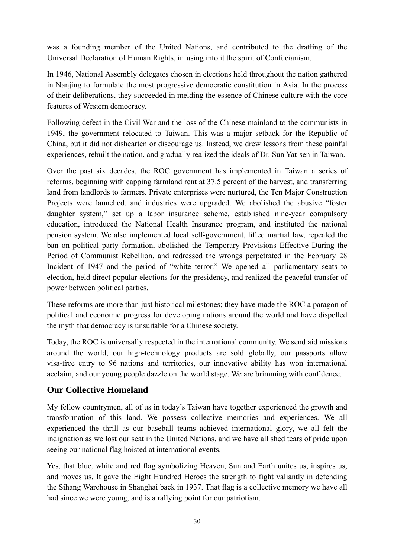was a founding member of the United Nations, and contributed to the drafting of the Universal Declaration of Human Rights, infusing into it the spirit of Confucianism.

In 1946, National Assembly delegates chosen in elections held throughout the nation gathered in Nanjing to formulate the most progressive democratic constitution in Asia. In the process of their deliberations, they succeeded in melding the essence of Chinese culture with the core features of Western democracy.

Following defeat in the Civil War and the loss of the Chinese mainland to the communists in 1949, the government relocated to Taiwan. This was a major setback for the Republic of China, but it did not dishearten or discourage us. Instead, we drew lessons from these painful experiences, rebuilt the nation, and gradually realized the ideals of Dr. Sun Yat-sen in Taiwan.

Over the past six decades, the ROC government has implemented in Taiwan a series of reforms, beginning with capping farmland rent at 37.5 percent of the harvest, and transferring land from landlords to farmers. Private enterprises were nurtured, the Ten Major Construction Projects were launched, and industries were upgraded. We abolished the abusive "foster daughter system," set up a labor insurance scheme, established nine-year compulsory education, introduced the National Health Insurance program, and instituted the national pension system. We also implemented local self-government, lifted martial law, repealed the ban on political party formation, abolished the Temporary Provisions Effective During the Period of Communist Rebellion, and redressed the wrongs perpetrated in the February 28 Incident of 1947 and the period of "white terror." We opened all parliamentary seats to election, held direct popular elections for the presidency, and realized the peaceful transfer of power between political parties.

These reforms are more than just historical milestones; they have made the ROC a paragon of political and economic progress for developing nations around the world and have dispelled the myth that democracy is unsuitable for a Chinese society.

Today, the ROC is universally respected in the international community. We send aid missions around the world, our high-technology products are sold globally, our passports allow visa-free entry to 96 nations and territories, our innovative ability has won international acclaim, and our young people dazzle on the world stage. We are brimming with confidence.

# **Our Collective Homeland**

My fellow countrymen, all of us in today's Taiwan have together experienced the growth and transformation of this land. We possess collective memories and experiences. We all experienced the thrill as our baseball teams achieved international glory, we all felt the indignation as we lost our seat in the United Nations, and we have all shed tears of pride upon seeing our national flag hoisted at international events.

Yes, that blue, white and red flag symbolizing Heaven, Sun and Earth unites us, inspires us, and moves us. It gave the Eight Hundred Heroes the strength to fight valiantly in defending the Sihang Warehouse in Shanghai back in 1937. That flag is a collective memory we have all had since we were young, and is a rallying point for our patriotism.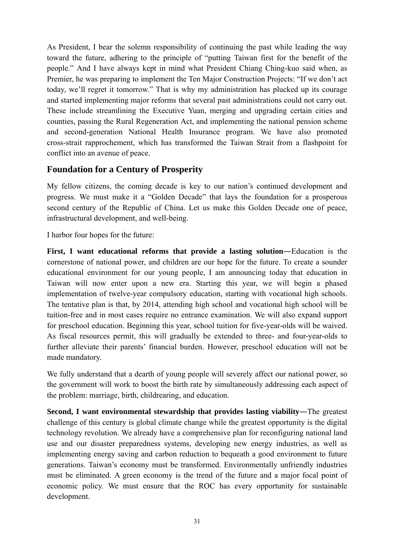As President, I bear the solemn responsibility of continuing the past while leading the way toward the future, adhering to the principle of "putting Taiwan first for the benefit of the people." And I have always kept in mind what President Chiang Ching-kuo said when, as Premier, he was preparing to implement the Ten Major Construction Projects: "If we don't act today, we'll regret it tomorrow." That is why my administration has plucked up its courage and started implementing major reforms that several past administrations could not carry out. These include streamlining the Executive Yuan, merging and upgrading certain cities and counties, passing the Rural Regeneration Act, and implementing the national pension scheme and second-generation National Health Insurance program. We have also promoted cross-strait rapprochement, which has transformed the Taiwan Strait from a flashpoint for conflict into an avenue of peace.

#### **Foundation for a Century of Prosperity**

My fellow citizens, the coming decade is key to our nation's continued development and progress. We must make it a "Golden Decade" that lays the foundation for a prosperous second century of the Republic of China. Let us make this Golden Decade one of peace, infrastructural development, and well-being.

I harbor four hopes for the future:

**First, I want educational reforms that provide a lasting solution**―Education is the cornerstone of national power, and children are our hope for the future. To create a sounder educational environment for our young people, I am announcing today that education in Taiwan will now enter upon a new era. Starting this year, we will begin a phased implementation of twelve-year compulsory education, starting with vocational high schools. The tentative plan is that, by 2014, attending high school and vocational high school will be tuition-free and in most cases require no entrance examination. We will also expand support for preschool education. Beginning this year, school tuition for five-year-olds will be waived. As fiscal resources permit, this will gradually be extended to three- and four-year-olds to further alleviate their parents' financial burden. However, preschool education will not be made mandatory.

We fully understand that a dearth of young people will severely affect our national power, so the government will work to boost the birth rate by simultaneously addressing each aspect of the problem: marriage, birth, childrearing, and education.

**Second, I want environmental stewardship that provides lasting viability—The greatest** challenge of this century is global climate change while the greatest opportunity is the digital technology revolution. We already have a comprehensive plan for reconfiguring national land use and our disaster preparedness systems, developing new energy industries, as well as implementing energy saving and carbon reduction to bequeath a good environment to future generations. Taiwan's economy must be transformed. Environmentally unfriendly industries must be eliminated. A green economy is the trend of the future and a major focal point of economic policy. We must ensure that the ROC has every opportunity for sustainable development.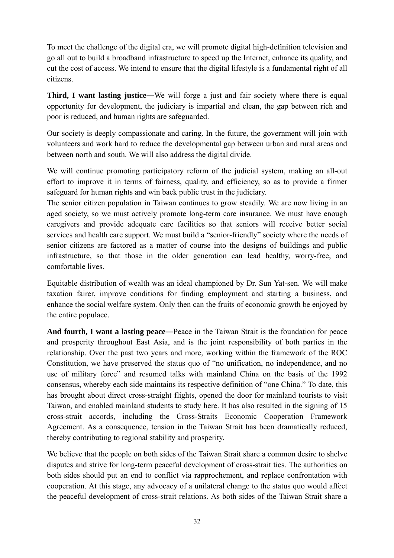To meet the challenge of the digital era, we will promote digital high-definition television and go all out to build a broadband infrastructure to speed up the Internet, enhance its quality, and cut the cost of access. We intend to ensure that the digital lifestyle is a fundamental right of all citizens.

**Third, I want lasting justice—We** will forge a just and fair society where there is equal opportunity for development, the judiciary is impartial and clean, the gap between rich and poor is reduced, and human rights are safeguarded.

Our society is deeply compassionate and caring. In the future, the government will join with volunteers and work hard to reduce the developmental gap between urban and rural areas and between north and south. We will also address the digital divide.

We will continue promoting participatory reform of the judicial system, making an all-out effort to improve it in terms of fairness, quality, and efficiency, so as to provide a firmer safeguard for human rights and win back public trust in the judiciary.

The senior citizen population in Taiwan continues to grow steadily. We are now living in an aged society, so we must actively promote long-term care insurance. We must have enough caregivers and provide adequate care facilities so that seniors will receive better social services and health care support. We must build a "senior-friendly" society where the needs of senior citizens are factored as a matter of course into the designs of buildings and public infrastructure, so that those in the older generation can lead healthy, worry-free, and comfortable lives.

Equitable distribution of wealth was an ideal championed by Dr. Sun Yat-sen. We will make taxation fairer, improve conditions for finding employment and starting a business, and enhance the social welfare system. Only then can the fruits of economic growth be enjoyed by the entire populace.

**And fourth, I want a lasting peace—Peace** in the Taiwan Strait is the foundation for peace and prosperity throughout East Asia, and is the joint responsibility of both parties in the relationship. Over the past two years and more, working within the framework of the ROC Constitution, we have preserved the status quo of "no unification, no independence, and no use of military force" and resumed talks with mainland China on the basis of the 1992 consensus, whereby each side maintains its respective definition of "one China." To date, this has brought about direct cross-straight flights, opened the door for mainland tourists to visit Taiwan, and enabled mainland students to study here. It has also resulted in the signing of 15 cross-strait accords, including the Cross-Straits Economic Cooperation Framework Agreement. As a consequence, tension in the Taiwan Strait has been dramatically reduced, thereby contributing to regional stability and prosperity.

We believe that the people on both sides of the Taiwan Strait share a common desire to shelve disputes and strive for long-term peaceful development of cross-strait ties. The authorities on both sides should put an end to conflict via rapprochement, and replace confrontation with cooperation. At this stage, any advocacy of a unilateral change to the status quo would affect the peaceful development of cross-strait relations. As both sides of the Taiwan Strait share a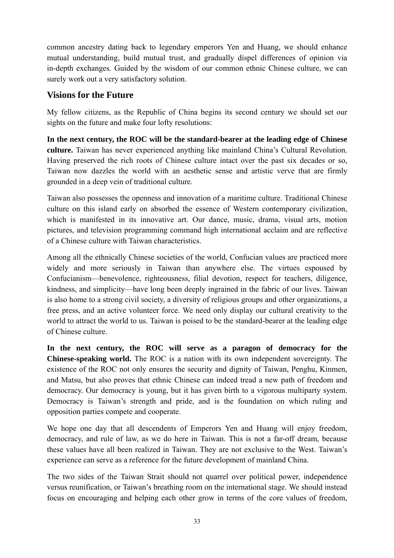common ancestry dating back to legendary emperors Yen and Huang, we should enhance mutual understanding, build mutual trust, and gradually dispel differences of opinion via in-depth exchanges. Guided by the wisdom of our common ethnic Chinese culture, we can surely work out a very satisfactory solution.

#### **Visions for the Future**

My fellow citizens, as the Republic of China begins its second century we should set our sights on the future and make four lofty resolutions:

**In the next century, the ROC will be the standard-bearer at the leading edge of Chinese culture.** Taiwan has never experienced anything like mainland China's Cultural Revolution. Having preserved the rich roots of Chinese culture intact over the past six decades or so, Taiwan now dazzles the world with an aesthetic sense and artistic verve that are firmly grounded in a deep vein of traditional culture.

Taiwan also possesses the openness and innovation of a maritime culture. Traditional Chinese culture on this island early on absorbed the essence of Western contemporary civilization, which is manifested in its innovative art. Our dance, music, drama, visual arts, motion pictures, and television programming command high international acclaim and are reflective of a Chinese culture with Taiwan characteristics.

Among all the ethnically Chinese societies of the world, Confucian values are practiced more widely and more seriously in Taiwan than anywhere else. The virtues espoused by Confucianism—benevolence, righteousness, filial devotion, respect for teachers, diligence, kindness, and simplicity—have long been deeply ingrained in the fabric of our lives. Taiwan is also home to a strong civil society, a diversity of religious groups and other organizations, a free press, and an active volunteer force. We need only display our cultural creativity to the world to attract the world to us. Taiwan is poised to be the standard-bearer at the leading edge of Chinese culture.

**In the next century, the ROC will serve as a paragon of democracy for the Chinese-speaking world.** The ROC is a nation with its own independent sovereignty. The existence of the ROC not only ensures the security and dignity of Taiwan, Penghu, Kinmen, and Matsu, but also proves that ethnic Chinese can indeed tread a new path of freedom and democracy. Our democracy is young, but it has given birth to a vigorous multiparty system. Democracy is Taiwan's strength and pride, and is the foundation on which ruling and opposition parties compete and cooperate.

We hope one day that all descendents of Emperors Yen and Huang will enjoy freedom, democracy, and rule of law, as we do here in Taiwan. This is not a far-off dream, because these values have all been realized in Taiwan. They are not exclusive to the West. Taiwan's experience can serve as a reference for the future development of mainland China.

The two sides of the Taiwan Strait should not quarrel over political power, independence versus reunification, or Taiwan's breathing room on the international stage. We should instead focus on encouraging and helping each other grow in terms of the core values of freedom,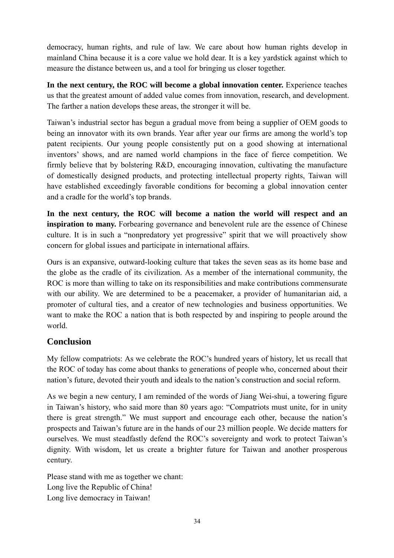democracy, human rights, and rule of law. We care about how human rights develop in mainland China because it is a core value we hold dear. It is a key yardstick against which to measure the distance between us, and a tool for bringing us closer together.

**In the next century, the ROC will become a global innovation center.** Experience teaches us that the greatest amount of added value comes from innovation, research, and development. The farther a nation develops these areas, the stronger it will be.

Taiwan's industrial sector has begun a gradual move from being a supplier of OEM goods to being an innovator with its own brands. Year after year our firms are among the world's top patent recipients. Our young people consistently put on a good showing at international inventors' shows, and are named world champions in the face of fierce competition. We firmly believe that by bolstering R&D, encouraging innovation, cultivating the manufacture of domestically designed products, and protecting intellectual property rights, Taiwan will have established exceedingly favorable conditions for becoming a global innovation center and a cradle for the world's top brands.

**In the next century, the ROC will become a nation the world will respect and an inspiration to many.** Forbearing governance and benevolent rule are the essence of Chinese culture. It is in such a "nonpredatory yet progressive" spirit that we will proactively show concern for global issues and participate in international affairs.

Ours is an expansive, outward-looking culture that takes the seven seas as its home base and the globe as the cradle of its civilization. As a member of the international community, the ROC is more than willing to take on its responsibilities and make contributions commensurate with our ability. We are determined to be a peacemaker, a provider of humanitarian aid, a promoter of cultural ties, and a creator of new technologies and business opportunities. We want to make the ROC a nation that is both respected by and inspiring to people around the world.

# **Conclusion**

My fellow compatriots: As we celebrate the ROC's hundred years of history, let us recall that the ROC of today has come about thanks to generations of people who, concerned about their nation's future, devoted their youth and ideals to the nation's construction and social reform.

As we begin a new century, I am reminded of the words of Jiang Wei-shui, a towering figure in Taiwan's history, who said more than 80 years ago: "Compatriots must unite, for in unity there is great strength." We must support and encourage each other, because the nation's prospects and Taiwan's future are in the hands of our 23 million people. We decide matters for ourselves. We must steadfastly defend the ROC's sovereignty and work to protect Taiwan's dignity. With wisdom, let us create a brighter future for Taiwan and another prosperous century.

Please stand with me as together we chant: Long live the Republic of China! Long live democracy in Taiwan!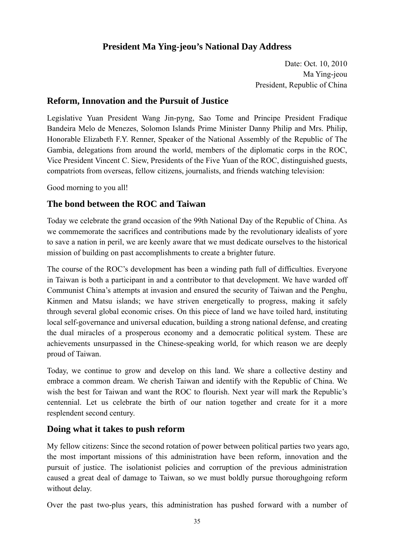# **President Ma Ying-jeou's National Day Address**

Date: Oct. 10, 2010 Ma Ying-jeou President, Republic of China

## **Reform, Innovation and the Pursuit of Justice**

Legislative Yuan President Wang Jin-pyng, Sao Tome and Principe President Fradique Bandeira Melo de Menezes, Solomon Islands Prime Minister Danny Philip and Mrs. Philip, Honorable Elizabeth F.Y. Renner, Speaker of the National Assembly of the Republic of The Gambia, delegations from around the world, members of the diplomatic corps in the ROC, Vice President Vincent C. Siew, Presidents of the Five Yuan of the ROC, distinguished guests, compatriots from overseas, fellow citizens, journalists, and friends watching television:

Good morning to you all!

# **The bond between the ROC and Taiwan**

Today we celebrate the grand occasion of the 99th National Day of the Republic of China. As we commemorate the sacrifices and contributions made by the revolutionary idealists of yore to save a nation in peril, we are keenly aware that we must dedicate ourselves to the historical mission of building on past accomplishments to create a brighter future.

The course of the ROC's development has been a winding path full of difficulties. Everyone in Taiwan is both a participant in and a contributor to that development. We have warded off Communist China's attempts at invasion and ensured the security of Taiwan and the Penghu, Kinmen and Matsu islands; we have striven energetically to progress, making it safely through several global economic crises. On this piece of land we have toiled hard, instituting local self-governance and universal education, building a strong national defense, and creating the dual miracles of a prosperous economy and a democratic political system. These are achievements unsurpassed in the Chinese-speaking world, for which reason we are deeply proud of Taiwan.

Today, we continue to grow and develop on this land. We share a collective destiny and embrace a common dream. We cherish Taiwan and identify with the Republic of China. We wish the best for Taiwan and want the ROC to flourish. Next year will mark the Republic's centennial. Let us celebrate the birth of our nation together and create for it a more resplendent second century.

# **Doing what it takes to push reform**

My fellow citizens: Since the second rotation of power between political parties two years ago, the most important missions of this administration have been reform, innovation and the pursuit of justice. The isolationist policies and corruption of the previous administration caused a great deal of damage to Taiwan, so we must boldly pursue thoroughgoing reform without delay.

Over the past two-plus years, this administration has pushed forward with a number of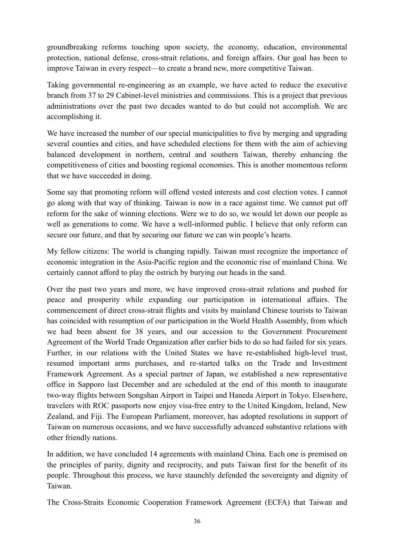groundbreaking reforms touching upon society, the economy, education, environmental protection, national defense, cross-strait relations, and foreign affairs. Our goal has been to improve Taiwan in every respect—to create a brand new, more competitive Taiwan.

Taking governmental re-engineering as an example, we have acted to reduce the executive branch from 37 to 29 Cabinet-level ministries and commissions. This is a project that previous administrations over the past two decades wanted to do but could not accomplish. We are accomplishing it.

We have increased the number of our special municipalities to five by merging and upgrading several counties and cities, and have scheduled elections for them with the aim of achieving balanced development in northern, central and southern Taiwan, thereby enhancing the competitiveness of cities and boosting regional economies. This is another momentous reform that we have succeeded in doing.

Some say that promoting reform will offend vested interests and cost election votes. I cannot go along with that way of thinking. Taiwan is now in a race against time. We cannot put off reform for the sake of winning elections. Were we to do so, we would let down our people as well as generations to come. We have a well-informed public. I believe that only reform can secure our future, and that by securing our future we can win people's hearts.

My fellow citizens: The world is changing rapidly. Taiwan must recognize the importance of economic integration in the Asia-Pacific region and the economic rise of mainland China. We certainly cannot afford to play the ostrich by burying our heads in the sand.

Over the past two years and more, we have improved cross-strait relations and pushed for peace and prosperity while expanding our participation in international affairs. The commencement of direct cross-strait flights and visits by mainland Chinese tourists to Taiwan has coincided with resumption of our participation in the World Health Assembly, from which we had been absent for 38 years, and our accession to the Government Procurement Agreement of the World Trade Organization after earlier bids to do so had failed for six years. Further, in our relations with the United States we have re-established high-level trust, resumed important arms purchases, and re-started talks on the Trade and Investment Framework Agreement. As a special partner of Japan, we established a new representative office in Sapporo last December and are scheduled at the end of this month to inaugurate two-way flights between Songshan Airport in Taipei and Haneda Airport in Tokyo. Elsewhere, travelers with ROC passports now enjoy visa-free entry to the United Kingdom, Ireland, New Zealand, and Fiji. The European Parliament, moreover, has adopted resolutions in support of Taiwan on numerous occasions, and we have successfully advanced substantive relations with other friendly nations.

In addition, we have concluded 14 agreements with mainland China. Each one is premised on the principles of parity, dignity and reciprocity, and puts Taiwan first for the benefit of its people. Throughout this process, we have staunchly defended the sovereignty and dignity of Taiwan.

The Cross-Straits Economic Cooperation Framework Agreement (ECFA) that Taiwan and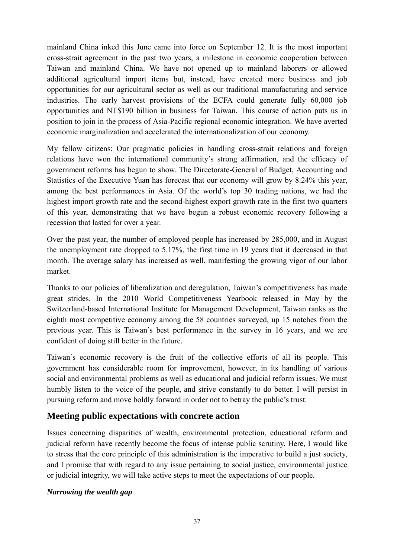mainland China inked this June came into force on September 12. It is the most important cross-strait agreement in the past two years, a milestone in economic cooperation between Taiwan and mainland China. We have not opened up to mainland laborers or allowed additional agricultural import items but, instead, have created more business and job opportunities for our agricultural sector as well as our traditional manufacturing and service industries. The early harvest provisions of the ECFA could generate fully 60,000 job opportunities and NT\$190 billion in business for Taiwan. This course of action puts us in position to join in the process of Asia-Pacific regional economic integration. We have averted economic marginalization and accelerated the internationalization of our economy.

My fellow citizens: Our pragmatic policies in handling cross-strait relations and foreign relations have won the international community's strong affirmation, and the efficacy of government reforms has begun to show. The Directorate-General of Budget, Accounting and Statistics of the Executive Yuan has forecast that our economy will grow by 8.24% this year, among the best performances in Asia. Of the world's top 30 trading nations, we had the highest import growth rate and the second-highest export growth rate in the first two quarters of this year, demonstrating that we have begun a robust economic recovery following a recession that lasted for over a year.

Over the past year, the number of employed people has increased by 285,000, and in August the unemployment rate dropped to 5.17%, the first time in 19 years that it decreased in that month. The average salary has increased as well, manifesting the growing vigor of our labor market.

Thanks to our policies of liberalization and deregulation, Taiwan's competitiveness has made great strides. In the 2010 World Competitiveness Yearbook released in May by the Switzerland-based International Institute for Management Development, Taiwan ranks as the eighth most competitive economy among the 58 countries surveyed, up 15 notches from the previous year. This is Taiwan's best performance in the survey in 16 years, and we are confident of doing still better in the future.

Taiwan's economic recovery is the fruit of the collective efforts of all its people. This government has considerable room for improvement, however, in its handling of various social and environmental problems as well as educational and judicial reform issues. We must humbly listen to the voice of the people, and strive constantly to do better. I will persist in pursuing reform and move boldly forward in order not to betray the public's trust.

# **Meeting public expectations with concrete action**

Issues concerning disparities of wealth, environmental protection, educational reform and judicial reform have recently become the focus of intense public scrutiny. Here, I would like to stress that the core principle of this administration is the imperative to build a just society, and I promise that with regard to any issue pertaining to social justice, environmental justice or judicial integrity, we will take active steps to meet the expectations of our people.

#### *Narrowing the wealth gap*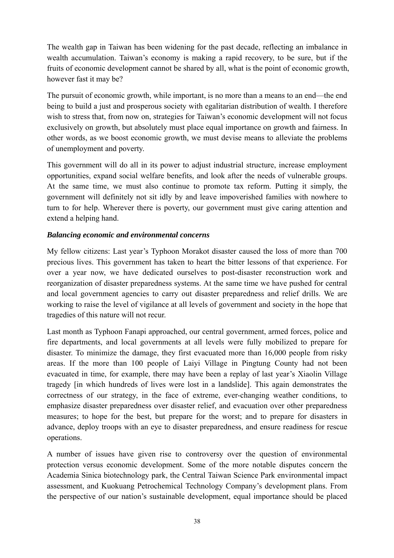The wealth gap in Taiwan has been widening for the past decade, reflecting an imbalance in wealth accumulation. Taiwan's economy is making a rapid recovery, to be sure, but if the fruits of economic development cannot be shared by all, what is the point of economic growth, however fast it may be?

The pursuit of economic growth, while important, is no more than a means to an end—the end being to build a just and prosperous society with egalitarian distribution of wealth. I therefore wish to stress that, from now on, strategies for Taiwan's economic development will not focus exclusively on growth, but absolutely must place equal importance on growth and fairness. In other words, as we boost economic growth, we must devise means to alleviate the problems of unemployment and poverty.

This government will do all in its power to adjust industrial structure, increase employment opportunities, expand social welfare benefits, and look after the needs of vulnerable groups. At the same time, we must also continue to promote tax reform. Putting it simply, the government will definitely not sit idly by and leave impoverished families with nowhere to turn to for help. Wherever there is poverty, our government must give caring attention and extend a helping hand.

#### *Balancing economic and environmental concerns*

My fellow citizens: Last year's Typhoon Morakot disaster caused the loss of more than 700 precious lives. This government has taken to heart the bitter lessons of that experience. For over a year now, we have dedicated ourselves to post-disaster reconstruction work and reorganization of disaster preparedness systems. At the same time we have pushed for central and local government agencies to carry out disaster preparedness and relief drills. We are working to raise the level of vigilance at all levels of government and society in the hope that tragedies of this nature will not recur.

Last month as Typhoon Fanapi approached, our central government, armed forces, police and fire departments, and local governments at all levels were fully mobilized to prepare for disaster. To minimize the damage, they first evacuated more than 16,000 people from risky areas. If the more than 100 people of Laiyi Village in Pingtung County had not been evacuated in time, for example, there may have been a replay of last year's Xiaolin Village tragedy [in which hundreds of lives were lost in a landslide]. This again demonstrates the correctness of our strategy, in the face of extreme, ever-changing weather conditions, to emphasize disaster preparedness over disaster relief, and evacuation over other preparedness measures; to hope for the best, but prepare for the worst; and to prepare for disasters in advance, deploy troops with an eye to disaster preparedness, and ensure readiness for rescue operations.

A number of issues have given rise to controversy over the question of environmental protection versus economic development. Some of the more notable disputes concern the Academia Sinica biotechnology park, the Central Taiwan Science Park environmental impact assessment, and Kuokuang Petrochemical Technology Company's development plans. From the perspective of our nation's sustainable development, equal importance should be placed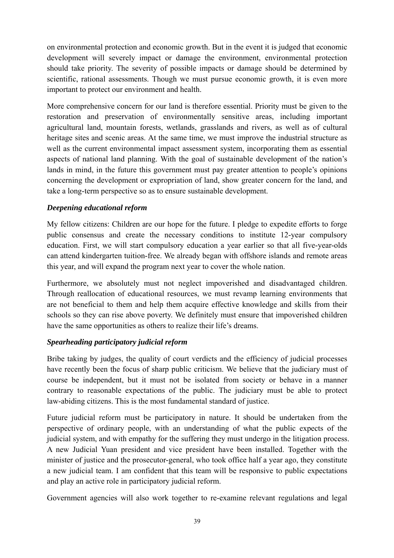on environmental protection and economic growth. But in the event it is judged that economic development will severely impact or damage the environment, environmental protection should take priority. The severity of possible impacts or damage should be determined by scientific, rational assessments. Though we must pursue economic growth, it is even more important to protect our environment and health.

More comprehensive concern for our land is therefore essential. Priority must be given to the restoration and preservation of environmentally sensitive areas, including important agricultural land, mountain forests, wetlands, grasslands and rivers, as well as of cultural heritage sites and scenic areas. At the same time, we must improve the industrial structure as well as the current environmental impact assessment system, incorporating them as essential aspects of national land planning. With the goal of sustainable development of the nation's lands in mind, in the future this government must pay greater attention to people's opinions concerning the development or expropriation of land, show greater concern for the land, and take a long-term perspective so as to ensure sustainable development.

#### *Deepening educational reform*

My fellow citizens: Children are our hope for the future. I pledge to expedite efforts to forge public consensus and create the necessary conditions to institute 12-year compulsory education. First, we will start compulsory education a year earlier so that all five-year-olds can attend kindergarten tuition-free. We already began with offshore islands and remote areas this year, and will expand the program next year to cover the whole nation.

Furthermore, we absolutely must not neglect impoverished and disadvantaged children. Through reallocation of educational resources, we must revamp learning environments that are not beneficial to them and help them acquire effective knowledge and skills from their schools so they can rise above poverty. We definitely must ensure that impoverished children have the same opportunities as others to realize their life's dreams.

## *Spearheading participatory judicial reform*

Bribe taking by judges, the quality of court verdicts and the efficiency of judicial processes have recently been the focus of sharp public criticism. We believe that the judiciary must of course be independent, but it must not be isolated from society or behave in a manner contrary to reasonable expectations of the public. The judiciary must be able to protect law-abiding citizens. This is the most fundamental standard of justice.

Future judicial reform must be participatory in nature. It should be undertaken from the perspective of ordinary people, with an understanding of what the public expects of the judicial system, and with empathy for the suffering they must undergo in the litigation process. A new Judicial Yuan president and vice president have been installed. Together with the minister of justice and the prosecutor-general, who took office half a year ago, they constitute a new judicial team. I am confident that this team will be responsive to public expectations and play an active role in participatory judicial reform.

Government agencies will also work together to re-examine relevant regulations and legal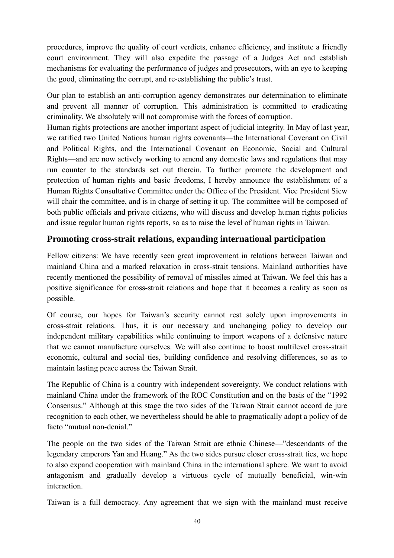procedures, improve the quality of court verdicts, enhance efficiency, and institute a friendly court environment. They will also expedite the passage of a Judges Act and establish mechanisms for evaluating the performance of judges and prosecutors, with an eye to keeping the good, eliminating the corrupt, and re-establishing the public's trust.

Our plan to establish an anti-corruption agency demonstrates our determination to eliminate and prevent all manner of corruption. This administration is committed to eradicating criminality. We absolutely will not compromise with the forces of corruption.

Human rights protections are another important aspect of judicial integrity. In May of last year, we ratified two United Nations human rights covenants—the International Covenant on Civil and Political Rights, and the International Covenant on Economic, Social and Cultural Rights—and are now actively working to amend any domestic laws and regulations that may run counter to the standards set out therein. To further promote the development and protection of human rights and basic freedoms, I hereby announce the establishment of a Human Rights Consultative Committee under the Office of the President. Vice President Siew will chair the committee, and is in charge of setting it up. The committee will be composed of both public officials and private citizens, who will discuss and develop human rights policies and issue regular human rights reports, so as to raise the level of human rights in Taiwan.

# **Promoting cross-strait relations, expanding international participation**

Fellow citizens: We have recently seen great improvement in relations between Taiwan and mainland China and a marked relaxation in cross-strait tensions. Mainland authorities have recently mentioned the possibility of removal of missiles aimed at Taiwan. We feel this has a positive significance for cross-strait relations and hope that it becomes a reality as soon as possible.

Of course, our hopes for Taiwan's security cannot rest solely upon improvements in cross-strait relations. Thus, it is our necessary and unchanging policy to develop our independent military capabilities while continuing to import weapons of a defensive nature that we cannot manufacture ourselves. We will also continue to boost multilevel cross-strait economic, cultural and social ties, building confidence and resolving differences, so as to maintain lasting peace across the Taiwan Strait.

The Republic of China is a country with independent sovereignty. We conduct relations with mainland China under the framework of the ROC Constitution and on the basis of the "1992 Consensus." Although at this stage the two sides of the Taiwan Strait cannot accord de jure recognition to each other, we nevertheless should be able to pragmatically adopt a policy of de facto "mutual non-denial"

The people on the two sides of the Taiwan Strait are ethnic Chinese—"descendants of the legendary emperors Yan and Huang." As the two sides pursue closer cross-strait ties, we hope to also expand cooperation with mainland China in the international sphere. We want to avoid antagonism and gradually develop a virtuous cycle of mutually beneficial, win-win interaction.

Taiwan is a full democracy. Any agreement that we sign with the mainland must receive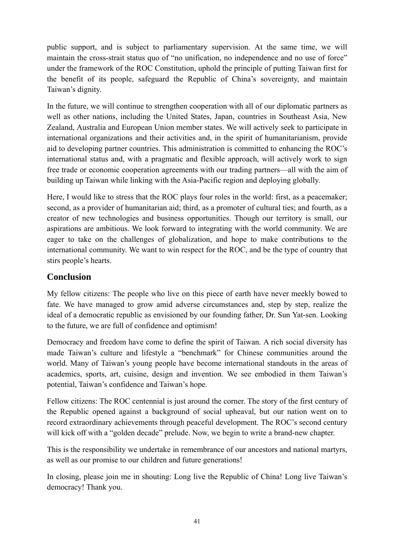public support, and is subject to parliamentary supervision. At the same time, we will maintain the cross-strait status quo of "no unification, no independence and no use of force" under the framework of the ROC Constitution, uphold the principle of putting Taiwan first for the benefit of its people, safeguard the Republic of China's sovereignty, and maintain Taiwan's dignity.

In the future, we will continue to strengthen cooperation with all of our diplomatic partners as well as other nations, including the United States, Japan, countries in Southeast Asia, New Zealand, Australia and European Union member states. We will actively seek to participate in international organizations and their activities and, in the spirit of humanitarianism, provide aid to developing partner countries. This administration is committed to enhancing the ROC's international status and, with a pragmatic and flexible approach, will actively work to sign free trade or economic cooperation agreements with our trading partners—all with the aim of building up Taiwan while linking with the Asia-Pacific region and deploying globally.

Here, I would like to stress that the ROC plays four roles in the world: first, as a peacemaker; second, as a provider of humanitarian aid; third, as a promoter of cultural ties; and fourth, as a creator of new technologies and business opportunities. Though our territory is small, our aspirations are ambitious. We look forward to integrating with the world community. We are eager to take on the challenges of globalization, and hope to make contributions to the international community. We want to win respect for the ROC, and be the type of country that stirs people's hearts.

## **Conclusion**

My fellow citizens: The people who live on this piece of earth have never meekly bowed to fate. We have managed to grow amid adverse circumstances and, step by step, realize the ideal of a democratic republic as envisioned by our founding father, Dr. Sun Yat-sen. Looking to the future, we are full of confidence and optimism!

Democracy and freedom have come to define the spirit of Taiwan. A rich social diversity has made Taiwan's culture and lifestyle a "benchmark" for Chinese communities around the world. Many of Taiwan's young people have become international standouts in the areas of academics, sports, art, cuisine, design and invention. We see embodied in them Taiwan's potential, Taiwan's confidence and Taiwan's hope.

Fellow citizens: The ROC centennial is just around the corner. The story of the first century of the Republic opened against a background of social upheaval, but our nation went on to record extraordinary achievements through peaceful development. The ROC's second century will kick off with a "golden decade" prelude. Now, we begin to write a brand-new chapter.

This is the responsibility we undertake in remembrance of our ancestors and national martyrs, as well as our promise to our children and future generations!

In closing, please join me in shouting: Long live the Republic of China! Long live Taiwan's democracy! Thank you.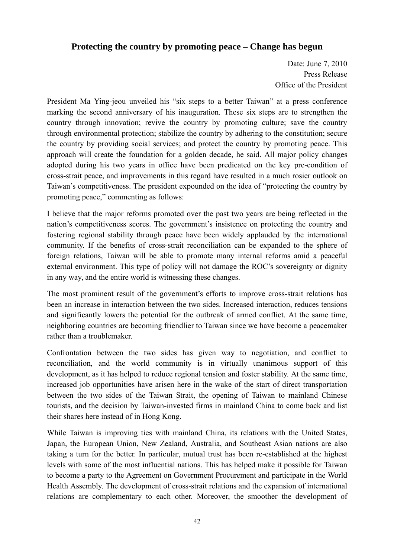# **Protecting the country by promoting peace – Change has begun**

Date: June 7, 2010 Press Release Office of the President

President Ma Ying-jeou unveiled his "six steps to a better Taiwan" at a press conference marking the second anniversary of his inauguration. These six steps are to strengthen the country through innovation; revive the country by promoting culture; save the country through environmental protection; stabilize the country by adhering to the constitution; secure the country by providing social services; and protect the country by promoting peace. This approach will create the foundation for a golden decade, he said. All major policy changes adopted during his two years in office have been predicated on the key pre-condition of cross-strait peace, and improvements in this regard have resulted in a much rosier outlook on Taiwan's competitiveness. The president expounded on the idea of "protecting the country by promoting peace," commenting as follows:

I believe that the major reforms promoted over the past two years are being reflected in the nation's competitiveness scores. The government's insistence on protecting the country and fostering regional stability through peace have been widely applauded by the international community. If the benefits of cross-strait reconciliation can be expanded to the sphere of foreign relations, Taiwan will be able to promote many internal reforms amid a peaceful external environment. This type of policy will not damage the ROC's sovereignty or dignity in any way, and the entire world is witnessing these changes.

The most prominent result of the government's efforts to improve cross-strait relations has been an increase in interaction between the two sides. Increased interaction, reduces tensions and significantly lowers the potential for the outbreak of armed conflict. At the same time, neighboring countries are becoming friendlier to Taiwan since we have become a peacemaker rather than a troublemaker.

Confrontation between the two sides has given way to negotiation, and conflict to reconciliation, and the world community is in virtually unanimous support of this development, as it has helped to reduce regional tension and foster stability. At the same time, increased job opportunities have arisen here in the wake of the start of direct transportation between the two sides of the Taiwan Strait, the opening of Taiwan to mainland Chinese tourists, and the decision by Taiwan-invested firms in mainland China to come back and list their shares here instead of in Hong Kong.

While Taiwan is improving ties with mainland China, its relations with the United States, Japan, the European Union, New Zealand, Australia, and Southeast Asian nations are also taking a turn for the better. In particular, mutual trust has been re-established at the highest levels with some of the most influential nations. This has helped make it possible for Taiwan to become a party to the Agreement on Government Procurement and participate in the World Health Assembly. The development of cross-strait relations and the expansion of international relations are complementary to each other. Moreover, the smoother the development of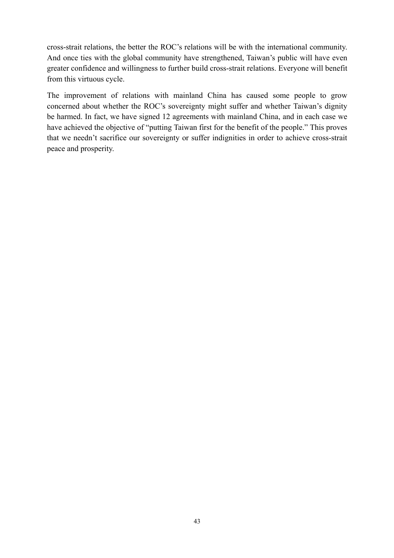cross-strait relations, the better the ROC's relations will be with the international community. And once ties with the global community have strengthened, Taiwan's public will have even greater confidence and willingness to further build cross-strait relations. Everyone will benefit from this virtuous cycle.

The improvement of relations with mainland China has caused some people to grow concerned about whether the ROC's sovereignty might suffer and whether Taiwan's dignity be harmed. In fact, we have signed 12 agreements with mainland China, and in each case we have achieved the objective of "putting Taiwan first for the benefit of the people." This proves that we needn't sacrifice our sovereignty or suffer indignities in order to achieve cross-strait peace and prosperity.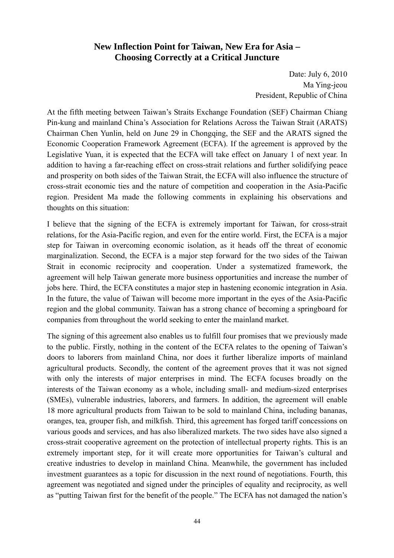# **New Inflection Point for Taiwan, New Era for Asia – Choosing Correctly at a Critical Juncture**

Date: July 6, 2010 Ma Ying-jeou President, Republic of China

At the fifth meeting between Taiwan's Straits Exchange Foundation (SEF) Chairman Chiang Pin-kung and mainland China's Association for Relations Across the Taiwan Strait (ARATS) Chairman Chen Yunlin, held on June 29 in Chongqing, the SEF and the ARATS signed the Economic Cooperation Framework Agreement (ECFA). If the agreement is approved by the Legislative Yuan, it is expected that the ECFA will take effect on January 1 of next year. In addition to having a far-reaching effect on cross-strait relations and further solidifying peace and prosperity on both sides of the Taiwan Strait, the ECFA will also influence the structure of cross-strait economic ties and the nature of competition and cooperation in the Asia-Pacific region. President Ma made the following comments in explaining his observations and thoughts on this situation:

I believe that the signing of the ECFA is extremely important for Taiwan, for cross-strait relations, for the Asia-Pacific region, and even for the entire world. First, the ECFA is a major step for Taiwan in overcoming economic isolation, as it heads off the threat of economic marginalization. Second, the ECFA is a major step forward for the two sides of the Taiwan Strait in economic reciprocity and cooperation. Under a systematized framework, the agreement will help Taiwan generate more business opportunities and increase the number of jobs here. Third, the ECFA constitutes a major step in hastening economic integration in Asia. In the future, the value of Taiwan will become more important in the eyes of the Asia-Pacific region and the global community. Taiwan has a strong chance of becoming a springboard for companies from throughout the world seeking to enter the mainland market.

The signing of this agreement also enables us to fulfill four promises that we previously made to the public. Firstly, nothing in the content of the ECFA relates to the opening of Taiwan's doors to laborers from mainland China, nor does it further liberalize imports of mainland agricultural products. Secondly, the content of the agreement proves that it was not signed with only the interests of major enterprises in mind. The ECFA focuses broadly on the interests of the Taiwan economy as a whole, including small- and medium-sized enterprises (SMEs), vulnerable industries, laborers, and farmers. In addition, the agreement will enable 18 more agricultural products from Taiwan to be sold to mainland China, including bananas, oranges, tea, grouper fish, and milkfish. Third, this agreement has forged tariff concessions on various goods and services, and has also liberalized markets. The two sides have also signed a cross-strait cooperative agreement on the protection of intellectual property rights. This is an extremely important step, for it will create more opportunities for Taiwan's cultural and creative industries to develop in mainland China. Meanwhile, the government has included investment guarantees as a topic for discussion in the next round of negotiations. Fourth, this agreement was negotiated and signed under the principles of equality and reciprocity, as well as "putting Taiwan first for the benefit of the people." The ECFA has not damaged the nation's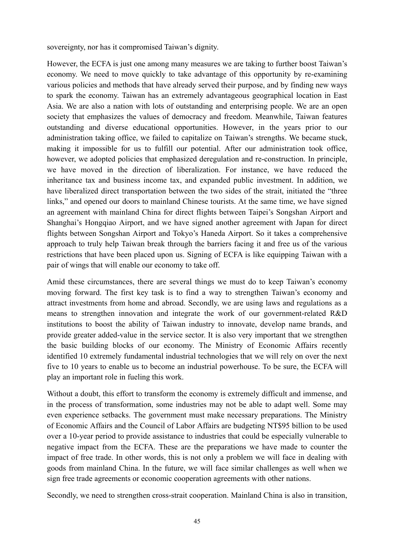sovereignty, nor has it compromised Taiwan's dignity.

However, the ECFA is just one among many measures we are taking to further boost Taiwan's economy. We need to move quickly to take advantage of this opportunity by re-examining various policies and methods that have already served their purpose, and by finding new ways to spark the economy. Taiwan has an extremely advantageous geographical location in East Asia. We are also a nation with lots of outstanding and enterprising people. We are an open society that emphasizes the values of democracy and freedom. Meanwhile, Taiwan features outstanding and diverse educational opportunities. However, in the years prior to our administration taking office, we failed to capitalize on Taiwan's strengths. We became stuck, making it impossible for us to fulfill our potential. After our administration took office, however, we adopted policies that emphasized deregulation and re-construction. In principle, we have moved in the direction of liberalization. For instance, we have reduced the inheritance tax and business income tax, and expanded public investment. In addition, we have liberalized direct transportation between the two sides of the strait, initiated the "three links," and opened our doors to mainland Chinese tourists. At the same time, we have signed an agreement with mainland China for direct flights between Taipei's Songshan Airport and Shanghai's Hongqiao Airport, and we have signed another agreement with Japan for direct flights between Songshan Airport and Tokyo's Haneda Airport. So it takes a comprehensive approach to truly help Taiwan break through the barriers facing it and free us of the various restrictions that have been placed upon us. Signing of ECFA is like equipping Taiwan with a pair of wings that will enable our economy to take off.

Amid these circumstances, there are several things we must do to keep Taiwan's economy moving forward. The first key task is to find a way to strengthen Taiwan's economy and attract investments from home and abroad. Secondly, we are using laws and regulations as a means to strengthen innovation and integrate the work of our government-related R&D institutions to boost the ability of Taiwan industry to innovate, develop name brands, and provide greater added-value in the service sector. It is also very important that we strengthen the basic building blocks of our economy. The Ministry of Economic Affairs recently identified 10 extremely fundamental industrial technologies that we will rely on over the next five to 10 years to enable us to become an industrial powerhouse. To be sure, the ECFA will play an important role in fueling this work.

Without a doubt, this effort to transform the economy is extremely difficult and immense, and in the process of transformation, some industries may not be able to adapt well. Some may even experience setbacks. The government must make necessary preparations. The Ministry of Economic Affairs and the Council of Labor Affairs are budgeting NT\$95 billion to be used over a 10-year period to provide assistance to industries that could be especially vulnerable to negative impact from the ECFA. These are the preparations we have made to counter the impact of free trade. In other words, this is not only a problem we will face in dealing with goods from mainland China. In the future, we will face similar challenges as well when we sign free trade agreements or economic cooperation agreements with other nations.

Secondly, we need to strengthen cross-strait cooperation. Mainland China is also in transition,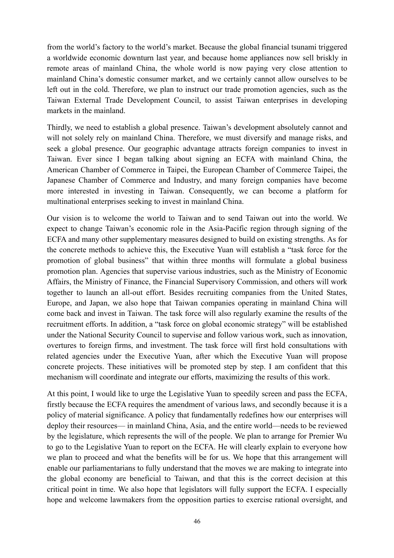from the world's factory to the world's market. Because the global financial tsunami triggered a worldwide economic downturn last year, and because home appliances now sell briskly in remote areas of mainland China, the whole world is now paying very close attention to mainland China's domestic consumer market, and we certainly cannot allow ourselves to be left out in the cold. Therefore, we plan to instruct our trade promotion agencies, such as the Taiwan External Trade Development Council, to assist Taiwan enterprises in developing markets in the mainland.

Thirdly, we need to establish a global presence. Taiwan's development absolutely cannot and will not solely rely on mainland China. Therefore, we must diversify and manage risks, and seek a global presence. Our geographic advantage attracts foreign companies to invest in Taiwan. Ever since I began talking about signing an ECFA with mainland China, the American Chamber of Commerce in Taipei, the European Chamber of Commerce Taipei, the Japanese Chamber of Commerce and Industry, and many foreign companies have become more interested in investing in Taiwan. Consequently, we can become a platform for multinational enterprises seeking to invest in mainland China.

Our vision is to welcome the world to Taiwan and to send Taiwan out into the world. We expect to change Taiwan's economic role in the Asia-Pacific region through signing of the ECFA and many other supplementary measures designed to build on existing strengths. As for the concrete methods to achieve this, the Executive Yuan will establish a "task force for the promotion of global business" that within three months will formulate a global business promotion plan. Agencies that supervise various industries, such as the Ministry of Economic Affairs, the Ministry of Finance, the Financial Supervisory Commission, and others will work together to launch an all-out effort. Besides recruiting companies from the United States, Europe, and Japan, we also hope that Taiwan companies operating in mainland China will come back and invest in Taiwan. The task force will also regularly examine the results of the recruitment efforts. In addition, a "task force on global economic strategy" will be established under the National Security Council to supervise and follow various work, such as innovation, overtures to foreign firms, and investment. The task force will first hold consultations with related agencies under the Executive Yuan, after which the Executive Yuan will propose concrete projects. These initiatives will be promoted step by step. I am confident that this mechanism will coordinate and integrate our efforts, maximizing the results of this work.

At this point, I would like to urge the Legislative Yuan to speedily screen and pass the ECFA, firstly because the ECFA requires the amendment of various laws, and secondly because it is a policy of material significance. A policy that fundamentally redefines how our enterprises will deploy their resources— in mainland China, Asia, and the entire world—needs to be reviewed by the legislature, which represents the will of the people. We plan to arrange for Premier Wu to go to the Legislative Yuan to report on the ECFA. He will clearly explain to everyone how we plan to proceed and what the benefits will be for us. We hope that this arrangement will enable our parliamentarians to fully understand that the moves we are making to integrate into the global economy are beneficial to Taiwan, and that this is the correct decision at this critical point in time. We also hope that legislators will fully support the ECFA. I especially hope and welcome lawmakers from the opposition parties to exercise rational oversight, and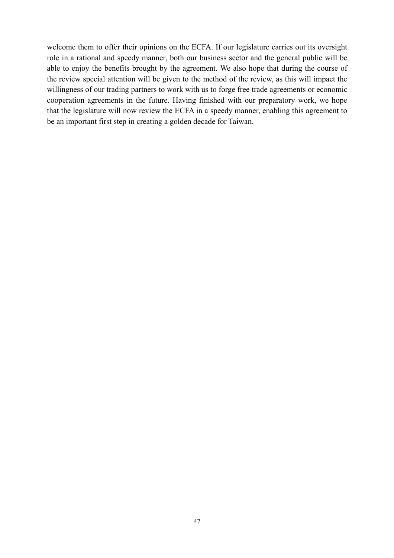welcome them to offer their opinions on the ECFA. If our legislature carries out its oversight role in a rational and speedy manner, both our business sector and the general public will be able to enjoy the benefits brought by the agreement. We also hope that during the course of the review special attention will be given to the method of the review, as this will impact the willingness of our trading partners to work with us to forge free trade agreements or economic cooperation agreements in the future. Having finished with our preparatory work, we hope that the legislature will now review the ECFA in a speedy manner, enabling this agreement to be an important first step in creating a golden decade for Taiwan.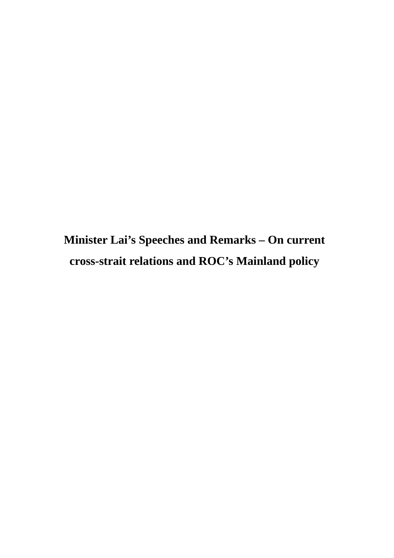**Minister Lai's Speeches and Remarks – On current cross-strait relations and ROC's Mainland policy**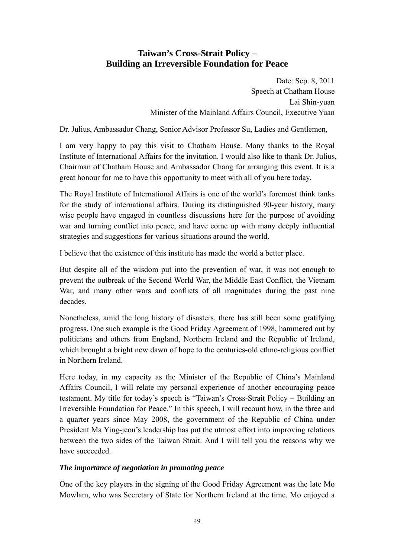## **Taiwan's Cross-Strait Policy – Building an Irreversible Foundation for Peace**

Date: Sep. 8, 2011 Speech at Chatham House Lai Shin-yuan Minister of the Mainland Affairs Council, Executive Yuan

Dr. Julius, Ambassador Chang, Senior Advisor Professor Su, Ladies and Gentlemen,

I am very happy to pay this visit to Chatham House. Many thanks to the Royal Institute of International Affairs for the invitation. I would also like to thank Dr. Julius, Chairman of Chatham House and Ambassador Chang for arranging this event. It is a great honour for me to have this opportunity to meet with all of you here today.

The Royal Institute of International Affairs is one of the world's foremost think tanks for the study of international affairs. During its distinguished 90-year history, many wise people have engaged in countless discussions here for the purpose of avoiding war and turning conflict into peace, and have come up with many deeply influential strategies and suggestions for various situations around the world.

I believe that the existence of this institute has made the world a better place.

But despite all of the wisdom put into the prevention of war, it was not enough to prevent the outbreak of the Second World War, the Middle East Conflict, the Vietnam War, and many other wars and conflicts of all magnitudes during the past nine decades.

Nonetheless, amid the long history of disasters, there has still been some gratifying progress. One such example is the Good Friday Agreement of 1998, hammered out by politicians and others from England, Northern Ireland and the Republic of Ireland, which brought a bright new dawn of hope to the centuries-old ethno-religious conflict in Northern Ireland.

Here today, in my capacity as the Minister of the Republic of China's Mainland Affairs Council, I will relate my personal experience of another encouraging peace testament. My title for today's speech is "Taiwan's Cross-Strait Policy – Building an Irreversible Foundation for Peace." In this speech, I will recount how, in the three and a quarter years since May 2008, the government of the Republic of China under President Ma Ying-jeou's leadership has put the utmost effort into improving relations between the two sides of the Taiwan Strait. And I will tell you the reasons why we have succeeded.

#### *The importance of negotiation in promoting peace*

One of the key players in the signing of the Good Friday Agreement was the late Mo Mowlam, who was Secretary of State for Northern Ireland at the time. Mo enjoyed a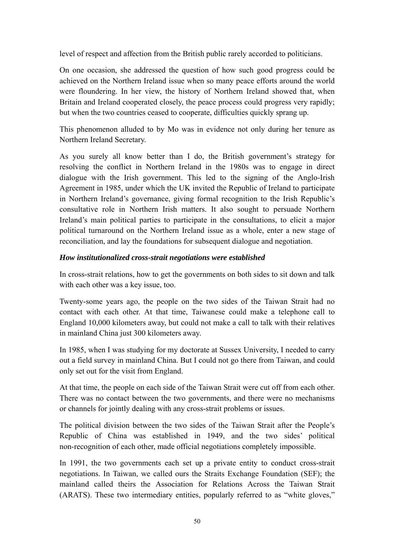level of respect and affection from the British public rarely accorded to politicians.

On one occasion, she addressed the question of how such good progress could be achieved on the Northern Ireland issue when so many peace efforts around the world were floundering. In her view, the history of Northern Ireland showed that, when Britain and Ireland cooperated closely, the peace process could progress very rapidly; but when the two countries ceased to cooperate, difficulties quickly sprang up.

This phenomenon alluded to by Mo was in evidence not only during her tenure as Northern Ireland Secretary.

As you surely all know better than I do, the British government's strategy for resolving the conflict in Northern Ireland in the 1980s was to engage in direct dialogue with the Irish government. This led to the signing of the Anglo-Irish Agreement in 1985, under which the UK invited the Republic of Ireland to participate in Northern Ireland's governance, giving formal recognition to the Irish Republic's consultative role in Northern Irish matters. It also sought to persuade Northern Ireland's main political parties to participate in the consultations, to elicit a major political turnaround on the Northern Ireland issue as a whole, enter a new stage of reconciliation, and lay the foundations for subsequent dialogue and negotiation.

#### *How institutionalized cross-strait negotiations were established*

In cross-strait relations, how to get the governments on both sides to sit down and talk with each other was a key issue, too.

Twenty-some years ago, the people on the two sides of the Taiwan Strait had no contact with each other. At that time, Taiwanese could make a telephone call to England 10,000 kilometers away, but could not make a call to talk with their relatives in mainland China just 300 kilometers away.

In 1985, when I was studying for my doctorate at Sussex University, I needed to carry out a field survey in mainland China. But I could not go there from Taiwan, and could only set out for the visit from England.

At that time, the people on each side of the Taiwan Strait were cut off from each other. There was no contact between the two governments, and there were no mechanisms or channels for jointly dealing with any cross-strait problems or issues.

The political division between the two sides of the Taiwan Strait after the People's Republic of China was established in 1949, and the two sides' political non-recognition of each other, made official negotiations completely impossible.

In 1991, the two governments each set up a private entity to conduct cross-strait negotiations. In Taiwan, we called ours the Straits Exchange Foundation (SEF); the mainland called theirs the Association for Relations Across the Taiwan Strait (ARATS). These two intermediary entities, popularly referred to as "white gloves,"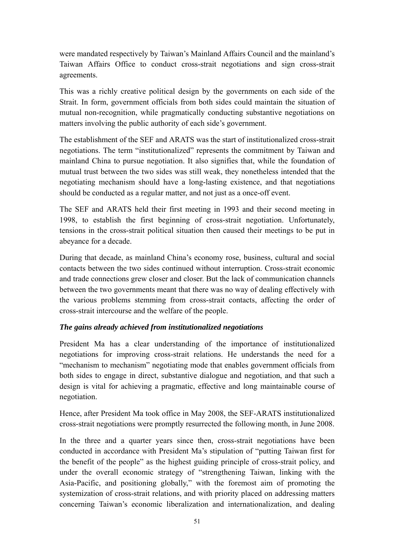were mandated respectively by Taiwan's Mainland Affairs Council and the mainland's Taiwan Affairs Office to conduct cross-strait negotiations and sign cross-strait agreements.

This was a richly creative political design by the governments on each side of the Strait. In form, government officials from both sides could maintain the situation of mutual non-recognition, while pragmatically conducting substantive negotiations on matters involving the public authority of each side's government.

The establishment of the SEF and ARATS was the start of institutionalized cross-strait negotiations. The term "institutionalized" represents the commitment by Taiwan and mainland China to pursue negotiation. It also signifies that, while the foundation of mutual trust between the two sides was still weak, they nonetheless intended that the negotiating mechanism should have a long-lasting existence, and that negotiations should be conducted as a regular matter, and not just as a once-off event.

The SEF and ARATS held their first meeting in 1993 and their second meeting in 1998, to establish the first beginning of cross-strait negotiation. Unfortunately, tensions in the cross-strait political situation then caused their meetings to be put in abeyance for a decade.

During that decade, as mainland China's economy rose, business, cultural and social contacts between the two sides continued without interruption. Cross-strait economic and trade connections grew closer and closer. But the lack of communication channels between the two governments meant that there was no way of dealing effectively with the various problems stemming from cross-strait contacts, affecting the order of cross-strait intercourse and the welfare of the people.

#### *The gains already achieved from institutionalized negotiations*

President Ma has a clear understanding of the importance of institutionalized negotiations for improving cross-strait relations. He understands the need for a "mechanism to mechanism" negotiating mode that enables government officials from both sides to engage in direct, substantive dialogue and negotiation, and that such a design is vital for achieving a pragmatic, effective and long maintainable course of negotiation.

Hence, after President Ma took office in May 2008, the SEF-ARATS institutionalized cross-strait negotiations were promptly resurrected the following month, in June 2008.

In the three and a quarter years since then, cross-strait negotiations have been conducted in accordance with President Ma's stipulation of "putting Taiwan first for the benefit of the people" as the highest guiding principle of cross-strait policy, and under the overall economic strategy of "strengthening Taiwan, linking with the Asia-Pacific, and positioning globally," with the foremost aim of promoting the systemization of cross-strait relations, and with priority placed on addressing matters concerning Taiwan's economic liberalization and internationalization, and dealing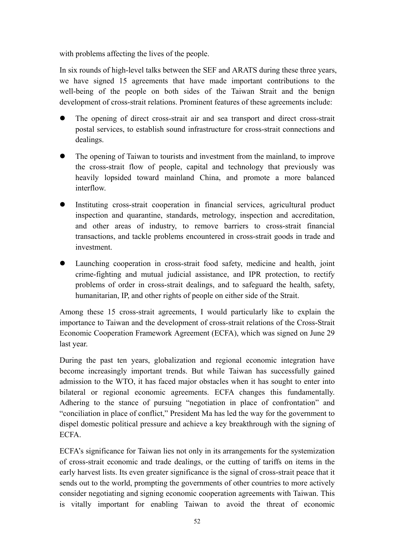with problems affecting the lives of the people.

In six rounds of high-level talks between the SEF and ARATS during these three years, we have signed 15 agreements that have made important contributions to the well-being of the people on both sides of the Taiwan Strait and the benign development of cross-strait relations. Prominent features of these agreements include:

- The opening of direct cross-strait air and sea transport and direct cross-strait postal services, to establish sound infrastructure for cross-strait connections and dealings.
- The opening of Taiwan to tourists and investment from the mainland, to improve the cross-strait flow of people, capital and technology that previously was heavily lopsided toward mainland China, and promote a more balanced interflow.
- Instituting cross-strait cooperation in financial services, agricultural product inspection and quarantine, standards, metrology, inspection and accreditation, and other areas of industry, to remove barriers to cross-strait financial transactions, and tackle problems encountered in cross-strait goods in trade and investment.
- Launching cooperation in cross-strait food safety, medicine and health, joint crime-fighting and mutual judicial assistance, and IPR protection, to rectify problems of order in cross-strait dealings, and to safeguard the health, safety, humanitarian, IP, and other rights of people on either side of the Strait.

Among these 15 cross-strait agreements, I would particularly like to explain the importance to Taiwan and the development of cross-strait relations of the Cross-Strait Economic Cooperation Framework Agreement (ECFA), which was signed on June 29 last year.

During the past ten years, globalization and regional economic integration have become increasingly important trends. But while Taiwan has successfully gained admission to the WTO, it has faced major obstacles when it has sought to enter into bilateral or regional economic agreements. ECFA changes this fundamentally. Adhering to the stance of pursuing "negotiation in place of confrontation" and "conciliation in place of conflict," President Ma has led the way for the government to dispel domestic political pressure and achieve a key breakthrough with the signing of ECFA.

ECFA's significance for Taiwan lies not only in its arrangements for the systemization of cross-strait economic and trade dealings, or the cutting of tariffs on items in the early harvest lists. Its even greater significance is the signal of cross-strait peace that it sends out to the world, prompting the governments of other countries to more actively consider negotiating and signing economic cooperation agreements with Taiwan. This is vitally important for enabling Taiwan to avoid the threat of economic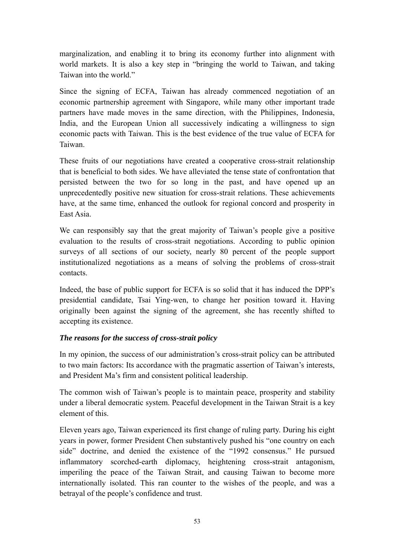marginalization, and enabling it to bring its economy further into alignment with world markets. It is also a key step in "bringing the world to Taiwan, and taking Taiwan into the world."

Since the signing of ECFA, Taiwan has already commenced negotiation of an economic partnership agreement with Singapore, while many other important trade partners have made moves in the same direction, with the Philippines, Indonesia, India, and the European Union all successively indicating a willingness to sign economic pacts with Taiwan. This is the best evidence of the true value of ECFA for Taiwan.

These fruits of our negotiations have created a cooperative cross-strait relationship that is beneficial to both sides. We have alleviated the tense state of confrontation that persisted between the two for so long in the past, and have opened up an unprecedentedly positive new situation for cross-strait relations. These achievements have, at the same time, enhanced the outlook for regional concord and prosperity in East Asia.

We can responsibly say that the great majority of Taiwan's people give a positive evaluation to the results of cross-strait negotiations. According to public opinion surveys of all sections of our society, nearly 80 percent of the people support institutionalized negotiations as a means of solving the problems of cross-strait contacts.

Indeed, the base of public support for ECFA is so solid that it has induced the DPP's presidential candidate, Tsai Ying-wen, to change her position toward it. Having originally been against the signing of the agreement, she has recently shifted to accepting its existence.

#### *The reasons for the success of cross-strait policy*

In my opinion, the success of our administration's cross-strait policy can be attributed to two main factors: Its accordance with the pragmatic assertion of Taiwan's interests, and President Ma's firm and consistent political leadership.

The common wish of Taiwan's people is to maintain peace, prosperity and stability under a liberal democratic system. Peaceful development in the Taiwan Strait is a key element of this.

Eleven years ago, Taiwan experienced its first change of ruling party. During his eight years in power, former President Chen substantively pushed his "one country on each side" doctrine, and denied the existence of the "1992 consensus." He pursued inflammatory scorched-earth diplomacy, heightening cross-strait antagonism, imperiling the peace of the Taiwan Strait, and causing Taiwan to become more internationally isolated. This ran counter to the wishes of the people, and was a betrayal of the people's confidence and trust.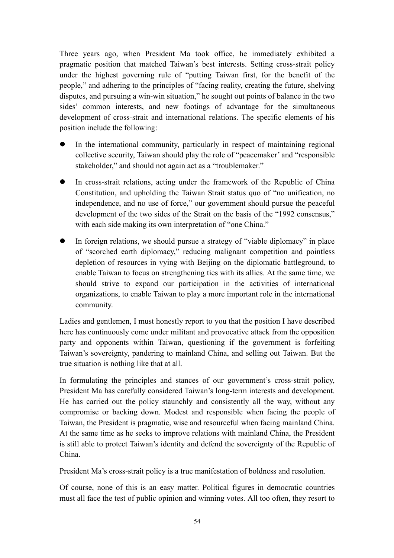Three years ago, when President Ma took office, he immediately exhibited a pragmatic position that matched Taiwan's best interests. Setting cross-strait policy under the highest governing rule of "putting Taiwan first, for the benefit of the people," and adhering to the principles of "facing reality, creating the future, shelving disputes, and pursuing a win-win situation," he sought out points of balance in the two sides' common interests, and new footings of advantage for the simultaneous development of cross-strait and international relations. The specific elements of his position include the following:

- In the international community, particularly in respect of maintaining regional collective security, Taiwan should play the role of "peacemaker' and "responsible stakeholder," and should not again act as a "troublemaker."
- In cross-strait relations, acting under the framework of the Republic of China Constitution, and upholding the Taiwan Strait status quo of "no unification, no independence, and no use of force," our government should pursue the peaceful development of the two sides of the Strait on the basis of the "1992 consensus," with each side making its own interpretation of "one China."
- In foreign relations, we should pursue a strategy of "viable diplomacy" in place of "scorched earth diplomacy," reducing malignant competition and pointless depletion of resources in vying with Beijing on the diplomatic battleground, to enable Taiwan to focus on strengthening ties with its allies. At the same time, we should strive to expand our participation in the activities of international organizations, to enable Taiwan to play a more important role in the international community.

Ladies and gentlemen, I must honestly report to you that the position I have described here has continuously come under militant and provocative attack from the opposition party and opponents within Taiwan, questioning if the government is forfeiting Taiwan's sovereignty, pandering to mainland China, and selling out Taiwan. But the true situation is nothing like that at all.

In formulating the principles and stances of our government's cross-strait policy, President Ma has carefully considered Taiwan's long-term interests and development. He has carried out the policy staunchly and consistently all the way, without any compromise or backing down. Modest and responsible when facing the people of Taiwan, the President is pragmatic, wise and resourceful when facing mainland China. At the same time as he seeks to improve relations with mainland China, the President is still able to protect Taiwan's identity and defend the sovereignty of the Republic of China.

President Ma's cross-strait policy is a true manifestation of boldness and resolution.

Of course, none of this is an easy matter. Political figures in democratic countries must all face the test of public opinion and winning votes. All too often, they resort to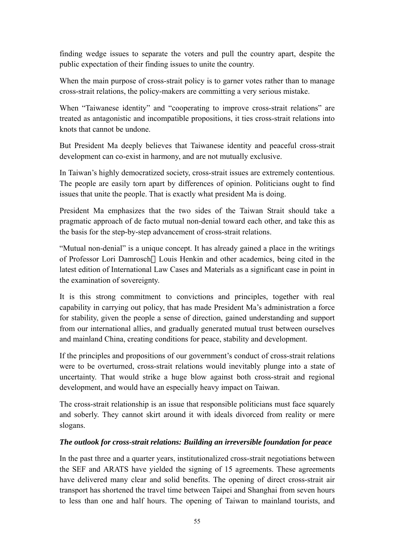finding wedge issues to separate the voters and pull the country apart, despite the public expectation of their finding issues to unite the country.

When the main purpose of cross-strait policy is to garner votes rather than to manage cross-strait relations, the policy-makers are committing a very serious mistake.

When "Taiwanese identity" and "cooperating to improve cross-strait relations" are treated as antagonistic and incompatible propositions, it ties cross-strait relations into knots that cannot be undone.

But President Ma deeply believes that Taiwanese identity and peaceful cross-strait development can co-exist in harmony, and are not mutually exclusive.

In Taiwan's highly democratized society, cross-strait issues are extremely contentious. The people are easily torn apart by differences of opinion. Politicians ought to find issues that unite the people. That is exactly what president Ma is doing.

President Ma emphasizes that the two sides of the Taiwan Strait should take a pragmatic approach of de facto mutual non-denial toward each other, and take this as the basis for the step-by-step advancement of cross-strait relations.

"Mutual non-denial" is a unique concept. It has already gained a place in the writings of Professor Lori Damrosch Louis Henkin and other academics, being cited in the latest edition of International Law Cases and Materials as a significant case in point in the examination of sovereignty.

It is this strong commitment to convictions and principles, together with real capability in carrying out policy, that has made President Ma's administration a force for stability, given the people a sense of direction, gained understanding and support from our international allies, and gradually generated mutual trust between ourselves and mainland China, creating conditions for peace, stability and development.

If the principles and propositions of our government's conduct of cross-strait relations were to be overturned, cross-strait relations would inevitably plunge into a state of uncertainty. That would strike a huge blow against both cross-strait and regional development, and would have an especially heavy impact on Taiwan.

The cross-strait relationship is an issue that responsible politicians must face squarely and soberly. They cannot skirt around it with ideals divorced from reality or mere slogans.

#### *The outlook for cross-strait relations: Building an irreversible foundation for peace*

In the past three and a quarter years, institutionalized cross-strait negotiations between the SEF and ARATS have yielded the signing of 15 agreements. These agreements have delivered many clear and solid benefits. The opening of direct cross-strait air transport has shortened the travel time between Taipei and Shanghai from seven hours to less than one and half hours. The opening of Taiwan to mainland tourists, and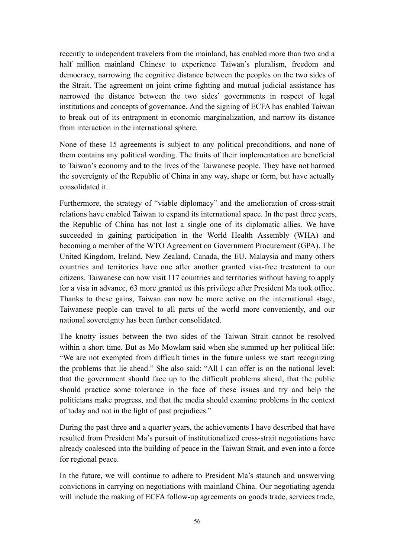recently to independent travelers from the mainland, has enabled more than two and a half million mainland Chinese to experience Taiwan's pluralism, freedom and democracy, narrowing the cognitive distance between the peoples on the two sides of the Strait. The agreement on joint crime fighting and mutual judicial assistance has narrowed the distance between the two sides' governments in respect of legal institutions and concepts of governance. And the signing of ECFA has enabled Taiwan to break out of its entrapment in economic marginalization, and narrow its distance from interaction in the international sphere.

None of these 15 agreements is subject to any political preconditions, and none of them contains any political wording. The fruits of their implementation are beneficial to Taiwan's economy and to the lives of the Taiwanese people. They have not harmed the sovereignty of the Republic of China in any way, shape or form, but have actually consolidated it.

Furthermore, the strategy of "viable diplomacy" and the amelioration of cross-strait relations have enabled Taiwan to expand its international space. In the past three years, the Republic of China has not lost a single one of its diplomatic allies. We have succeeded in gaining participation in the World Health Assembly (WHA) and becoming a member of the WTO Agreement on Government Procurement (GPA). The United Kingdom, Ireland, New Zealand, Canada, the EU, Malaysia and many others countries and territories have one after another granted visa-free treatment to our citizens. Taiwanese can now visit 117 countries and territories without having to apply for a visa in advance, 63 more granted us this privilege after President Ma took office. Thanks to these gains, Taiwan can now be more active on the international stage, Taiwanese people can travel to all parts of the world more conveniently, and our national sovereignty has been further consolidated.

The knotty issues between the two sides of the Taiwan Strait cannot be resolved within a short time. But as Mo Mowlam said when she summed up her political life: "We are not exempted from difficult times in the future unless we start recognizing the problems that lie ahead." She also said: "All I can offer is on the national level: that the government should face up to the difficult problems ahead, that the public should practice some tolerance in the face of these issues and try and help the politicians make progress, and that the media should examine problems in the context of today and not in the light of past prejudices."

During the past three and a quarter years, the achievements I have described that have resulted from President Ma's pursuit of institutionalized cross-strait negotiations have already coalesced into the building of peace in the Taiwan Strait, and even into a force for regional peace.

In the future, we will continue to adhere to President Ma's staunch and unswerving convictions in carrying on negotiations with mainland China. Our negotiating agenda will include the making of ECFA follow-up agreements on goods trade, services trade,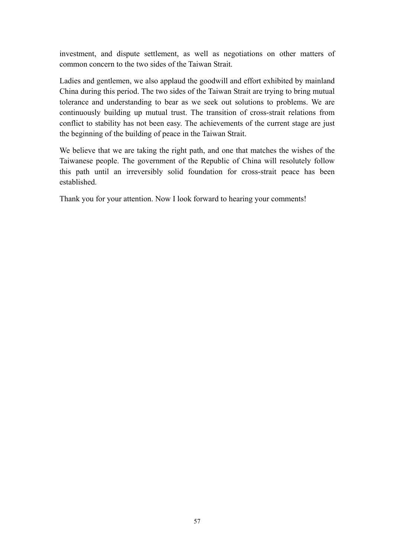investment, and dispute settlement, as well as negotiations on other matters of common concern to the two sides of the Taiwan Strait.

Ladies and gentlemen, we also applaud the goodwill and effort exhibited by mainland China during this period. The two sides of the Taiwan Strait are trying to bring mutual tolerance and understanding to bear as we seek out solutions to problems. We are continuously building up mutual trust. The transition of cross-strait relations from conflict to stability has not been easy. The achievements of the current stage are just the beginning of the building of peace in the Taiwan Strait.

We believe that we are taking the right path, and one that matches the wishes of the Taiwanese people. The government of the Republic of China will resolutely follow this path until an irreversibly solid foundation for cross-strait peace has been established.

Thank you for your attention. Now I look forward to hearing your comments!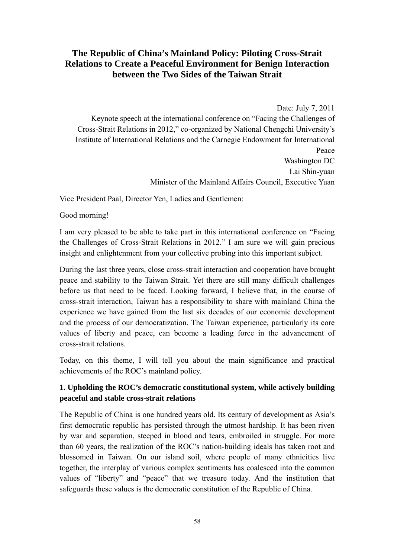# **The Republic of China's Mainland Policy: Piloting Cross-Strait Relations to Create a Peaceful Environment for Benign Interaction between the Two Sides of the Taiwan Strait**

Date: July 7, 2011 Keynote speech at the international conference on "Facing the Challenges of Cross-Strait Relations in 2012," co-organized by National Chengchi University's Institute of International Relations and the Carnegie Endowment for International Peace Washington DC Lai Shin-yuan Minister of the Mainland Affairs Council, Executive Yuan

Vice President Paal, Director Yen, Ladies and Gentlemen:

Good morning!

I am very pleased to be able to take part in this international conference on "Facing the Challenges of Cross-Strait Relations in 2012." I am sure we will gain precious insight and enlightenment from your collective probing into this important subject.

During the last three years, close cross-strait interaction and cooperation have brought peace and stability to the Taiwan Strait. Yet there are still many difficult challenges before us that need to be faced. Looking forward, I believe that, in the course of cross-strait interaction, Taiwan has a responsibility to share with mainland China the experience we have gained from the last six decades of our economic development and the process of our democratization. The Taiwan experience, particularly its core values of liberty and peace, can become a leading force in the advancement of cross-strait relations.

Today, on this theme, I will tell you about the main significance and practical achievements of the ROC's mainland policy.

## **1. Upholding the ROC's democratic constitutional system, while actively building peaceful and stable cross-strait relations**

The Republic of China is one hundred years old. Its century of development as Asia's first democratic republic has persisted through the utmost hardship. It has been riven by war and separation, steeped in blood and tears, embroiled in struggle. For more than 60 years, the realization of the ROC's nation-building ideals has taken root and blossomed in Taiwan. On our island soil, where people of many ethnicities live together, the interplay of various complex sentiments has coalesced into the common values of "liberty" and "peace" that we treasure today. And the institution that safeguards these values is the democratic constitution of the Republic of China.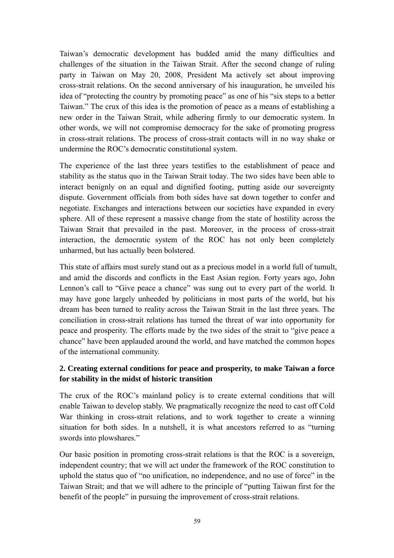Taiwan's democratic development has budded amid the many difficulties and challenges of the situation in the Taiwan Strait. After the second change of ruling party in Taiwan on May 20, 2008, President Ma actively set about improving cross-strait relations. On the second anniversary of his inauguration, he unveiled his idea of "protecting the country by promoting peace" as one of his "six steps to a better Taiwan." The crux of this idea is the promotion of peace as a means of establishing a new order in the Taiwan Strait, while adhering firmly to our democratic system. In other words, we will not compromise democracy for the sake of promoting progress in cross-strait relations. The process of cross-strait contacts will in no way shake or undermine the ROC's democratic constitutional system.

The experience of the last three years testifies to the establishment of peace and stability as the status quo in the Taiwan Strait today. The two sides have been able to interact benignly on an equal and dignified footing, putting aside our sovereignty dispute. Government officials from both sides have sat down together to confer and negotiate. Exchanges and interactions between our societies have expanded in every sphere. All of these represent a massive change from the state of hostility across the Taiwan Strait that prevailed in the past. Moreover, in the process of cross-strait interaction, the democratic system of the ROC has not only been completely unharmed, but has actually been bolstered.

This state of affairs must surely stand out as a precious model in a world full of tumult, and amid the discords and conflicts in the East Asian region. Forty years ago, John Lennon's call to "Give peace a chance" was sung out to every part of the world. It may have gone largely unheeded by politicians in most parts of the world, but his dream has been turned to reality across the Taiwan Strait in the last three years. The conciliation in cross-strait relations has turned the threat of war into opportunity for peace and prosperity. The efforts made by the two sides of the strait to "give peace a chance" have been applauded around the world, and have matched the common hopes of the international community.

## **2. Creating external conditions for peace and prosperity, to make Taiwan a force for stability in the midst of historic transition**

The crux of the ROC's mainland policy is to create external conditions that will enable Taiwan to develop stably. We pragmatically recognize the need to cast off Cold War thinking in cross-strait relations, and to work together to create a winning situation for both sides. In a nutshell, it is what ancestors referred to as "turning swords into plowshares."

Our basic position in promoting cross-strait relations is that the ROC is a sovereign, independent country; that we will act under the framework of the ROC constitution to uphold the status quo of "no unification, no independence, and no use of force" in the Taiwan Strait; and that we will adhere to the principle of "putting Taiwan first for the benefit of the people" in pursuing the improvement of cross-strait relations.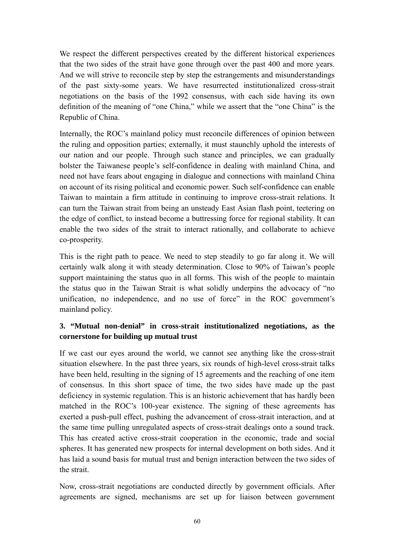We respect the different perspectives created by the different historical experiences that the two sides of the strait have gone through over the past 400 and more years. And we will strive to reconcile step by step the estrangements and misunderstandings of the past sixty-some years. We have resurrected institutionalized cross-strait negotiations on the basis of the 1992 consensus, with each side having its own definition of the meaning of "one China," while we assert that the "one China" is the Republic of China.

Internally, the ROC's mainland policy must reconcile differences of opinion between the ruling and opposition parties; externally, it must staunchly uphold the interests of our nation and our people. Through such stance and principles, we can gradually bolster the Taiwanese people's self-confidence in dealing with mainland China, and need not have fears about engaging in dialogue and connections with mainland China on account of its rising political and economic power. Such self-confidence can enable Taiwan to maintain a firm attitude in continuing to improve cross-strait relations. It can turn the Taiwan strait from being an unsteady East Asian flash point, teetering on the edge of conflict, to instead become a buttressing force for regional stability. It can enable the two sides of the strait to interact rationally, and collaborate to achieve co-prosperity.

This is the right path to peace. We need to step steadily to go far along it. We will certainly walk along it with steady determination. Close to 90% of Taiwan's people support maintaining the status quo in all forms. This wish of the people to maintain the status quo in the Taiwan Strait is what solidly underpins the advocacy of "no unification, no independence, and no use of force" in the ROC government's mainland policy.

## **3. "Mutual non-denial" in cross-strait institutionalized negotiations, as the cornerstone for building up mutual trust**

If we cast our eyes around the world, we cannot see anything like the cross-strait situation elsewhere. In the past three years, six rounds of high-level cross-strait talks have been held, resulting in the signing of 15 agreements and the reaching of one item of consensus. In this short space of time, the two sides have made up the past deficiency in systemic regulation. This is an historic achievement that has hardly been matched in the ROC's 100-year existence. The signing of these agreements has exerted a push-pull effect, pushing the advancement of cross-strait interaction, and at the same time pulling unregulated aspects of cross-strait dealings onto a sound track. This has created active cross-strait cooperation in the economic, trade and social spheres. It has generated new prospects for internal development on both sides. And it has laid a sound basis for mutual trust and benign interaction between the two sides of the strait.

Now, cross-strait negotiations are conducted directly by government officials. After agreements are signed, mechanisms are set up for liaison between government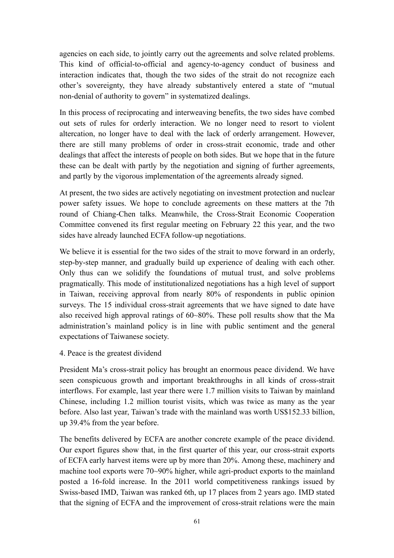agencies on each side, to jointly carry out the agreements and solve related problems. This kind of official-to-official and agency-to-agency conduct of business and interaction indicates that, though the two sides of the strait do not recognize each other's sovereignty, they have already substantively entered a state of "mutual non-denial of authority to govern" in systematized dealings.

In this process of reciprocating and interweaving benefits, the two sides have combed out sets of rules for orderly interaction. We no longer need to resort to violent altercation, no longer have to deal with the lack of orderly arrangement. However, there are still many problems of order in cross-strait economic, trade and other dealings that affect the interests of people on both sides. But we hope that in the future these can be dealt with partly by the negotiation and signing of further agreements, and partly by the vigorous implementation of the agreements already signed.

At present, the two sides are actively negotiating on investment protection and nuclear power safety issues. We hope to conclude agreements on these matters at the 7th round of Chiang-Chen talks. Meanwhile, the Cross-Strait Economic Cooperation Committee convened its first regular meeting on February 22 this year, and the two sides have already launched ECFA follow-up negotiations.

We believe it is essential for the two sides of the strait to move forward in an orderly, step-by-step manner, and gradually build up experience of dealing with each other. Only thus can we solidify the foundations of mutual trust, and solve problems pragmatically. This mode of institutionalized negotiations has a high level of support in Taiwan, receiving approval from nearly 80% of respondents in public opinion surveys. The 15 individual cross-strait agreements that we have signed to date have also received high approval ratings of 60~80%. These poll results show that the Ma administration's mainland policy is in line with public sentiment and the general expectations of Taiwanese society.

#### 4. Peace is the greatest dividend

President Ma's cross-strait policy has brought an enormous peace dividend. We have seen conspicuous growth and important breakthroughs in all kinds of cross-strait interflows. For example, last year there were 1.7 million visits to Taiwan by mainland Chinese, including 1.2 million tourist visits, which was twice as many as the year before. Also last year, Taiwan's trade with the mainland was worth US\$152.33 billion, up 39.4% from the year before.

The benefits delivered by ECFA are another concrete example of the peace dividend. Our export figures show that, in the first quarter of this year, our cross-strait exports of ECFA early harvest items were up by more than 20%. Among these, machinery and machine tool exports were 70~90% higher, while agri-product exports to the mainland posted a 16-fold increase. In the 2011 world competitiveness rankings issued by Swiss-based IMD, Taiwan was ranked 6th, up 17 places from 2 years ago. IMD stated that the signing of ECFA and the improvement of cross-strait relations were the main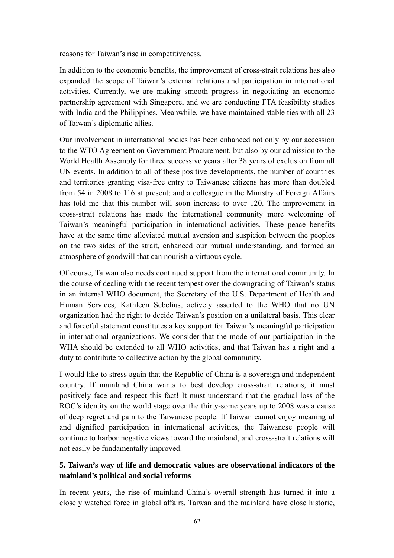reasons for Taiwan's rise in competitiveness.

In addition to the economic benefits, the improvement of cross-strait relations has also expanded the scope of Taiwan's external relations and participation in international activities. Currently, we are making smooth progress in negotiating an economic partnership agreement with Singapore, and we are conducting FTA feasibility studies with India and the Philippines. Meanwhile, we have maintained stable ties with all 23 of Taiwan's diplomatic allies.

Our involvement in international bodies has been enhanced not only by our accession to the WTO Agreement on Government Procurement, but also by our admission to the World Health Assembly for three successive years after 38 years of exclusion from all UN events. In addition to all of these positive developments, the number of countries and territories granting visa-free entry to Taiwanese citizens has more than doubled from 54 in 2008 to 116 at present; and a colleague in the Ministry of Foreign Affairs has told me that this number will soon increase to over 120. The improvement in cross-strait relations has made the international community more welcoming of Taiwan's meaningful participation in international activities. These peace benefits have at the same time alleviated mutual aversion and suspicion between the peoples on the two sides of the strait, enhanced our mutual understanding, and formed an atmosphere of goodwill that can nourish a virtuous cycle.

Of course, Taiwan also needs continued support from the international community. In the course of dealing with the recent tempest over the downgrading of Taiwan's status in an internal WHO document, the Secretary of the U.S. Department of Health and Human Services, Kathleen Sebelius, actively asserted to the WHO that no UN organization had the right to decide Taiwan's position on a unilateral basis. This clear and forceful statement constitutes a key support for Taiwan's meaningful participation in international organizations. We consider that the mode of our participation in the WHA should be extended to all WHO activities, and that Taiwan has a right and a duty to contribute to collective action by the global community.

I would like to stress again that the Republic of China is a sovereign and independent country. If mainland China wants to best develop cross-strait relations, it must positively face and respect this fact! It must understand that the gradual loss of the ROC's identity on the world stage over the thirty-some years up to 2008 was a cause of deep regret and pain to the Taiwanese people. If Taiwan cannot enjoy meaningful and dignified participation in international activities, the Taiwanese people will continue to harbor negative views toward the mainland, and cross-strait relations will not easily be fundamentally improved.

## **5. Taiwan's way of life and democratic values are observational indicators of the mainland's political and social reforms**

In recent years, the rise of mainland China's overall strength has turned it into a closely watched force in global affairs. Taiwan and the mainland have close historic,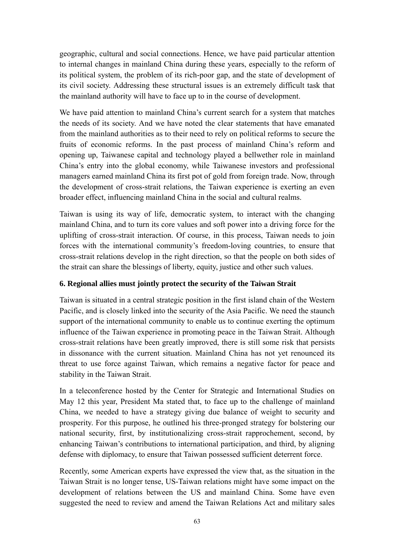geographic, cultural and social connections. Hence, we have paid particular attention to internal changes in mainland China during these years, especially to the reform of its political system, the problem of its rich-poor gap, and the state of development of its civil society. Addressing these structural issues is an extremely difficult task that the mainland authority will have to face up to in the course of development.

We have paid attention to mainland China's current search for a system that matches the needs of its society. And we have noted the clear statements that have emanated from the mainland authorities as to their need to rely on political reforms to secure the fruits of economic reforms. In the past process of mainland China's reform and opening up, Taiwanese capital and technology played a bellwether role in mainland China's entry into the global economy, while Taiwanese investors and professional managers earned mainland China its first pot of gold from foreign trade. Now, through the development of cross-strait relations, the Taiwan experience is exerting an even broader effect, influencing mainland China in the social and cultural realms.

Taiwan is using its way of life, democratic system, to interact with the changing mainland China, and to turn its core values and soft power into a driving force for the uplifting of cross-strait interaction. Of course, in this process, Taiwan needs to join forces with the international community's freedom-loving countries, to ensure that cross-strait relations develop in the right direction, so that the people on both sides of the strait can share the blessings of liberty, equity, justice and other such values.

### **6. Regional allies must jointly protect the security of the Taiwan Strait**

Taiwan is situated in a central strategic position in the first island chain of the Western Pacific, and is closely linked into the security of the Asia Pacific. We need the staunch support of the international community to enable us to continue exerting the optimum influence of the Taiwan experience in promoting peace in the Taiwan Strait. Although cross-strait relations have been greatly improved, there is still some risk that persists in dissonance with the current situation. Mainland China has not yet renounced its threat to use force against Taiwan, which remains a negative factor for peace and stability in the Taiwan Strait.

In a teleconference hosted by the Center for Strategic and International Studies on May 12 this year, President Ma stated that, to face up to the challenge of mainland China, we needed to have a strategy giving due balance of weight to security and prosperity. For this purpose, he outlined his three-pronged strategy for bolstering our national security, first, by institutionalizing cross-strait rapprochement, second, by enhancing Taiwan's contributions to international participation, and third, by aligning defense with diplomacy, to ensure that Taiwan possessed sufficient deterrent force.

Recently, some American experts have expressed the view that, as the situation in the Taiwan Strait is no longer tense, US-Taiwan relations might have some impact on the development of relations between the US and mainland China. Some have even suggested the need to review and amend the Taiwan Relations Act and military sales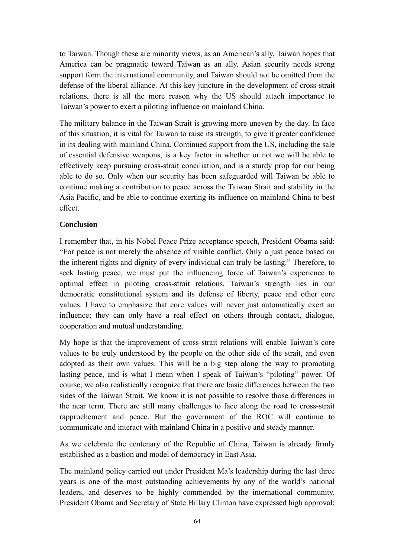to Taiwan. Though these are minority views, as an American's ally, Taiwan hopes that America can be pragmatic toward Taiwan as an ally. Asian security needs strong support form the international community, and Taiwan should not be omitted from the defense of the liberal alliance. At this key juncture in the development of cross-strait relations, there is all the more reason why the US should attach importance to Taiwan's power to exert a piloting influence on mainland China.

The military balance in the Taiwan Strait is growing more uneven by the day. In face of this situation, it is vital for Taiwan to raise its strength, to give it greater confidence in its dealing with mainland China. Continued support from the US, including the sale of essential defensive weapons, is a key factor in whether or not we will be able to effectively keep pursuing cross-strait conciliation, and is a sturdy prop for our being able to do so. Only when our security has been safeguarded will Taiwan be able to continue making a contribution to peace across the Taiwan Strait and stability in the Asia Pacific, and be able to continue exerting its influence on mainland China to best effect.

#### **Conclusion**

I remember that, in his Nobel Peace Prize acceptance speech, President Obama said: "For peace is not merely the absence of visible conflict. Only a just peace based on the inherent rights and dignity of every individual can truly be lasting." Therefore, to seek lasting peace, we must put the influencing force of Taiwan's experience to optimal effect in piloting cross-strait relations. Taiwan's strength lies in our democratic constitutional system and its defense of liberty, peace and other core values. I have to emphasize that core values will never just automatically exert an influence; they can only have a real effect on others through contact, dialogue, cooperation and mutual understanding.

My hope is that the improvement of cross-strait relations will enable Taiwan's core values to be truly understood by the people on the other side of the strait, and even adopted as their own values. This will be a big step along the way to promoting lasting peace, and is what I mean when I speak of Taiwan's "piloting" power. Of course, we also realistically recognize that there are basic differences between the two sides of the Taiwan Strait. We know it is not possible to resolve those differences in the near term. There are still many challenges to face along the road to cross-strait rapprochement and peace. But the government of the ROC will continue to communicate and interact with mainland China in a positive and steady manner.

As we celebrate the centenary of the Republic of China, Taiwan is already firmly established as a bastion and model of democracy in East Asia.

The mainland policy carried out under President Ma's leadership during the last three years is one of the most outstanding achievements by any of the world's national leaders, and deserves to be highly commended by the international community. President Obama and Secretary of State Hillary Clinton have expressed high approval;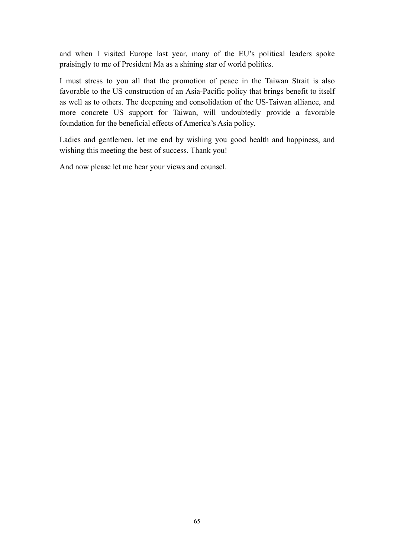and when I visited Europe last year, many of the EU's political leaders spoke praisingly to me of President Ma as a shining star of world politics.

I must stress to you all that the promotion of peace in the Taiwan Strait is also favorable to the US construction of an Asia-Pacific policy that brings benefit to itself as well as to others. The deepening and consolidation of the US-Taiwan alliance, and more concrete US support for Taiwan, will undoubtedly provide a favorable foundation for the beneficial effects of America's Asia policy.

Ladies and gentlemen, let me end by wishing you good health and happiness, and wishing this meeting the best of success. Thank you!

And now please let me hear your views and counsel.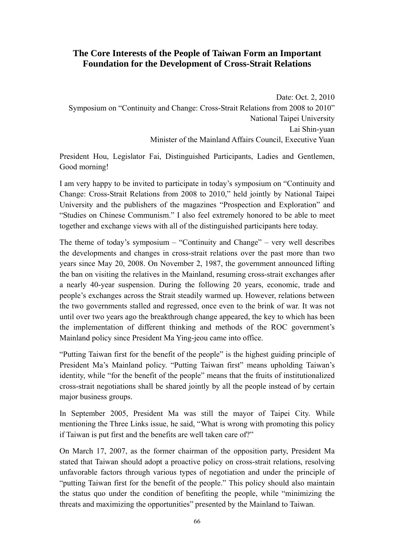## **The Core Interests of the People of Taiwan Form an Important Foundation for the Development of Cross-Strait Relations**

Date: Oct. 2, 2010 Symposium on "Continuity and Change: Cross-Strait Relations from 2008 to 2010" National Taipei University Lai Shin-yuan Minister of the Mainland Affairs Council, Executive Yuan

President Hou, Legislator Fai, Distinguished Participants, Ladies and Gentlemen, Good morning!

I am very happy to be invited to participate in today's symposium on "Continuity and Change: Cross-Strait Relations from 2008 to 2010," held jointly by National Taipei University and the publishers of the magazines "Prospection and Exploration" and "Studies on Chinese Communism." I also feel extremely honored to be able to meet together and exchange views with all of the distinguished participants here today.

The theme of today's symposium – "Continuity and Change" – very well describes the developments and changes in cross-strait relations over the past more than two years since May 20, 2008. On November 2, 1987, the government announced lifting the ban on visiting the relatives in the Mainland, resuming cross-strait exchanges after a nearly 40-year suspension. During the following 20 years, economic, trade and people's exchanges across the Strait steadily warmed up. However, relations between the two governments stalled and regressed, once even to the brink of war. It was not until over two years ago the breakthrough change appeared, the key to which has been the implementation of different thinking and methods of the ROC government's Mainland policy since President Ma Ying-jeou came into office.

"Putting Taiwan first for the benefit of the people" is the highest guiding principle of President Ma's Mainland policy. "Putting Taiwan first" means upholding Taiwan's identity, while "for the benefit of the people" means that the fruits of institutionalized cross-strait negotiations shall be shared jointly by all the people instead of by certain major business groups.

In September 2005, President Ma was still the mayor of Taipei City. While mentioning the Three Links issue, he said, "What is wrong with promoting this policy if Taiwan is put first and the benefits are well taken care of?"

On March 17, 2007, as the former chairman of the opposition party, President Ma stated that Taiwan should adopt a proactive policy on cross-strait relations, resolving unfavorable factors through various types of negotiation and under the principle of "putting Taiwan first for the benefit of the people." This policy should also maintain the status quo under the condition of benefiting the people, while "minimizing the threats and maximizing the opportunities" presented by the Mainland to Taiwan.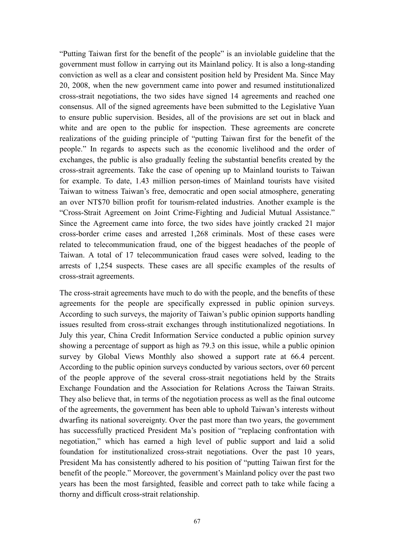"Putting Taiwan first for the benefit of the people" is an inviolable guideline that the government must follow in carrying out its Mainland policy. It is also a long-standing conviction as well as a clear and consistent position held by President Ma. Since May 20, 2008, when the new government came into power and resumed institutionalized cross-strait negotiations, the two sides have signed 14 agreements and reached one consensus. All of the signed agreements have been submitted to the Legislative Yuan to ensure public supervision. Besides, all of the provisions are set out in black and white and are open to the public for inspection. These agreements are concrete realizations of the guiding principle of "putting Taiwan first for the benefit of the people." In regards to aspects such as the economic livelihood and the order of exchanges, the public is also gradually feeling the substantial benefits created by the cross-strait agreements. Take the case of opening up to Mainland tourists to Taiwan for example. To date, 1.43 million person-times of Mainland tourists have visited Taiwan to witness Taiwan's free, democratic and open social atmosphere, generating an over NT\$70 billion profit for tourism-related industries. Another example is the "Cross-Strait Agreement on Joint Crime-Fighting and Judicial Mutual Assistance." Since the Agreement came into force, the two sides have jointly cracked 21 major cross-border crime cases and arrested 1,268 criminals. Most of these cases were related to telecommunication fraud, one of the biggest headaches of the people of Taiwan. A total of 17 telecommunication fraud cases were solved, leading to the arrests of 1,254 suspects. These cases are all specific examples of the results of cross-strait agreements.

The cross-strait agreements have much to do with the people, and the benefits of these agreements for the people are specifically expressed in public opinion surveys. According to such surveys, the majority of Taiwan's public opinion supports handling issues resulted from cross-strait exchanges through institutionalized negotiations. In July this year, China Credit Information Service conducted a public opinion survey showing a percentage of support as high as 79.3 on this issue, while a public opinion survey by Global Views Monthly also showed a support rate at 66.4 percent. According to the public opinion surveys conducted by various sectors, over 60 percent of the people approve of the several cross-strait negotiations held by the Straits Exchange Foundation and the Association for Relations Across the Taiwan Straits. They also believe that, in terms of the negotiation process as well as the final outcome of the agreements, the government has been able to uphold Taiwan's interests without dwarfing its national sovereignty. Over the past more than two years, the government has successfully practiced President Ma's position of "replacing confrontation with negotiation," which has earned a high level of public support and laid a solid foundation for institutionalized cross-strait negotiations. Over the past 10 years, President Ma has consistently adhered to his position of "putting Taiwan first for the benefit of the people." Moreover, the government's Mainland policy over the past two years has been the most farsighted, feasible and correct path to take while facing a thorny and difficult cross-strait relationship.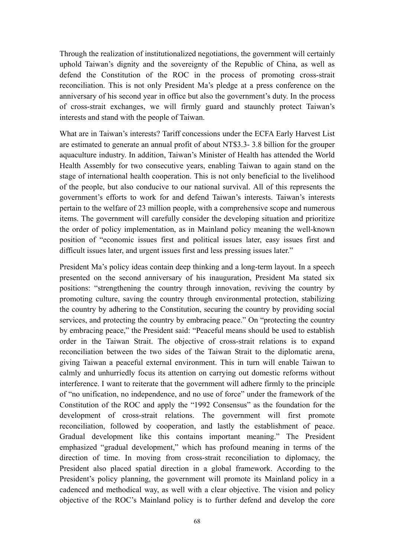Through the realization of institutionalized negotiations, the government will certainly uphold Taiwan's dignity and the sovereignty of the Republic of China, as well as defend the Constitution of the ROC in the process of promoting cross-strait reconciliation. This is not only President Ma's pledge at a press conference on the anniversary of his second year in office but also the government's duty. In the process of cross-strait exchanges, we will firmly guard and staunchly protect Taiwan's interests and stand with the people of Taiwan.

What are in Taiwan's interests? Tariff concessions under the ECFA Early Harvest List are estimated to generate an annual profit of about NT\$3.3- 3.8 billion for the grouper aquaculture industry. In addition, Taiwan's Minister of Health has attended the World Health Assembly for two consecutive years, enabling Taiwan to again stand on the stage of international health cooperation. This is not only beneficial to the livelihood of the people, but also conducive to our national survival. All of this represents the government's efforts to work for and defend Taiwan's interests. Taiwan's interests pertain to the welfare of 23 million people, with a comprehensive scope and numerous items. The government will carefully consider the developing situation and prioritize the order of policy implementation, as in Mainland policy meaning the well-known position of "economic issues first and political issues later, easy issues first and difficult issues later, and urgent issues first and less pressing issues later."

President Ma's policy ideas contain deep thinking and a long-term layout. In a speech presented on the second anniversary of his inauguration, President Ma stated six positions: "strengthening the country through innovation, reviving the country by promoting culture, saving the country through environmental protection, stabilizing the country by adhering to the Constitution, securing the country by providing social services, and protecting the country by embracing peace." On "protecting the country by embracing peace," the President said: "Peaceful means should be used to establish order in the Taiwan Strait. The objective of cross-strait relations is to expand reconciliation between the two sides of the Taiwan Strait to the diplomatic arena, giving Taiwan a peaceful external environment. This in turn will enable Taiwan to calmly and unhurriedly focus its attention on carrying out domestic reforms without interference. I want to reiterate that the government will adhere firmly to the principle of "no unification, no independence, and no use of force" under the framework of the Constitution of the ROC and apply the "1992 Consensus" as the foundation for the development of cross-strait relations. The government will first promote reconciliation, followed by cooperation, and lastly the establishment of peace. Gradual development like this contains important meaning." The President emphasized "gradual development," which has profound meaning in terms of the direction of time. In moving from cross-strait reconciliation to diplomacy, the President also placed spatial direction in a global framework. According to the President's policy planning, the government will promote its Mainland policy in a cadenced and methodical way, as well with a clear objective. The vision and policy objective of the ROC's Mainland policy is to further defend and develop the core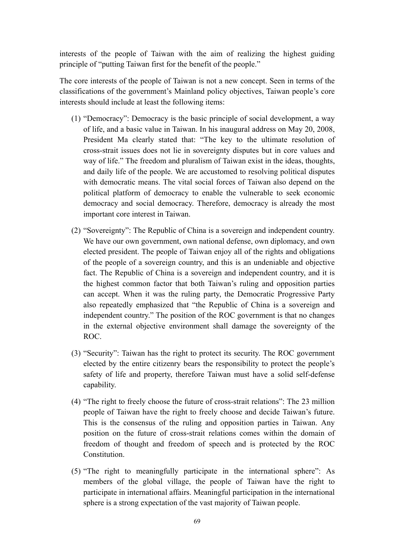interests of the people of Taiwan with the aim of realizing the highest guiding principle of "putting Taiwan first for the benefit of the people."

The core interests of the people of Taiwan is not a new concept. Seen in terms of the classifications of the government's Mainland policy objectives, Taiwan people's core interests should include at least the following items:

- (1) "Democracy": Democracy is the basic principle of social development, a way of life, and a basic value in Taiwan. In his inaugural address on May 20, 2008, President Ma clearly stated that: "The key to the ultimate resolution of cross-strait issues does not lie in sovereignty disputes but in core values and way of life." The freedom and pluralism of Taiwan exist in the ideas, thoughts, and daily life of the people. We are accustomed to resolving political disputes with democratic means. The vital social forces of Taiwan also depend on the political platform of democracy to enable the vulnerable to seek economic democracy and social democracy. Therefore, democracy is already the most important core interest in Taiwan.
- (2) "Sovereignty": The Republic of China is a sovereign and independent country. We have our own government, own national defense, own diplomacy, and own elected president. The people of Taiwan enjoy all of the rights and obligations of the people of a sovereign country, and this is an undeniable and objective fact. The Republic of China is a sovereign and independent country, and it is the highest common factor that both Taiwan's ruling and opposition parties can accept. When it was the ruling party, the Democratic Progressive Party also repeatedly emphasized that "the Republic of China is a sovereign and independent country." The position of the ROC government is that no changes in the external objective environment shall damage the sovereignty of the ROC.
- (3) "Security": Taiwan has the right to protect its security. The ROC government elected by the entire citizenry bears the responsibility to protect the people's safety of life and property, therefore Taiwan must have a solid self-defense capability.
- (4) "The right to freely choose the future of cross-strait relations": The 23 million people of Taiwan have the right to freely choose and decide Taiwan's future. This is the consensus of the ruling and opposition parties in Taiwan. Any position on the future of cross-strait relations comes within the domain of freedom of thought and freedom of speech and is protected by the ROC Constitution.
- (5) "The right to meaningfully participate in the international sphere": As members of the global village, the people of Taiwan have the right to participate in international affairs. Meaningful participation in the international sphere is a strong expectation of the vast majority of Taiwan people.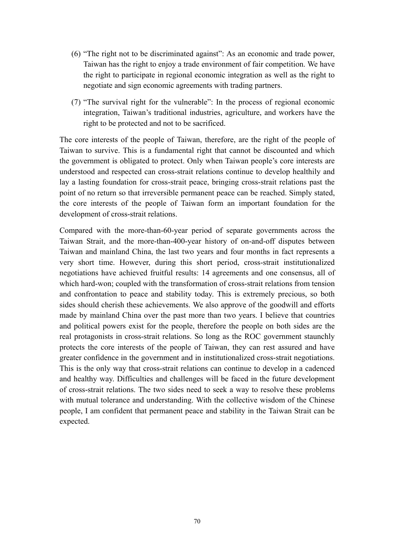- (6) "The right not to be discriminated against": As an economic and trade power, Taiwan has the right to enjoy a trade environment of fair competition. We have the right to participate in regional economic integration as well as the right to negotiate and sign economic agreements with trading partners.
- (7) "The survival right for the vulnerable": In the process of regional economic integration, Taiwan's traditional industries, agriculture, and workers have the right to be protected and not to be sacrificed.

The core interests of the people of Taiwan, therefore, are the right of the people of Taiwan to survive. This is a fundamental right that cannot be discounted and which the government is obligated to protect. Only when Taiwan people's core interests are understood and respected can cross-strait relations continue to develop healthily and lay a lasting foundation for cross-strait peace, bringing cross-strait relations past the point of no return so that irreversible permanent peace can be reached. Simply stated, the core interests of the people of Taiwan form an important foundation for the development of cross-strait relations.

Compared with the more-than-60-year period of separate governments across the Taiwan Strait, and the more-than-400-year history of on-and-off disputes between Taiwan and mainland China, the last two years and four months in fact represents a very short time. However, during this short period, cross-strait institutionalized negotiations have achieved fruitful results: 14 agreements and one consensus, all of which hard-won; coupled with the transformation of cross-strait relations from tension and confrontation to peace and stability today. This is extremely precious, so both sides should cherish these achievements. We also approve of the goodwill and efforts made by mainland China over the past more than two years. I believe that countries and political powers exist for the people, therefore the people on both sides are the real protagonists in cross-strait relations. So long as the ROC government staunchly protects the core interests of the people of Taiwan, they can rest assured and have greater confidence in the government and in institutionalized cross-strait negotiations. This is the only way that cross-strait relations can continue to develop in a cadenced and healthy way. Difficulties and challenges will be faced in the future development of cross-strait relations. The two sides need to seek a way to resolve these problems with mutual tolerance and understanding. With the collective wisdom of the Chinese people, I am confident that permanent peace and stability in the Taiwan Strait can be expected.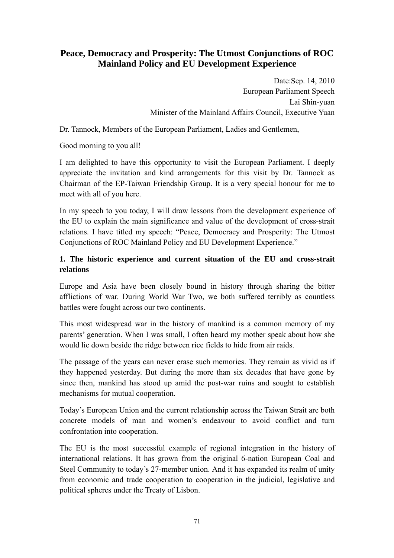# **Peace, Democracy and Prosperity: The Utmost Conjunctions of ROC Mainland Policy and EU Development Experience**

Date:Sep. 14, 2010 European Parliament Speech Lai Shin-yuan Minister of the Mainland Affairs Council, Executive Yuan

Dr. Tannock, Members of the European Parliament, Ladies and Gentlemen,

Good morning to you all!

I am delighted to have this opportunity to visit the European Parliament. I deeply appreciate the invitation and kind arrangements for this visit by Dr. Tannock as Chairman of the EP-Taiwan Friendship Group. It is a very special honour for me to meet with all of you here.

In my speech to you today, I will draw lessons from the development experience of the EU to explain the main significance and value of the development of cross-strait relations. I have titled my speech: "Peace, Democracy and Prosperity: The Utmost Conjunctions of ROC Mainland Policy and EU Development Experience."

# **1. The historic experience and current situation of the EU and cross-strait relations**

Europe and Asia have been closely bound in history through sharing the bitter afflictions of war. During World War Two, we both suffered terribly as countless battles were fought across our two continents.

This most widespread war in the history of mankind is a common memory of my parents' generation. When I was small, I often heard my mother speak about how she would lie down beside the ridge between rice fields to hide from air raids.

The passage of the years can never erase such memories. They remain as vivid as if they happened yesterday. But during the more than six decades that have gone by since then, mankind has stood up amid the post-war ruins and sought to establish mechanisms for mutual cooperation.

Today's European Union and the current relationship across the Taiwan Strait are both concrete models of man and women's endeavour to avoid conflict and turn confrontation into cooperation.

The EU is the most successful example of regional integration in the history of international relations. It has grown from the original 6-nation European Coal and Steel Community to today's 27-member union. And it has expanded its realm of unity from economic and trade cooperation to cooperation in the judicial, legislative and political spheres under the Treaty of Lisbon.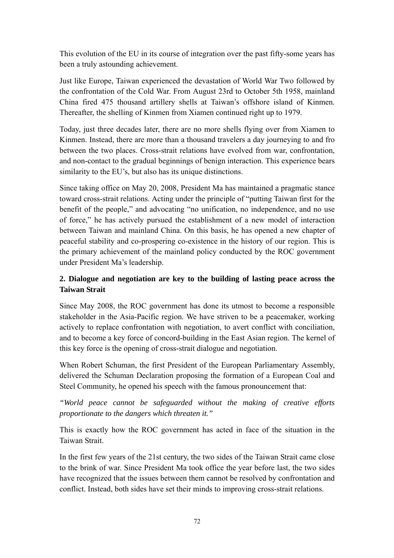This evolution of the EU in its course of integration over the past fifty-some years has been a truly astounding achievement.

Just like Europe, Taiwan experienced the devastation of World War Two followed by the confrontation of the Cold War. From August 23rd to October 5th 1958, mainland China fired 475 thousand artillery shells at Taiwan's offshore island of Kinmen. Thereafter, the shelling of Kinmen from Xiamen continued right up to 1979.

Today, just three decades later, there are no more shells flying over from Xiamen to Kinmen. Instead, there are more than a thousand travelers a day journeying to and fro between the two places. Cross-strait relations have evolved from war, confrontation, and non-contact to the gradual beginnings of benign interaction. This experience bears similarity to the EU's, but also has its unique distinctions.

Since taking office on May 20, 2008, President Ma has maintained a pragmatic stance toward cross-strait relations. Acting under the principle of "putting Taiwan first for the benefit of the people," and advocating "no unification, no independence, and no use of force," he has actively pursued the establishment of a new model of interaction between Taiwan and mainland China. On this basis, he has opened a new chapter of peaceful stability and co-prospering co-existence in the history of our region. This is the primary achievement of the mainland policy conducted by the ROC government under President Ma's leadership.

# **2. Dialogue and negotiation are key to the building of lasting peace across the Taiwan Strait**

Since May 2008, the ROC government has done its utmost to become a responsible stakeholder in the Asia-Pacific region. We have striven to be a peacemaker, working actively to replace confrontation with negotiation, to avert conflict with conciliation, and to become a key force of concord-building in the East Asian region. The kernel of this key force is the opening of cross-strait dialogue and negotiation.

When Robert Schuman, the first President of the European Parliamentary Assembly, delivered the Schuman Declaration proposing the formation of a European Coal and Steel Community, he opened his speech with the famous pronouncement that:

*"World peace cannot be safeguarded without the making of creative efforts proportionate to the dangers which threaten it."* 

This is exactly how the ROC government has acted in face of the situation in the Taiwan Strait.

In the first few years of the 21st century, the two sides of the Taiwan Strait came close to the brink of war. Since President Ma took office the year before last, the two sides have recognized that the issues between them cannot be resolved by confrontation and conflict. Instead, both sides have set their minds to improving cross-strait relations.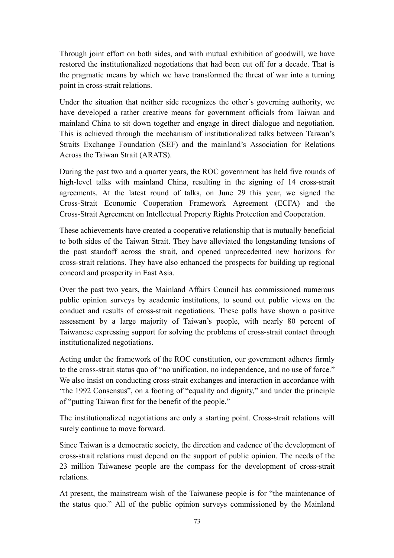Through joint effort on both sides, and with mutual exhibition of goodwill, we have restored the institutionalized negotiations that had been cut off for a decade. That is the pragmatic means by which we have transformed the threat of war into a turning point in cross-strait relations.

Under the situation that neither side recognizes the other's governing authority, we have developed a rather creative means for government officials from Taiwan and mainland China to sit down together and engage in direct dialogue and negotiation. This is achieved through the mechanism of institutionalized talks between Taiwan's Straits Exchange Foundation (SEF) and the mainland's Association for Relations Across the Taiwan Strait (ARATS).

During the past two and a quarter years, the ROC government has held five rounds of high-level talks with mainland China, resulting in the signing of 14 cross-strait agreements. At the latest round of talks, on June 29 this year, we signed the Cross-Strait Economic Cooperation Framework Agreement (ECFA) and the Cross-Strait Agreement on Intellectual Property Rights Protection and Cooperation.

These achievements have created a cooperative relationship that is mutually beneficial to both sides of the Taiwan Strait. They have alleviated the longstanding tensions of the past standoff across the strait, and opened unprecedented new horizons for cross-strait relations. They have also enhanced the prospects for building up regional concord and prosperity in East Asia.

Over the past two years, the Mainland Affairs Council has commissioned numerous public opinion surveys by academic institutions, to sound out public views on the conduct and results of cross-strait negotiations. These polls have shown a positive assessment by a large majority of Taiwan's people, with nearly 80 percent of Taiwanese expressing support for solving the problems of cross-strait contact through institutionalized negotiations.

Acting under the framework of the ROC constitution, our government adheres firmly to the cross-strait status quo of "no unification, no independence, and no use of force." We also insist on conducting cross-strait exchanges and interaction in accordance with "the 1992 Consensus", on a footing of "equality and dignity," and under the principle of "putting Taiwan first for the benefit of the people."

The institutionalized negotiations are only a starting point. Cross-strait relations will surely continue to move forward.

Since Taiwan is a democratic society, the direction and cadence of the development of cross-strait relations must depend on the support of public opinion. The needs of the 23 million Taiwanese people are the compass for the development of cross-strait relations.

At present, the mainstream wish of the Taiwanese people is for "the maintenance of the status quo." All of the public opinion surveys commissioned by the Mainland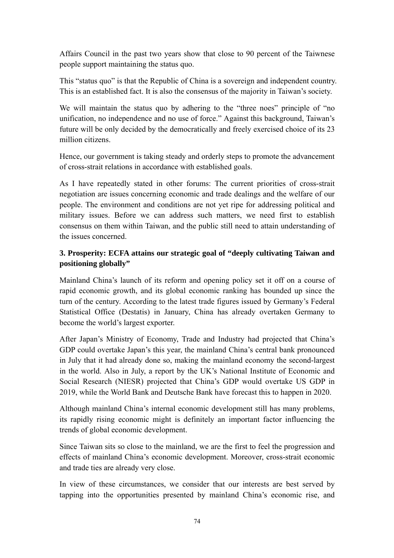Affairs Council in the past two years show that close to 90 percent of the Taiwnese people support maintaining the status quo.

This "status quo" is that the Republic of China is a sovereign and independent country. This is an established fact. It is also the consensus of the majority in Taiwan's society.

We will maintain the status quo by adhering to the "three noes" principle of "no unification, no independence and no use of force." Against this background, Taiwan's future will be only decided by the democratically and freely exercised choice of its 23 million citizens.

Hence, our government is taking steady and orderly steps to promote the advancement of cross-strait relations in accordance with established goals.

As I have repeatedly stated in other forums: The current priorities of cross-strait negotiation are issues concerning economic and trade dealings and the welfare of our people. The environment and conditions are not yet ripe for addressing political and military issues. Before we can address such matters, we need first to establish consensus on them within Taiwan, and the public still need to attain understanding of the issues concerned.

# **3. Prosperity: ECFA attains our strategic goal of "deeply cultivating Taiwan and positioning globally"**

Mainland China's launch of its reform and opening policy set it off on a course of rapid economic growth, and its global economic ranking has bounded up since the turn of the century. According to the latest trade figures issued by Germany's Federal Statistical Office (Destatis) in January, China has already overtaken Germany to become the world's largest exporter.

After Japan's Ministry of Economy, Trade and Industry had projected that China's GDP could overtake Japan's this year, the mainland China's central bank pronounced in July that it had already done so, making the mainland economy the second-largest in the world. Also in July, a report by the UK's National Institute of Economic and Social Research (NIESR) projected that China's GDP would overtake US GDP in 2019, while the World Bank and Deutsche Bank have forecast this to happen in 2020.

Although mainland China's internal economic development still has many problems, its rapidly rising economic might is definitely an important factor influencing the trends of global economic development.

Since Taiwan sits so close to the mainland, we are the first to feel the progression and effects of mainland China's economic development. Moreover, cross-strait economic and trade ties are already very close.

In view of these circumstances, we consider that our interests are best served by tapping into the opportunities presented by mainland China's economic rise, and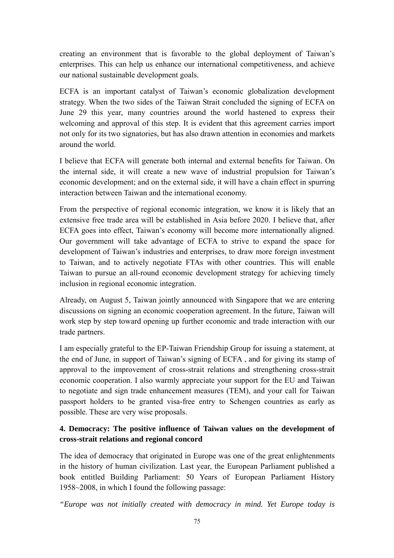creating an environment that is favorable to the global deployment of Taiwan's enterprises. This can help us enhance our international competitiveness, and achieve our national sustainable development goals.

ECFA is an important catalyst of Taiwan's economic globalization development strategy. When the two sides of the Taiwan Strait concluded the signing of ECFA on June 29 this year, many countries around the world hastened to express their welcoming and approval of this step. It is evident that this agreement carries import not only for its two signatories, but has also drawn attention in economies and markets around the world.

I believe that ECFA will generate both internal and external benefits for Taiwan. On the internal side, it will create a new wave of industrial propulsion for Taiwan's economic development; and on the external side, it will have a chain effect in spurring interaction between Taiwan and the international economy.

From the perspective of regional economic integration, we know it is likely that an extensive free trade area will be established in Asia before 2020. I believe that, after ECFA goes into effect, Taiwan's economy will become more internationally aligned. Our government will take advantage of ECFA to strive to expand the space for development of Taiwan's industries and enterprises, to draw more foreign investment to Taiwan, and to actively negotiate FTAs with other countries. This will enable Taiwan to pursue an all-round economic development strategy for achieving timely inclusion in regional economic integration.

Already, on August 5, Taiwan jointly announced with Singapore that we are entering discussions on signing an economic cooperation agreement. In the future, Taiwan will work step by step toward opening up further economic and trade interaction with our trade partners.

I am especially grateful to the EP-Taiwan Friendship Group for issuing a statement, at the end of June, in support of Taiwan's signing of ECFA , and for giving its stamp of approval to the improvement of cross-strait relations and strengthening cross-strait economic cooperation. I also warmly appreciate your support for the EU and Taiwan to negotiate and sign trade enhancement measures (TEM), and your call for Taiwan passport holders to be granted visa-free entry to Schengen countries as early as possible. These are very wise proposals.

# **4. Democracy: The positive influence of Taiwan values on the development of cross-strait relations and regional concord**

The idea of democracy that originated in Europe was one of the great enlightenments in the history of human civilization. Last year, the European Parliament published a book entitled Building Parliament: 50 Years of European Parliament History 1958~2008, in which I found the following passage:

*"Europe was not initially created with democracy in mind. Yet Europe today is*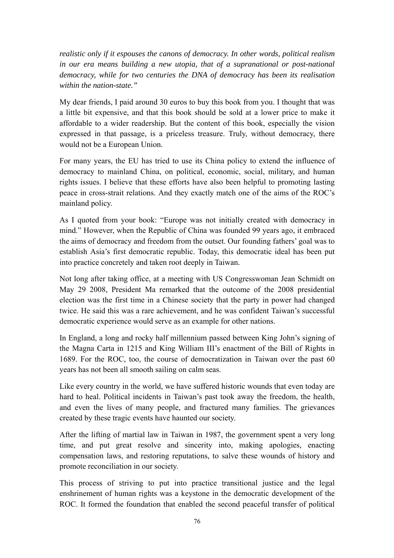*realistic only if it espouses the canons of democracy. In other words, political realism in our era means building a new utopia, that of a supranational or post-national democracy, while for two centuries the DNA of democracy has been its realisation within the nation-state."* 

My dear friends, I paid around 30 euros to buy this book from you. I thought that was a little bit expensive, and that this book should be sold at a lower price to make it affordable to a wider readership. But the content of this book, especially the vision expressed in that passage, is a priceless treasure. Truly, without democracy, there would not be a European Union.

For many years, the EU has tried to use its China policy to extend the influence of democracy to mainland China, on political, economic, social, military, and human rights issues. I believe that these efforts have also been helpful to promoting lasting peace in cross-strait relations. And they exactly match one of the aims of the ROC's mainland policy.

As I quoted from your book: "Europe was not initially created with democracy in mind." However, when the Republic of China was founded 99 years ago, it embraced the aims of democracy and freedom from the outset. Our founding fathers' goal was to establish Asia's first democratic republic. Today, this democratic ideal has been put into practice concretely and taken root deeply in Taiwan.

Not long after taking office, at a meeting with US Congresswoman Jean Schmidt on May 29 2008, President Ma remarked that the outcome of the 2008 presidential election was the first time in a Chinese society that the party in power had changed twice. He said this was a rare achievement, and he was confident Taiwan's successful democratic experience would serve as an example for other nations.

In England, a long and rocky half millennium passed between King John's signing of the Magna Carta in 1215 and King William III's enactment of the Bill of Rights in 1689. For the ROC, too, the course of democratization in Taiwan over the past 60 years has not been all smooth sailing on calm seas.

Like every country in the world, we have suffered historic wounds that even today are hard to heal. Political incidents in Taiwan's past took away the freedom, the health, and even the lives of many people, and fractured many families. The grievances created by these tragic events have haunted our society.

After the lifting of martial law in Taiwan in 1987, the government spent a very long time, and put great resolve and sincerity into, making apologies, enacting compensation laws, and restoring reputations, to salve these wounds of history and promote reconciliation in our society.

This process of striving to put into practice transitional justice and the legal enshrinement of human rights was a keystone in the democratic development of the ROC. It formed the foundation that enabled the second peaceful transfer of political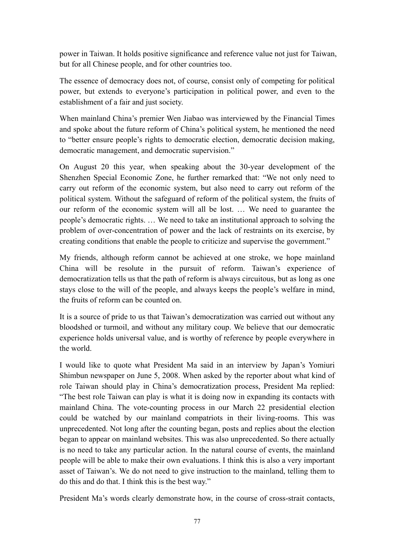power in Taiwan. It holds positive significance and reference value not just for Taiwan, but for all Chinese people, and for other countries too.

The essence of democracy does not, of course, consist only of competing for political power, but extends to everyone's participation in political power, and even to the establishment of a fair and just society.

When mainland China's premier Wen Jiabao was interviewed by the Financial Times and spoke about the future reform of China's political system, he mentioned the need to "better ensure people's rights to democratic election, democratic decision making, democratic management, and democratic supervision."

On August 20 this year, when speaking about the 30-year development of the Shenzhen Special Economic Zone, he further remarked that: "We not only need to carry out reform of the economic system, but also need to carry out reform of the political system. Without the safeguard of reform of the political system, the fruits of our reform of the economic system will all be lost. … We need to guarantee the people's democratic rights. … We need to take an institutional approach to solving the problem of over-concentration of power and the lack of restraints on its exercise, by creating conditions that enable the people to criticize and supervise the government."

My friends, although reform cannot be achieved at one stroke, we hope mainland China will be resolute in the pursuit of reform. Taiwan's experience of democratization tells us that the path of reform is always circuitous, but as long as one stays close to the will of the people, and always keeps the people's welfare in mind, the fruits of reform can be counted on.

It is a source of pride to us that Taiwan's democratization was carried out without any bloodshed or turmoil, and without any military coup. We believe that our democratic experience holds universal value, and is worthy of reference by people everywhere in the world.

I would like to quote what President Ma said in an interview by Japan's Yomiuri Shimbun newspaper on June 5, 2008. When asked by the reporter about what kind of role Taiwan should play in China's democratization process, President Ma replied: "The best role Taiwan can play is what it is doing now in expanding its contacts with mainland China. The vote-counting process in our March 22 presidential election could be watched by our mainland compatriots in their living-rooms. This was unprecedented. Not long after the counting began, posts and replies about the election began to appear on mainland websites. This was also unprecedented. So there actually is no need to take any particular action. In the natural course of events, the mainland people will be able to make their own evaluations. I think this is also a very important asset of Taiwan's. We do not need to give instruction to the mainland, telling them to do this and do that. I think this is the best way."

President Ma's words clearly demonstrate how, in the course of cross-strait contacts,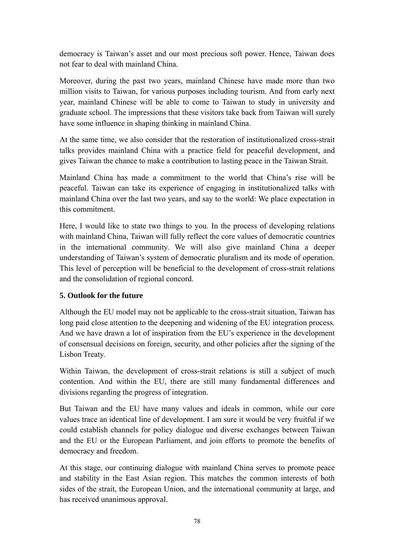democracy is Taiwan's asset and our most precious soft power. Hence, Taiwan does not fear to deal with mainland China.

Moreover, during the past two years, mainland Chinese have made more than two million visits to Taiwan, for various purposes including tourism. And from early next year, mainland Chinese will be able to come to Taiwan to study in university and graduate school. The impressions that these visitors take back from Taiwan will surely have some influence in shaping thinking in mainland China.

At the same time, we also consider that the restoration of institutionalized cross-strait talks provides mainland China with a practice field for peaceful development, and gives Taiwan the chance to make a contribution to lasting peace in the Taiwan Strait.

Mainland China has made a commitment to the world that China's rise will be peaceful. Taiwan can take its experience of engaging in institutionalized talks with mainland China over the last two years, and say to the world: We place expectation in this commitment.

Here, I would like to state two things to you. In the process of developing relations with mainland China, Taiwan will fully reflect the core values of democratic countries in the international community. We will also give mainland China a deeper understanding of Taiwan's system of democratic pluralism and its mode of operation. This level of perception will be beneficial to the development of cross-strait relations and the consolidation of regional concord.

# **5. Outlook for the future**

Although the EU model may not be applicable to the cross-strait situation, Taiwan has long paid close attention to the deepening and widening of the EU integration process. And we have drawn a lot of inspiration from the EU's experience in the development of consensual decisions on foreign, security, and other policies after the signing of the Lisbon Treaty.

Within Taiwan, the development of cross-strait relations is still a subject of much contention. And within the EU, there are still many fundamental differences and divisions regarding the progress of integration.

But Taiwan and the EU have many values and ideals in common, while our core values trace an identical line of development. I am sure it would be very fruitful if we could establish channels for policy dialogue and diverse exchanges between Taiwan and the EU or the European Parliament, and join efforts to promote the benefits of democracy and freedom.

At this stage, our continuing dialogue with mainland China serves to promote peace and stability in the East Asian region. This matches the common interests of both sides of the strait, the European Union, and the international community at large, and has received unanimous approval.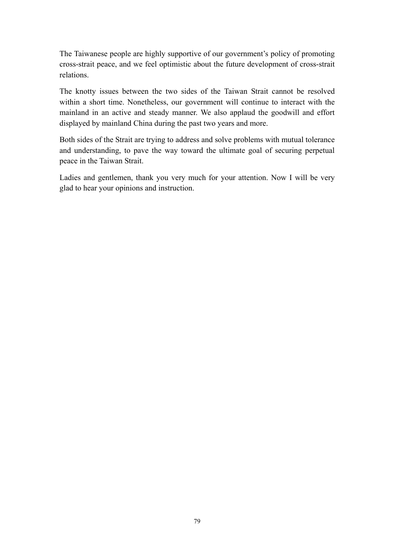The Taiwanese people are highly supportive of our government's policy of promoting cross-strait peace, and we feel optimistic about the future development of cross-strait relations.

The knotty issues between the two sides of the Taiwan Strait cannot be resolved within a short time. Nonetheless, our government will continue to interact with the mainland in an active and steady manner. We also applaud the goodwill and effort displayed by mainland China during the past two years and more.

Both sides of the Strait are trying to address and solve problems with mutual tolerance and understanding, to pave the way toward the ultimate goal of securing perpetual peace in the Taiwan Strait.

Ladies and gentlemen, thank you very much for your attention. Now I will be very glad to hear your opinions and instruction.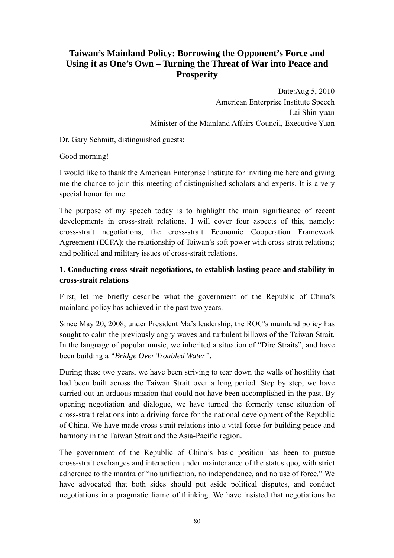# **Taiwan's Mainland Policy: Borrowing the Opponent's Force and Using it as One's Own – Turning the Threat of War into Peace and Prosperity**

Date:Aug 5, 2010 American Enterprise Institute Speech Lai Shin-yuan Minister of the Mainland Affairs Council, Executive Yuan

Dr. Gary Schmitt, distinguished guests:

Good morning!

I would like to thank the American Enterprise Institute for inviting me here and giving me the chance to join this meeting of distinguished scholars and experts. It is a very special honor for me.

The purpose of my speech today is to highlight the main significance of recent developments in cross-strait relations. I will cover four aspects of this, namely: cross-strait negotiations; the cross-strait Economic Cooperation Framework Agreement (ECFA); the relationship of Taiwan's soft power with cross-strait relations; and political and military issues of cross-strait relations.

### **1. Conducting cross-strait negotiations, to establish lasting peace and stability in cross-strait relations**

First, let me briefly describe what the government of the Republic of China's mainland policy has achieved in the past two years.

Since May 20, 2008, under President Ma's leadership, the ROC's mainland policy has sought to calm the previously angry waves and turbulent billows of the Taiwan Strait. In the language of popular music, we inherited a situation of "Dire Straits", and have been building a *"Bridge Over Troubled Water"*.

During these two years, we have been striving to tear down the walls of hostility that had been built across the Taiwan Strait over a long period. Step by step, we have carried out an arduous mission that could not have been accomplished in the past. By opening negotiation and dialogue, we have turned the formerly tense situation of cross-strait relations into a driving force for the national development of the Republic of China. We have made cross-strait relations into a vital force for building peace and harmony in the Taiwan Strait and the Asia-Pacific region.

The government of the Republic of China's basic position has been to pursue cross-strait exchanges and interaction under maintenance of the status quo, with strict adherence to the mantra of "no unification, no independence, and no use of force." We have advocated that both sides should put aside political disputes, and conduct negotiations in a pragmatic frame of thinking. We have insisted that negotiations be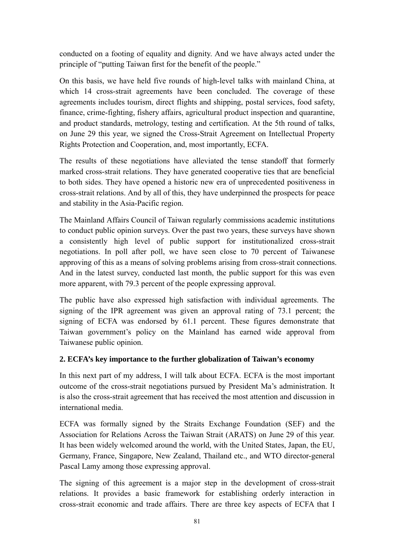conducted on a footing of equality and dignity. And we have always acted under the principle of "putting Taiwan first for the benefit of the people."

On this basis, we have held five rounds of high-level talks with mainland China, at which 14 cross-strait agreements have been concluded. The coverage of these agreements includes tourism, direct flights and shipping, postal services, food safety, finance, crime-fighting, fishery affairs, agricultural product inspection and quarantine, and product standards, metrology, testing and certification. At the 5th round of talks, on June 29 this year, we signed the Cross-Strait Agreement on Intellectual Property Rights Protection and Cooperation, and, most importantly, ECFA.

The results of these negotiations have alleviated the tense standoff that formerly marked cross-strait relations. They have generated cooperative ties that are beneficial to both sides. They have opened a historic new era of unprecedented positiveness in cross-strait relations. And by all of this, they have underpinned the prospects for peace and stability in the Asia-Pacific region.

The Mainland Affairs Council of Taiwan regularly commissions academic institutions to conduct public opinion surveys. Over the past two years, these surveys have shown a consistently high level of public support for institutionalized cross-strait negotiations. In poll after poll, we have seen close to 70 percent of Taiwanese approving of this as a means of solving problems arising from cross-strait connections. And in the latest survey, conducted last month, the public support for this was even more apparent, with 79.3 percent of the people expressing approval.

The public have also expressed high satisfaction with individual agreements. The signing of the IPR agreement was given an approval rating of 73.1 percent; the signing of ECFA was endorsed by 61.1 percent. These figures demonstrate that Taiwan government's policy on the Mainland has earned wide approval from Taiwanese public opinion.

### **2. ECFA's key importance to the further globalization of Taiwan's economy**

In this next part of my address, I will talk about ECFA. ECFA is the most important outcome of the cross-strait negotiations pursued by President Ma's administration. It is also the cross-strait agreement that has received the most attention and discussion in international media.

ECFA was formally signed by the Straits Exchange Foundation (SEF) and the Association for Relations Across the Taiwan Strait (ARATS) on June 29 of this year. It has been widely welcomed around the world, with the United States, Japan, the EU, Germany, France, Singapore, New Zealand, Thailand etc., and WTO director-general Pascal Lamy among those expressing approval.

The signing of this agreement is a major step in the development of cross-strait relations. It provides a basic framework for establishing orderly interaction in cross-strait economic and trade affairs. There are three key aspects of ECFA that I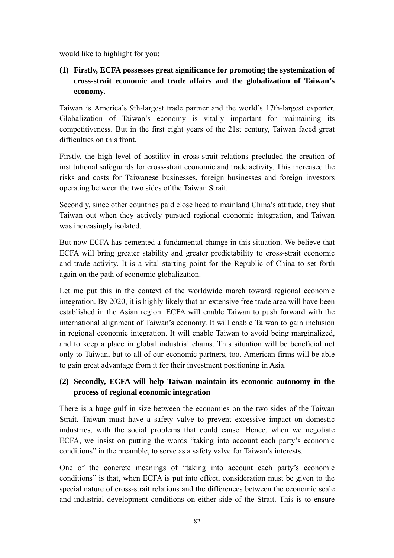would like to highlight for you:

# **(1) Firstly, ECFA possesses great significance for promoting the systemization of cross-strait economic and trade affairs and the globalization of Taiwan's economy.**

Taiwan is America's 9th-largest trade partner and the world's 17th-largest exporter. Globalization of Taiwan's economy is vitally important for maintaining its competitiveness. But in the first eight years of the 21st century, Taiwan faced great difficulties on this front.

Firstly, the high level of hostility in cross-strait relations precluded the creation of institutional safeguards for cross-strait economic and trade activity. This increased the risks and costs for Taiwanese businesses, foreign businesses and foreign investors operating between the two sides of the Taiwan Strait.

Secondly, since other countries paid close heed to mainland China's attitude, they shut Taiwan out when they actively pursued regional economic integration, and Taiwan was increasingly isolated.

But now ECFA has cemented a fundamental change in this situation. We believe that ECFA will bring greater stability and greater predictability to cross-strait economic and trade activity. It is a vital starting point for the Republic of China to set forth again on the path of economic globalization.

Let me put this in the context of the worldwide march toward regional economic integration. By 2020, it is highly likely that an extensive free trade area will have been established in the Asian region. ECFA will enable Taiwan to push forward with the international alignment of Taiwan's economy. It will enable Taiwan to gain inclusion in regional economic integration. It will enable Taiwan to avoid being marginalized, and to keep a place in global industrial chains. This situation will be beneficial not only to Taiwan, but to all of our economic partners, too. American firms will be able to gain great advantage from it for their investment positioning in Asia.

# **(2) Secondly, ECFA will help Taiwan maintain its economic autonomy in the process of regional economic integration**

There is a huge gulf in size between the economies on the two sides of the Taiwan Strait. Taiwan must have a safety valve to prevent excessive impact on domestic industries, with the social problems that could cause. Hence, when we negotiate ECFA, we insist on putting the words "taking into account each party's economic conditions" in the preamble, to serve as a safety valve for Taiwan's interests.

One of the concrete meanings of "taking into account each party's economic conditions" is that, when ECFA is put into effect, consideration must be given to the special nature of cross-strait relations and the differences between the economic scale and industrial development conditions on either side of the Strait. This is to ensure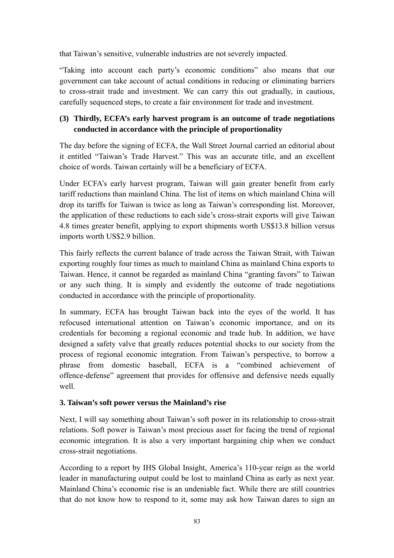that Taiwan's sensitive, vulnerable industries are not severely impacted.

"Taking into account each party's economic conditions" also means that our government can take account of actual conditions in reducing or eliminating barriers to cross-strait trade and investment. We can carry this out gradually, in cautious, carefully sequenced steps, to create a fair environment for trade and investment.

# **(3) Thirdly, ECFA's early harvest program is an outcome of trade negotiations conducted in accordance with the principle of proportionality**

The day before the signing of ECFA, the Wall Street Journal carried an editorial about it entitled "Taiwan's Trade Harvest." This was an accurate title, and an excellent choice of words. Taiwan certainly will be a beneficiary of ECFA.

Under ECFA's early harvest program, Taiwan will gain greater benefit from early tariff reductions than mainland China. The list of items on which mainland China will drop its tariffs for Taiwan is twice as long as Taiwan's corresponding list. Moreover, the application of these reductions to each side's cross-strait exports will give Taiwan 4.8 times greater benefit, applying to export shipments worth US\$13.8 billion versus imports worth US\$2.9 billion.

This fairly reflects the current balance of trade across the Taiwan Strait, with Taiwan exporting roughly four times as much to mainland China as mainland China exports to Taiwan. Hence, it cannot be regarded as mainland China "granting favors" to Taiwan or any such thing. It is simply and evidently the outcome of trade negotiations conducted in accordance with the principle of proportionality.

In summary, ECFA has brought Taiwan back into the eyes of the world. It has refocused international attention on Taiwan's economic importance, and on its credentials for becoming a regional economic and trade hub. In addition, we have designed a safety valve that greatly reduces potential shocks to our society from the process of regional economic integration. From Taiwan's perspective, to borrow a phrase from domestic baseball, ECFA is a "combined achievement of offence-defense" agreement that provides for offensive and defensive needs equally well.

### **3. Taiwan's soft power versus the Mainland's rise**

Next, I will say something about Taiwan's soft power in its relationship to cross-strait relations. Soft power is Taiwan's most precious asset for facing the trend of regional economic integration. It is also a very important bargaining chip when we conduct cross-strait negotiations.

According to a report by IHS Global Insight, America's 110-year reign as the world leader in manufacturing output could be lost to mainland China as early as next year. Mainland China's economic rise is an undeniable fact. While there are still countries that do not know how to respond to it, some may ask how Taiwan dares to sign an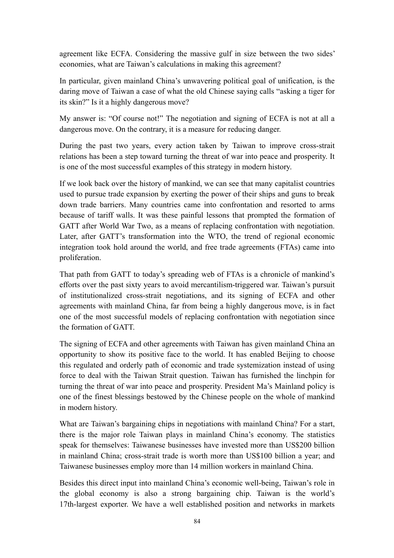agreement like ECFA. Considering the massive gulf in size between the two sides' economies, what are Taiwan's calculations in making this agreement?

In particular, given mainland China's unwavering political goal of unification, is the daring move of Taiwan a case of what the old Chinese saying calls "asking a tiger for its skin?" Is it a highly dangerous move?

My answer is: "Of course not!" The negotiation and signing of ECFA is not at all a dangerous move. On the contrary, it is a measure for reducing danger.

During the past two years, every action taken by Taiwan to improve cross-strait relations has been a step toward turning the threat of war into peace and prosperity. It is one of the most successful examples of this strategy in modern history.

If we look back over the history of mankind, we can see that many capitalist countries used to pursue trade expansion by exerting the power of their ships and guns to break down trade barriers. Many countries came into confrontation and resorted to arms because of tariff walls. It was these painful lessons that prompted the formation of GATT after World War Two, as a means of replacing confrontation with negotiation. Later, after GATT's transformation into the WTO, the trend of regional economic integration took hold around the world, and free trade agreements (FTAs) came into proliferation.

That path from GATT to today's spreading web of FTAs is a chronicle of mankind's efforts over the past sixty years to avoid mercantilism-triggered war. Taiwan's pursuit of institutionalized cross-strait negotiations, and its signing of ECFA and other agreements with mainland China, far from being a highly dangerous move, is in fact one of the most successful models of replacing confrontation with negotiation since the formation of GATT.

The signing of ECFA and other agreements with Taiwan has given mainland China an opportunity to show its positive face to the world. It has enabled Beijing to choose this regulated and orderly path of economic and trade systemization instead of using force to deal with the Taiwan Strait question. Taiwan has furnished the linchpin for turning the threat of war into peace and prosperity. President Ma's Mainland policy is one of the finest blessings bestowed by the Chinese people on the whole of mankind in modern history.

What are Taiwan's bargaining chips in negotiations with mainland China? For a start, there is the major role Taiwan plays in mainland China's economy. The statistics speak for themselves: Taiwanese businesses have invested more than US\$200 billion in mainland China; cross-strait trade is worth more than US\$100 billion a year; and Taiwanese businesses employ more than 14 million workers in mainland China.

Besides this direct input into mainland China's economic well-being, Taiwan's role in the global economy is also a strong bargaining chip. Taiwan is the world's 17th-largest exporter. We have a well established position and networks in markets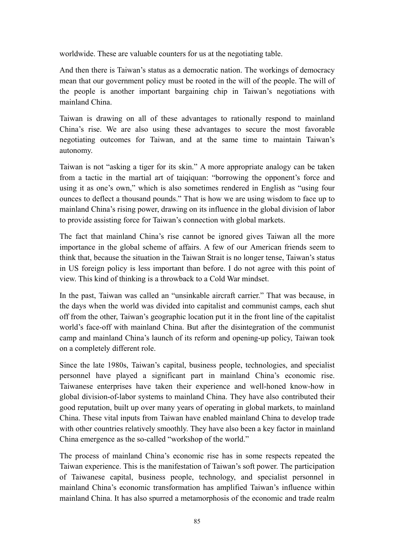worldwide. These are valuable counters for us at the negotiating table.

And then there is Taiwan's status as a democratic nation. The workings of democracy mean that our government policy must be rooted in the will of the people. The will of the people is another important bargaining chip in Taiwan's negotiations with mainland China.

Taiwan is drawing on all of these advantages to rationally respond to mainland China's rise. We are also using these advantages to secure the most favorable negotiating outcomes for Taiwan, and at the same time to maintain Taiwan's autonomy.

Taiwan is not "asking a tiger for its skin." A more appropriate analogy can be taken from a tactic in the martial art of taiqiquan: "borrowing the opponent's force and using it as one's own," which is also sometimes rendered in English as "using four ounces to deflect a thousand pounds." That is how we are using wisdom to face up to mainland China's rising power, drawing on its influence in the global division of labor to provide assisting force for Taiwan's connection with global markets.

The fact that mainland China's rise cannot be ignored gives Taiwan all the more importance in the global scheme of affairs. A few of our American friends seem to think that, because the situation in the Taiwan Strait is no longer tense, Taiwan's status in US foreign policy is less important than before. I do not agree with this point of view. This kind of thinking is a throwback to a Cold War mindset.

In the past, Taiwan was called an "unsinkable aircraft carrier." That was because, in the days when the world was divided into capitalist and communist camps, each shut off from the other, Taiwan's geographic location put it in the front line of the capitalist world's face-off with mainland China. But after the disintegration of the communist camp and mainland China's launch of its reform and opening-up policy, Taiwan took on a completely different role.

Since the late 1980s, Taiwan's capital, business people, technologies, and specialist personnel have played a significant part in mainland China's economic rise. Taiwanese enterprises have taken their experience and well-honed know-how in global division-of-labor systems to mainland China. They have also contributed their good reputation, built up over many years of operating in global markets, to mainland China. These vital inputs from Taiwan have enabled mainland China to develop trade with other countries relatively smoothly. They have also been a key factor in mainland China emergence as the so-called "workshop of the world."

The process of mainland China's economic rise has in some respects repeated the Taiwan experience. This is the manifestation of Taiwan's soft power. The participation of Taiwanese capital, business people, technology, and specialist personnel in mainland China's economic transformation has amplified Taiwan's influence within mainland China. It has also spurred a metamorphosis of the economic and trade realm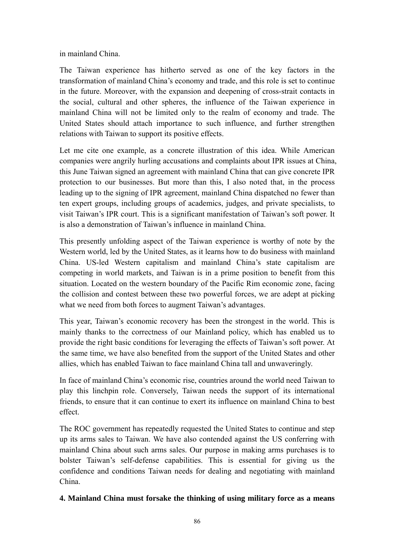in mainland China.

The Taiwan experience has hitherto served as one of the key factors in the transformation of mainland China's economy and trade, and this role is set to continue in the future. Moreover, with the expansion and deepening of cross-strait contacts in the social, cultural and other spheres, the influence of the Taiwan experience in mainland China will not be limited only to the realm of economy and trade. The United States should attach importance to such influence, and further strengthen relations with Taiwan to support its positive effects.

Let me cite one example, as a concrete illustration of this idea. While American companies were angrily hurling accusations and complaints about IPR issues at China, this June Taiwan signed an agreement with mainland China that can give concrete IPR protection to our businesses. But more than this, I also noted that, in the process leading up to the signing of IPR agreement, mainland China dispatched no fewer than ten expert groups, including groups of academics, judges, and private specialists, to visit Taiwan's IPR court. This is a significant manifestation of Taiwan's soft power. It is also a demonstration of Taiwan's influence in mainland China.

This presently unfolding aspect of the Taiwan experience is worthy of note by the Western world, led by the United States, as it learns how to do business with mainland China. US-led Western capitalism and mainland China's state capitalism are competing in world markets, and Taiwan is in a prime position to benefit from this situation. Located on the western boundary of the Pacific Rim economic zone, facing the collision and contest between these two powerful forces, we are adept at picking what we need from both forces to augment Taiwan's advantages.

This year, Taiwan's economic recovery has been the strongest in the world. This is mainly thanks to the correctness of our Mainland policy, which has enabled us to provide the right basic conditions for leveraging the effects of Taiwan's soft power. At the same time, we have also benefited from the support of the United States and other allies, which has enabled Taiwan to face mainland China tall and unwaveringly.

In face of mainland China's economic rise, countries around the world need Taiwan to play this linchpin role. Conversely, Taiwan needs the support of its international friends, to ensure that it can continue to exert its influence on mainland China to best effect.

The ROC government has repeatedly requested the United States to continue and step up its arms sales to Taiwan. We have also contended against the US conferring with mainland China about such arms sales. Our purpose in making arms purchases is to bolster Taiwan's self-defense capabilities. This is essential for giving us the confidence and conditions Taiwan needs for dealing and negotiating with mainland China.

### **4. Mainland China must forsake the thinking of using military force as a means**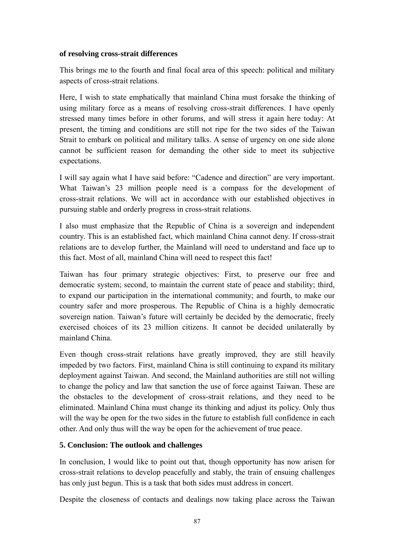#### **of resolving cross-strait differences**

This brings me to the fourth and final focal area of this speech: political and military aspects of cross-strait relations.

Here, I wish to state emphatically that mainland China must forsake the thinking of using military force as a means of resolving cross-strait differences. I have openly stressed many times before in other forums, and will stress it again here today: At present, the timing and conditions are still not ripe for the two sides of the Taiwan Strait to embark on political and military talks. A sense of urgency on one side alone cannot be sufficient reason for demanding the other side to meet its subjective expectations.

I will say again what I have said before: "Cadence and direction" are very important. What Taiwan's 23 million people need is a compass for the development of cross-strait relations. We will act in accordance with our established objectives in pursuing stable and orderly progress in cross-strait relations.

I also must emphasize that the Republic of China is a sovereign and independent country. This is an established fact, which mainland China cannot deny. If cross-strait relations are to develop further, the Mainland will need to understand and face up to this fact. Most of all, mainland China will need to respect this fact!

Taiwan has four primary strategic objectives: First, to preserve our free and democratic system; second, to maintain the current state of peace and stability; third, to expand our participation in the international community; and fourth, to make our country safer and more prosperous. The Republic of China is a highly democratic sovereign nation. Taiwan's future will certainly be decided by the democratic, freely exercised choices of its 23 million citizens. It cannot be decided unilaterally by mainland China.

Even though cross-strait relations have greatly improved, they are still heavily impeded by two factors. First, mainland China is still continuing to expand its military deployment against Taiwan. And second, the Mainland authorities are still not willing to change the policy and law that sanction the use of force against Taiwan. These are the obstacles to the development of cross-strait relations, and they need to be eliminated. Mainland China must change its thinking and adjust its policy. Only thus will the way be open for the two sides in the future to establish full confidence in each other. And only thus will the way be open for the achievement of true peace.

### **5. Conclusion: The outlook and challenges**

In conclusion, I would like to point out that, though opportunity has now arisen for cross-strait relations to develop peacefully and stably, the train of ensuing challenges has only just begun. This is a task that both sides must address in concert.

Despite the closeness of contacts and dealings now taking place across the Taiwan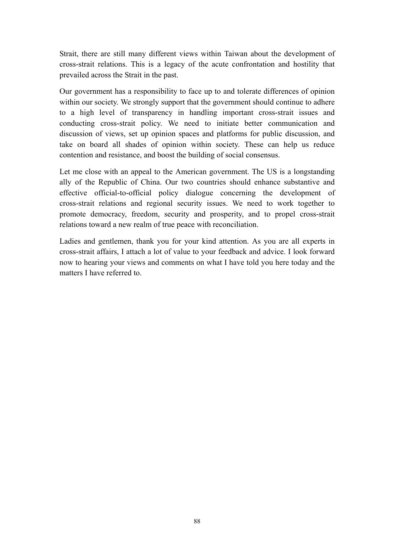Strait, there are still many different views within Taiwan about the development of cross-strait relations. This is a legacy of the acute confrontation and hostility that prevailed across the Strait in the past.

Our government has a responsibility to face up to and tolerate differences of opinion within our society. We strongly support that the government should continue to adhere to a high level of transparency in handling important cross-strait issues and conducting cross-strait policy. We need to initiate better communication and discussion of views, set up opinion spaces and platforms for public discussion, and take on board all shades of opinion within society. These can help us reduce contention and resistance, and boost the building of social consensus.

Let me close with an appeal to the American government. The US is a longstanding ally of the Republic of China. Our two countries should enhance substantive and effective official-to-official policy dialogue concerning the development of cross-strait relations and regional security issues. We need to work together to promote democracy, freedom, security and prosperity, and to propel cross-strait relations toward a new realm of true peace with reconciliation.

Ladies and gentlemen, thank you for your kind attention. As you are all experts in cross-strait affairs, I attach a lot of value to your feedback and advice. I look forward now to hearing your views and comments on what I have told you here today and the matters I have referred to.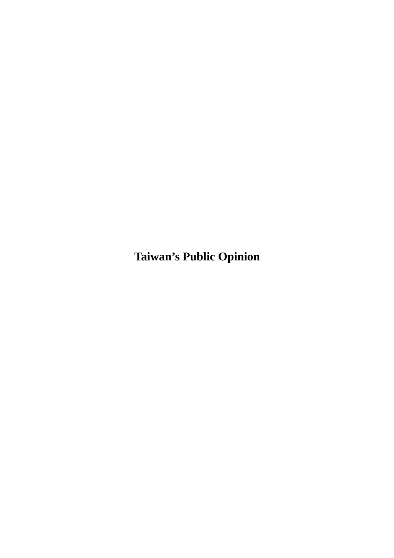**Taiwan's Public Opinion**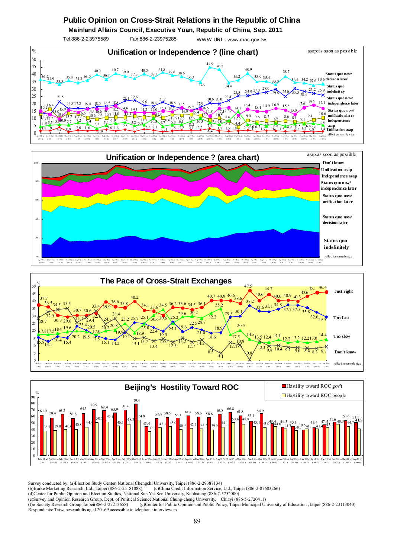#### **Public Opinion on Cross-Strait Relations in the Republic of China**

 **Mainland Affairs Council, Executive Yuan, Republic of China, Sep. 2011**









Survey conducted by: (a)Election Study Center, National Chengchi University, Taipei (886-2-29387134) (c)China Credit Information Service, Ltd., Taipei (886-2-87683266)

(d)Center for Public Opinion and Election Studies, National Sun Yat-Sen University, Kaohsiung (886-7-5252000)

(e)Survey and Opinion Research Group, Dept. of Political Science,National Chung-cheng University, Chiayi (886-5-2720411)<br>(f)e-Society Research Group,Taipei(886-2-27213658) (g)Center for Public Opinion and Public Policy, Ta Respondents: Taiwanese adults aged 20~69 accessible to telephone interviewers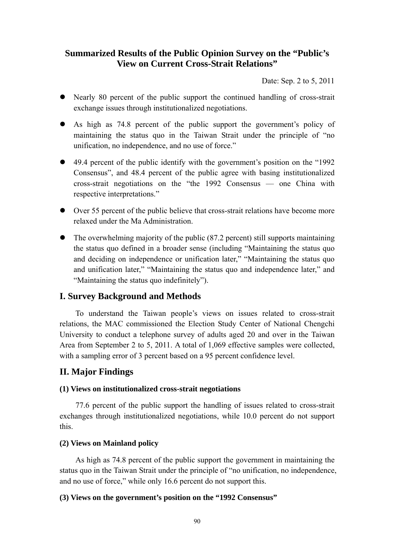# **Summarized Results of the Public Opinion Survey on the "Public's View on Current Cross-Strait Relations"**

Date: Sep. 2 to 5, 2011

- Nearly 80 percent of the public support the continued handling of cross-strait exchange issues through institutionalized negotiations.
- As high as 74.8 percent of the public support the government's policy of maintaining the status quo in the Taiwan Strait under the principle of "no unification, no independence, and no use of force."
- 49.4 percent of the public identify with the government's position on the "1992" Consensus", and 48.4 percent of the public agree with basing institutionalized cross-strait negotiations on the "the 1992 Consensus — one China with respective interpretations."
- Over 55 percent of the public believe that cross-strait relations have become more relaxed under the Ma Administration.
- $\bullet$  The overwhelming majority of the public (87.2 percent) still supports maintaining the status quo defined in a broader sense (including "Maintaining the status quo and deciding on independence or unification later," "Maintaining the status quo and unification later," "Maintaining the status quo and independence later," and "Maintaining the status quo indefinitely").

# **I. Survey Background and Methods**

 To understand the Taiwan people's views on issues related to cross-strait relations, the MAC commissioned the Election Study Center of National Chengchi University to conduct a telephone survey of adults aged 20 and over in the Taiwan Area from September 2 to 5, 2011. A total of 1,069 effective samples were collected, with a sampling error of 3 percent based on a 95 percent confidence level.

# **II. Major Findings**

### **(1) Views on institutionalized cross-strait negotiations**

 77.6 percent of the public support the handling of issues related to cross-strait exchanges through institutionalized negotiations, while 10.0 percent do not support this.

#### **(2) Views on Mainland policy**

 As high as 74.8 percent of the public support the government in maintaining the status quo in the Taiwan Strait under the principle of "no unification, no independence, and no use of force," while only 16.6 percent do not support this.

#### **(3) Views on the government's position on the "1992 Consensus"**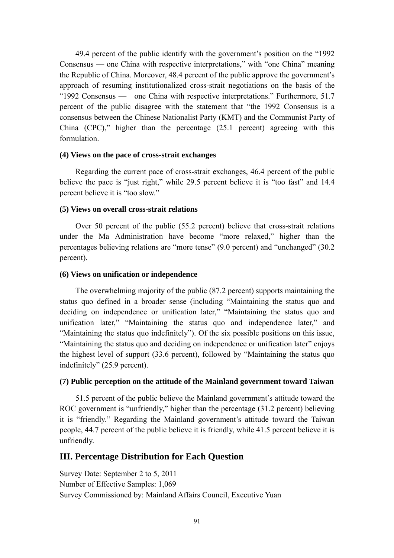49.4 percent of the public identify with the government's position on the "1992 Consensus — one China with respective interpretations," with "one China" meaning the Republic of China. Moreover, 48.4 percent of the public approve the government's approach of resuming institutionalized cross-strait negotiations on the basis of the "1992 Consensus — one China with respective interpretations." Furthermore, 51.7 percent of the public disagree with the statement that "the 1992 Consensus is a consensus between the Chinese Nationalist Party (KMT) and the Communist Party of China (CPC)," higher than the percentage (25.1 percent) agreeing with this formulation.

#### **(4) Views on the pace of cross-strait exchanges**

 Regarding the current pace of cross-strait exchanges, 46.4 percent of the public believe the pace is "just right," while 29.5 percent believe it is "too fast" and 14.4 percent believe it is "too slow."

#### **(5) Views on overall cross-strait relations**

 Over 50 percent of the public (55.2 percent) believe that cross-strait relations under the Ma Administration have become "more relaxed," higher than the percentages believing relations are "more tense" (9.0 percent) and "unchanged" (30.2 percent).

#### **(6) Views on unification or independence**

 The overwhelming majority of the public (87.2 percent) supports maintaining the status quo defined in a broader sense (including "Maintaining the status quo and deciding on independence or unification later," "Maintaining the status quo and unification later," "Maintaining the status quo and independence later," and "Maintaining the status quo indefinitely"). Of the six possible positions on this issue, "Maintaining the status quo and deciding on independence or unification later" enjoys the highest level of support (33.6 percent), followed by "Maintaining the status quo indefinitely" (25.9 percent).

#### **(7) Public perception on the attitude of the Mainland government toward Taiwan**

 51.5 percent of the public believe the Mainland government's attitude toward the ROC government is "unfriendly," higher than the percentage (31.2 percent) believing it is "friendly." Regarding the Mainland government's attitude toward the Taiwan people, 44.7 percent of the public believe it is friendly, while 41.5 percent believe it is unfriendly.

### **III. Percentage Distribution for Each Question**

Survey Date: September 2 to 5, 2011 Number of Effective Samples: 1,069 Survey Commissioned by: Mainland Affairs Council, Executive Yuan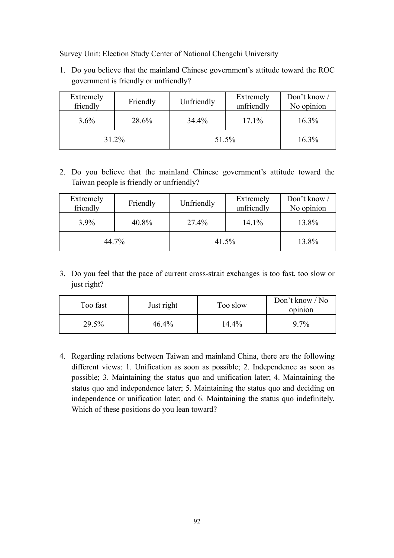Survey Unit: Election Study Center of National Chengchi University

1. Do you believe that the mainland Chinese government's attitude toward the ROC government is friendly or unfriendly?

| Extremely<br>friendly | Friendly | Unfriendly | Extremely<br>unfriendly | Don't know<br>No opinion |
|-----------------------|----------|------------|-------------------------|--------------------------|
| $3.6\%$               | 28.6%    | 34.4%      | 17.1%                   | $16.3\%$                 |
| 31.2%                 |          | 51.5%      |                         | $16.3\%$                 |

2. Do you believe that the mainland Chinese government's attitude toward the Taiwan people is friendly or unfriendly?

| Extremely<br>friendly | Friendly | Unfriendly | Extremely<br>unfriendly | Don't know<br>No opinion |
|-----------------------|----------|------------|-------------------------|--------------------------|
| $3.9\%$               | 40.8%    | 27.4%      | 14.1%                   | 13.8%                    |
| 44.7%                 |          | 41.5%      |                         | 13.8%                    |

3. Do you feel that the pace of current cross-strait exchanges is too fast, too slow or just right?

| Too fast | Just right | Too slow | Don't know / No<br>opinion |
|----------|------------|----------|----------------------------|
| 29.5%    | 46.4%      | $14.4\%$ | $9.7\%$                    |

4. Regarding relations between Taiwan and mainland China, there are the following different views: 1. Unification as soon as possible; 2. Independence as soon as possible; 3. Maintaining the status quo and unification later; 4. Maintaining the status quo and independence later; 5. Maintaining the status quo and deciding on independence or unification later; and 6. Maintaining the status quo indefinitely. Which of these positions do you lean toward?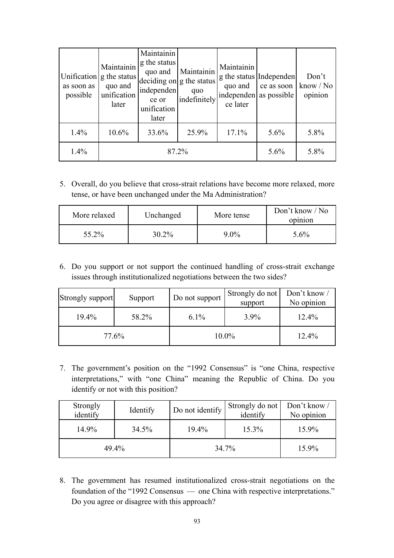| Unification $g$ the status<br>as soon as<br>possible | Maintainin<br>quo and<br>unification<br>later | Maintainin<br>g the status<br>quo and<br>deciding on $g$ the status<br>independen<br>ce or<br>unification<br>later | Maintainin<br>quo<br>indefinitely | Maintainin<br>quo and<br>ce later | g the status Independen<br>ce as soon<br>independen as possible | Don't<br>$\text{know } / \text{No}$<br>opinion |
|------------------------------------------------------|-----------------------------------------------|--------------------------------------------------------------------------------------------------------------------|-----------------------------------|-----------------------------------|-----------------------------------------------------------------|------------------------------------------------|
| 1.4%                                                 | $10.6\%$                                      | 33.6%                                                                                                              | 25.9%                             | 17.1%                             | 5.6%                                                            | 5.8%                                           |
| $1.4\%$                                              |                                               |                                                                                                                    | 87.2%                             |                                   | 5.6%                                                            | 5.8%                                           |

5. Overall, do you believe that cross-strait relations have become more relaxed, more tense, or have been unchanged under the Ma Administration?

| More relaxed | Unchanged | More tense | Don't know / No<br>opinion |
|--------------|-----------|------------|----------------------------|
| 55.2%        | $30.2\%$  | $9.0\%$    | $5.6\%$                    |

6. Do you support or not support the continued handling of cross-strait exchange issues through institutionalized negotiations between the two sides?

| Strongly support | Support | Do not support | Strongly do not<br>support | Don't know /<br>No opinion |
|------------------|---------|----------------|----------------------------|----------------------------|
| 19.4%            | 58.2%   | $6.1\%$        | $3.9\%$                    | 12.4%                      |
| 77.6%            |         |                | 10.0%                      | 12.4%                      |

7. The government's position on the "1992 Consensus" is "one China, respective interpretations," with "one China" meaning the Republic of China. Do you identify or not with this position?

| Strongly<br>identify | Identify | Do not identify | Strongly do not<br>identify | Don't know /<br>No opinion |
|----------------------|----------|-----------------|-----------------------------|----------------------------|
| 14.9%                | 34.5%    | $19.4\%$        | 15.3%                       | 15.9%                      |
| 49.4%                |          |                 | 34.7%                       | 15.9%                      |

8. The government has resumed institutionalized cross-strait negotiations on the foundation of the "1992 Consensus — one China with respective interpretations." Do you agree or disagree with this approach?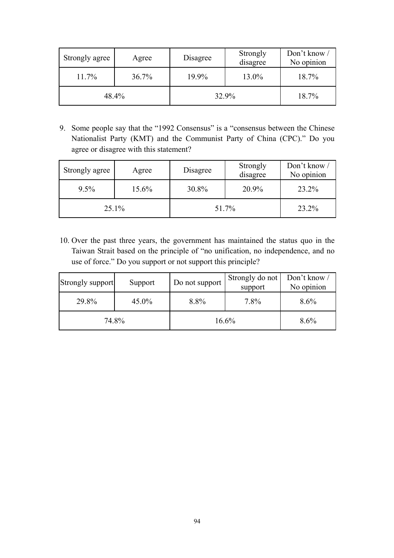| Strongly agree | Agree | Disagree | Strongly<br>disagree | Don't know /<br>No opinion |
|----------------|-------|----------|----------------------|----------------------------|
| $11.7\%$       | 36.7% | 19.9%    | 13.0%                | 18.7%                      |
| 48.4%          |       |          | 32.9%                | 18.7%                      |

9. Some people say that the "1992 Consensus" is a "consensus between the Chinese" Nationalist Party (KMT) and the Communist Party of China (CPC)." Do you agree or disagree with this statement?

| Strongly agree | Agree | Disagree | Strongly<br>disagree | Don't know<br>No opinion |
|----------------|-------|----------|----------------------|--------------------------|
| $9.5\%$        | 15.6% | 30.8%    | 20.9%                | 23.2%                    |
| $25.1\%$       |       |          | 51.7%                | 23.2%                    |

10. Over the past three years, the government has maintained the status quo in the Taiwan Strait based on the principle of "no unification, no independence, and no use of force." Do you support or not support this principle?

| Strongly support | Support | Do not support | Strongly do not<br>support | Don't know /<br>No opinion |
|------------------|---------|----------------|----------------------------|----------------------------|
| 29.8%            | 45.0%   | 8.8%           | $7.8\%$                    | $8.6\%$                    |
|                  | 74.8%   |                | 16.6%                      | $8.6\%$                    |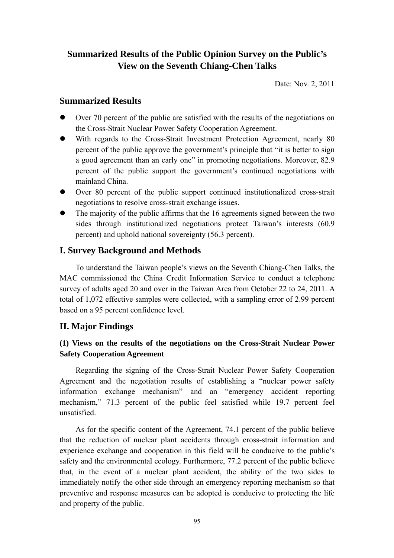# **Summarized Results of the Public Opinion Survey on the Public's View on the Seventh Chiang-Chen Talks**

Date: Nov. 2, 2011

### **Summarized Results**

- Over 70 percent of the public are satisfied with the results of the negotiations on the Cross-Strait Nuclear Power Safety Cooperation Agreement.
- With regards to the Cross-Strait Investment Protection Agreement, nearly 80 percent of the public approve the government's principle that "it is better to sign a good agreement than an early one" in promoting negotiations. Moreover, 82.9 percent of the public support the government's continued negotiations with mainland China.
- Over 80 percent of the public support continued institutionalized cross-strait negotiations to resolve cross-strait exchange issues.
- The majority of the public affirms that the 16 agreements signed between the two sides through institutionalized negotiations protect Taiwan's interests (60.9 percent) and uphold national sovereignty (56.3 percent).

# **I. Survey Background and Methods**

To understand the Taiwan people's views on the Seventh Chiang-Chen Talks, the MAC commissioned the China Credit Information Service to conduct a telephone survey of adults aged 20 and over in the Taiwan Area from October 22 to 24, 2011. A total of 1,072 effective samples were collected, with a sampling error of 2.99 percent based on a 95 percent confidence level.

# **II. Major Findings**

### **(1) Views on the results of the negotiations on the Cross-Strait Nuclear Power Safety Cooperation Agreement**

Regarding the signing of the Cross-Strait Nuclear Power Safety Cooperation Agreement and the negotiation results of establishing a "nuclear power safety information exchange mechanism" and an "emergency accident reporting mechanism," 71.3 percent of the public feel satisfied while 19.7 percent feel unsatisfied.

As for the specific content of the Agreement, 74.1 percent of the public believe that the reduction of nuclear plant accidents through cross-strait information and experience exchange and cooperation in this field will be conducive to the public's safety and the environmental ecology. Furthermore, 77.2 percent of the public believe that, in the event of a nuclear plant accident, the ability of the two sides to immediately notify the other side through an emergency reporting mechanism so that preventive and response measures can be adopted is conducive to protecting the life and property of the public.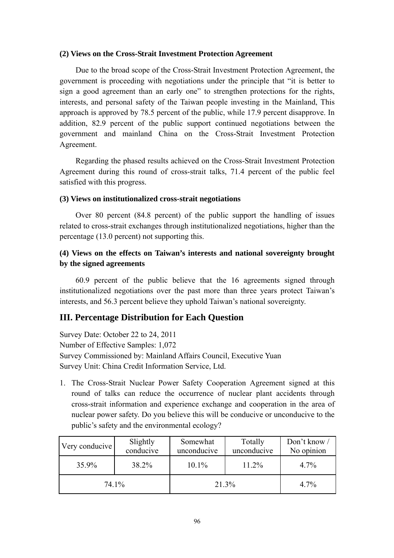#### **(2) Views on the Cross-Strait Investment Protection Agreement**

Due to the broad scope of the Cross-Strait Investment Protection Agreement, the government is proceeding with negotiations under the principle that "it is better to sign a good agreement than an early one" to strengthen protections for the rights, interests, and personal safety of the Taiwan people investing in the Mainland, This approach is approved by 78.5 percent of the public, while 17.9 percent disapprove. In addition, 82.9 percent of the public support continued negotiations between the government and mainland China on the Cross-Strait Investment Protection Agreement.

Regarding the phased results achieved on the Cross-Strait Investment Protection Agreement during this round of cross-strait talks, 71.4 percent of the public feel satisfied with this progress.

#### **(3) Views on institutionalized cross-strait negotiations**

Over 80 percent (84.8 percent) of the public support the handling of issues related to cross-strait exchanges through institutionalized negotiations, higher than the percentage (13.0 percent) not supporting this.

### **(4) Views on the effects on Taiwan's interests and national sovereignty brought by the signed agreements**

60.9 percent of the public believe that the 16 agreements signed through institutionalized negotiations over the past more than three years protect Taiwan's interests, and 56.3 percent believe they uphold Taiwan's national sovereignty.

### **III. Percentage Distribution for Each Question**

Survey Date: October 22 to 24, 2011 Number of Effective Samples: 1,072 Survey Commissioned by: Mainland Affairs Council, Executive Yuan Survey Unit: China Credit Information Service, Ltd.

1. The Cross-Strait Nuclear Power Safety Cooperation Agreement signed at this round of talks can reduce the occurrence of nuclear plant accidents through cross-strait information and experience exchange and cooperation in the area of nuclear power safety. Do you believe this will be conducive or unconducive to the public's safety and the environmental ecology?

| Very conducive | Slightly<br>conducive | Somewhat<br>unconducive | Totally<br>unconducive | Don't know /<br>No opinion |
|----------------|-----------------------|-------------------------|------------------------|----------------------------|
| 35.9%          | 38.2%                 | $10.1\%$                | 11.2%                  | 4.7%                       |
| 74.1%          |                       |                         | 21.3%                  | 4.7%                       |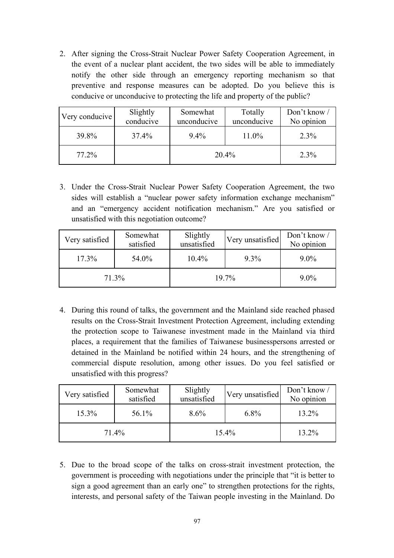2. After signing the Cross-Strait Nuclear Power Safety Cooperation Agreement, in the event of a nuclear plant accident, the two sides will be able to immediately notify the other side through an emergency reporting mechanism so that preventive and response measures can be adopted. Do you believe this is conducive or unconducive to protecting the life and property of the public?

| Very conducive | Slightly<br>conducive | Somewhat<br>unconducive | Totally<br>unconducive | Don't know /<br>No opinion |
|----------------|-----------------------|-------------------------|------------------------|----------------------------|
| 39.8%          | 37.4%                 | $9.4\%$                 | 11.0%                  | 2.3%                       |
| 77.2%          |                       | 20.4%                   |                        | 2.3%                       |

3. Under the Cross-Strait Nuclear Power Safety Cooperation Agreement, the two sides will establish a "nuclear power safety information exchange mechanism" and an "emergency accident notification mechanism." Are you satisfied or unsatisfied with this negotiation outcome?

| Very satisfied | Somewhat<br>satisfied | Slightly<br>unsatisfied | Very unsatisfied | Don't know /<br>No opinion |
|----------------|-----------------------|-------------------------|------------------|----------------------------|
| $17.3\%$       | 54.0%                 | $10.4\%$                | 9.3%             | $9.0\%$                    |
|                | 71.3%                 |                         | 19.7%            | $9.0\%$                    |

4. During this round of talks, the government and the Mainland side reached phased results on the Cross-Strait Investment Protection Agreement, including extending the protection scope to Taiwanese investment made in the Mainland via third places, a requirement that the families of Taiwanese businesspersons arrested or detained in the Mainland be notified within 24 hours, and the strengthening of commercial dispute resolution, among other issues. Do you feel satisfied or unsatisfied with this progress?

| Very satisfied | Somewhat<br>satisfied | Slightly<br>unsatisfied | Very unsatisfied | Don't know /<br>No opinion |
|----------------|-----------------------|-------------------------|------------------|----------------------------|
| $15.3\%$       | 56.1%                 | 8.6%                    | $6.8\%$          | 13.2%                      |
|                | 71.4 <sup>o</sup> %   |                         | $15.4\%$         | 13.2%                      |

5. Due to the broad scope of the talks on cross-strait investment protection, the government is proceeding with negotiations under the principle that "it is better to sign a good agreement than an early one" to strengthen protections for the rights, interests, and personal safety of the Taiwan people investing in the Mainland. Do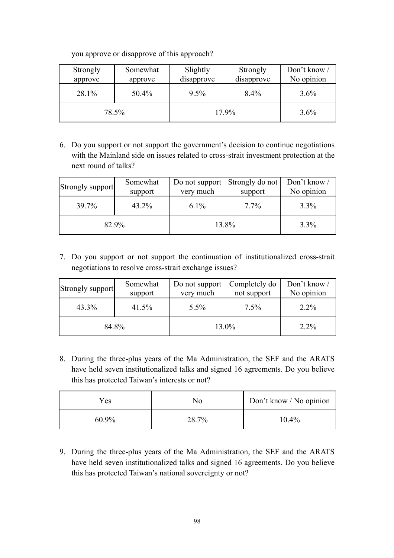you approve or disapprove of this approach?

| Strongly<br>approve | Somewhat<br>approve | Slightly<br>disapprove | Strongly<br>disapprove | Don't know /<br>No opinion |
|---------------------|---------------------|------------------------|------------------------|----------------------------|
| 28.1%               | 50.4%               | $9.5\%$                | 8.4%                   | $3.6\%$                    |
|                     | 78.5%               |                        | 17.9%                  | $3.6\%$                    |

6. Do you support or not support the government's decision to continue negotiations with the Mainland side on issues related to cross-strait investment protection at the next round of talks?

| Strongly support | Somewhat<br>support | very much | Do not support Strongly do not<br>support | Don't know /<br>No opinion |
|------------------|---------------------|-----------|-------------------------------------------|----------------------------|
| 39.7%            | 43.2%               | $6.1\%$   | $7.7\%$                                   | $3.3\%$                    |
|                  | 82.9%               |           | 13.8%                                     | $3.3\%$                    |

7. Do you support or not support the continuation of institutionalized cross-strait negotiations to resolve cross-strait exchange issues?

| Strongly support | Somewhat<br>support | Do not support<br>very much | Completely do<br>not support | Don't know /<br>No opinion |
|------------------|---------------------|-----------------------------|------------------------------|----------------------------|
| 43.3%            | 41.5%               | $5.5\%$                     | 7.5%                         | $2.2\%$                    |
|                  | 84.8%               |                             | 13.0%                        | $2.2\%$                    |

8. During the three-plus years of the Ma Administration, the SEF and the ARATS have held seven institutionalized talks and signed 16 agreements. Do you believe this has protected Taiwan's interests or not?

| Yes   | No    | Don't know / No opinion |
|-------|-------|-------------------------|
| 60.9% | 28.7% | $10.4\%$                |

9. During the three-plus years of the Ma Administration, the SEF and the ARATS have held seven institutionalized talks and signed 16 agreements. Do you believe this has protected Taiwan's national sovereignty or not?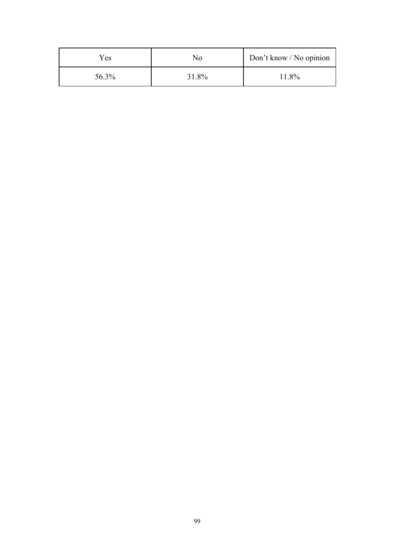| Yes   | NO.   | Don't know / No opinion |
|-------|-------|-------------------------|
| 56.3% | 31.8% | 11.8%                   |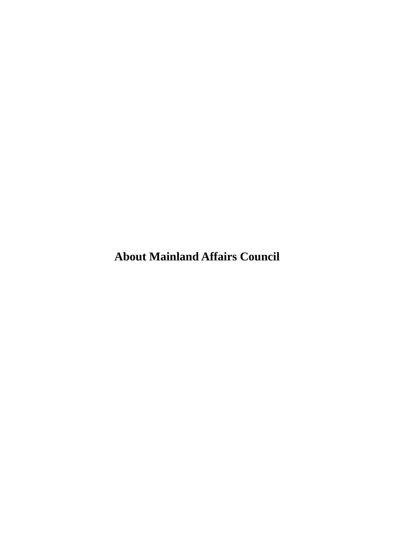**About Mainland Affairs Council**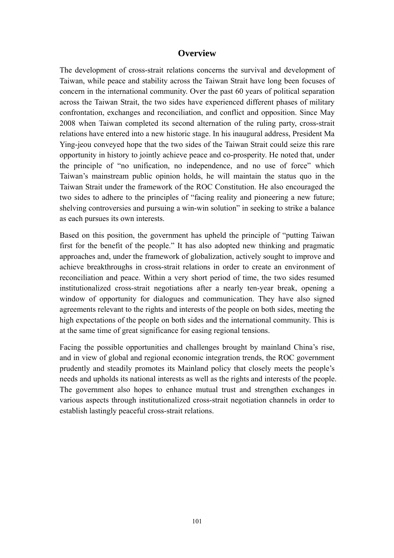### **Overview**

The development of cross-strait relations concerns the survival and development of Taiwan, while peace and stability across the Taiwan Strait have long been focuses of concern in the international community. Over the past 60 years of political separation across the Taiwan Strait, the two sides have experienced different phases of military confrontation, exchanges and reconciliation, and conflict and opposition. Since May 2008 when Taiwan completed its second alternation of the ruling party, cross-strait relations have entered into a new historic stage. In his inaugural address, President Ma Ying-jeou conveyed hope that the two sides of the Taiwan Strait could seize this rare opportunity in history to jointly achieve peace and co-prosperity. He noted that, under the principle of "no unification, no independence, and no use of force" which Taiwan's mainstream public opinion holds, he will maintain the status quo in the Taiwan Strait under the framework of the ROC Constitution. He also encouraged the two sides to adhere to the principles of "facing reality and pioneering a new future; shelving controversies and pursuing a win-win solution" in seeking to strike a balance as each pursues its own interests.

Based on this position, the government has upheld the principle of "putting Taiwan first for the benefit of the people." It has also adopted new thinking and pragmatic approaches and, under the framework of globalization, actively sought to improve and achieve breakthroughs in cross-strait relations in order to create an environment of reconciliation and peace. Within a very short period of time, the two sides resumed institutionalized cross-strait negotiations after a nearly ten-year break, opening a window of opportunity for dialogues and communication. They have also signed agreements relevant to the rights and interests of the people on both sides, meeting the high expectations of the people on both sides and the international community. This is at the same time of great significance for easing regional tensions.

Facing the possible opportunities and challenges brought by mainland China's rise, and in view of global and regional economic integration trends, the ROC government prudently and steadily promotes its Mainland policy that closely meets the people's needs and upholds its national interests as well as the rights and interests of the people. The government also hopes to enhance mutual trust and strengthen exchanges in various aspects through institutionalized cross-strait negotiation channels in order to establish lastingly peaceful cross-strait relations.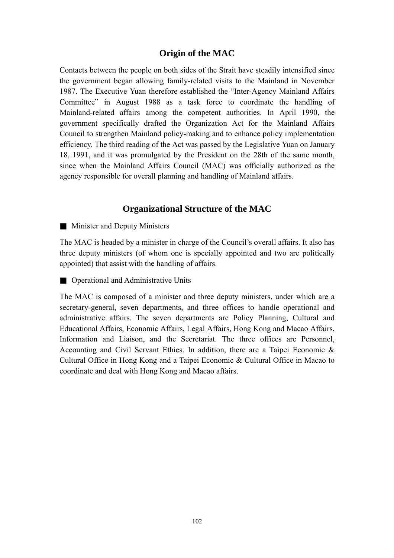# **Origin of the MAC**

Contacts between the people on both sides of the Strait have steadily intensified since the government began allowing family-related visits to the Mainland in November 1987. The Executive Yuan therefore established the "Inter-Agency Mainland Affairs Committee" in August 1988 as a task force to coordinate the handling of Mainland-related affairs among the competent authorities. In April 1990, the government specifically drafted the Organization Act for the Mainland Affairs Council to strengthen Mainland policy-making and to enhance policy implementation efficiency. The third reading of the Act was passed by the Legislative Yuan on January 18, 1991, and it was promulgated by the President on the 28th of the same month, since when the Mainland Affairs Council (MAC) was officially authorized as the agency responsible for overall planning and handling of Mainland affairs.

### **Organizational Structure of the MAC**

#### Minister and Deputy Ministers

The MAC is headed by a minister in charge of the Council's overall affairs. It also has three deputy ministers (of whom one is specially appointed and two are politically appointed) that assist with the handling of affairs.

Operational and Administrative Units

The MAC is composed of a minister and three deputy ministers, under which are a secretary-general, seven departments, and three offices to handle operational and administrative affairs. The seven departments are Policy Planning, Cultural and Educational Affairs, Economic Affairs, Legal Affairs, Hong Kong and Macao Affairs, Information and Liaison, and the Secretariat. The three offices are Personnel, Accounting and Civil Servant Ethics. In addition, there are a Taipei Economic & Cultural Office in Hong Kong and a Taipei Economic & Cultural Office in Macao to coordinate and deal with Hong Kong and Macao affairs.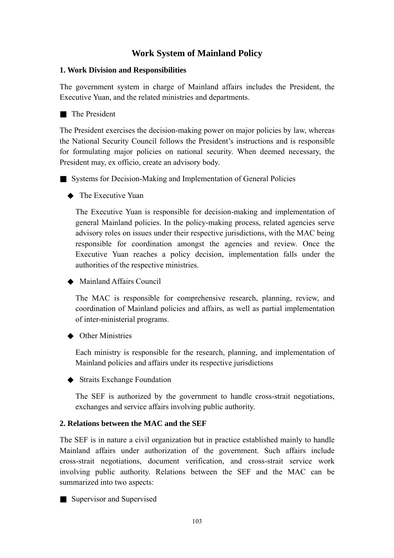## **Work System of Mainland Policy**

#### **1. Work Division and Responsibilities**

The government system in charge of Mainland affairs includes the President, the Executive Yuan, and the related ministries and departments.

The President

The President exercises the decision-making power on major policies by law, whereas the National Security Council follows the President's instructions and is responsible for formulating major policies on national security. When deemed necessary, the President may, ex officio, create an advisory body.

Systems for Decision-Making and Implementation of General Policies

The Executive Yuan

The Executive Yuan is responsible for decision-making and implementation of general Mainland policies. In the policy-making process, related agencies serve advisory roles on issues under their respective jurisdictions, with the MAC being responsible for coordination amongst the agencies and review. Once the Executive Yuan reaches a policy decision, implementation falls under the authorities of the respective ministries.

Mainland Affairs Council

The MAC is responsible for comprehensive research, planning, review, and coordination of Mainland policies and affairs, as well as partial implementation of inter-ministerial programs.

Other Ministries

Each ministry is responsible for the research, planning, and implementation of Mainland policies and affairs under its respective jurisdictions

Straits Exchange Foundation

The SEF is authorized by the government to handle cross-strait negotiations, exchanges and service affairs involving public authority.

## **2. Relations between the MAC and the SEF**

The SEF is in nature a civil organization but in practice established mainly to handle Mainland affairs under authorization of the government. Such affairs include cross-strait negotiations, document verification, and cross-strait service work involving public authority. Relations between the SEF and the MAC can be summarized into two aspects:

Supervisor and Supervised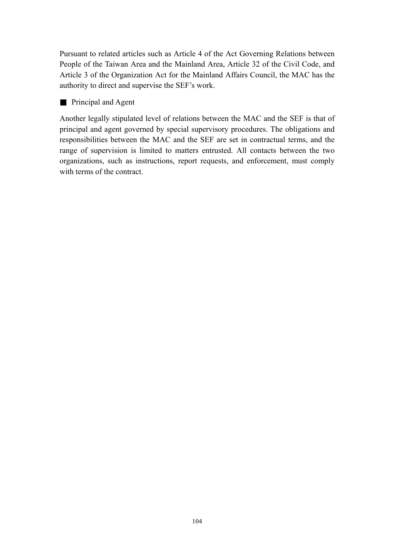Pursuant to related articles such as Article 4 of the Act Governing Relations between People of the Taiwan Area and the Mainland Area, Article 32 of the Civil Code, and Article 3 of the Organization Act for the Mainland Affairs Council, the MAC has the authority to direct and supervise the SEF's work.

Principal and Agent

Another legally stipulated level of relations between the MAC and the SEF is that of principal and agent governed by special supervisory procedures. The obligations and responsibilities between the MAC and the SEF are set in contractual terms, and the range of supervision is limited to matters entrusted. All contacts between the two organizations, such as instructions, report requests, and enforcement, must comply with terms of the contract.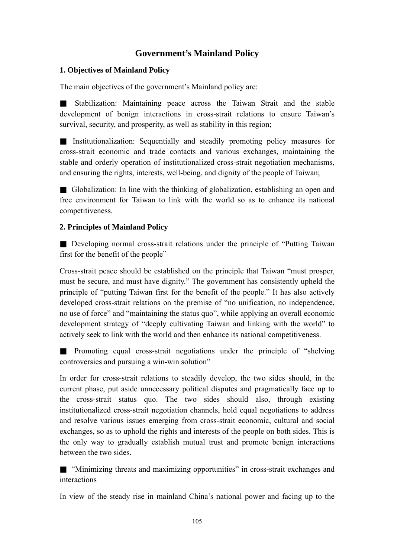### **Government's Mainland Policy**

#### **1. Objectives of Mainland Policy**

The main objectives of the government's Mainland policy are:

 Stabilization: Maintaining peace across the Taiwan Strait and the stable development of benign interactions in cross-strait relations to ensure Taiwan's survival, security, and prosperity, as well as stability in this region;

 Institutionalization: Sequentially and steadily promoting policy measures for cross-strait economic and trade contacts and various exchanges, maintaining the stable and orderly operation of institutionalized cross-strait negotiation mechanisms, and ensuring the rights, interests, well-being, and dignity of the people of Taiwan;

 Globalization: In line with the thinking of globalization, establishing an open and free environment for Taiwan to link with the world so as to enhance its national competitiveness.

#### **2. Principles of Mainland Policy**

 Developing normal cross-strait relations under the principle of "Putting Taiwan first for the benefit of the people"

Cross-strait peace should be established on the principle that Taiwan "must prosper, must be secure, and must have dignity." The government has consistently upheld the principle of "putting Taiwan first for the benefit of the people." It has also actively developed cross-strait relations on the premise of "no unification, no independence, no use of force" and "maintaining the status quo", while applying an overall economic development strategy of "deeply cultivating Taiwan and linking with the world" to actively seek to link with the world and then enhance its national competitiveness.

 Promoting equal cross-strait negotiations under the principle of "shelving controversies and pursuing a win-win solution"

In order for cross-strait relations to steadily develop, the two sides should, in the current phase, put aside unnecessary political disputes and pragmatically face up to the cross-strait status quo. The two sides should also, through existing institutionalized cross-strait negotiation channels, hold equal negotiations to address and resolve various issues emerging from cross-strait economic, cultural and social exchanges, so as to uphold the rights and interests of the people on both sides. This is the only way to gradually establish mutual trust and promote benign interactions between the two sides.

 "Minimizing threats and maximizing opportunities" in cross-strait exchanges and interactions

In view of the steady rise in mainland China's national power and facing up to the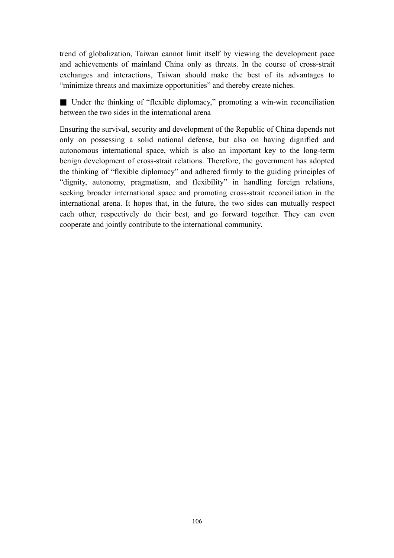trend of globalization, Taiwan cannot limit itself by viewing the development pace and achievements of mainland China only as threats. In the course of cross-strait exchanges and interactions, Taiwan should make the best of its advantages to "minimize threats and maximize opportunities" and thereby create niches.

 Under the thinking of "flexible diplomacy," promoting a win-win reconciliation between the two sides in the international arena

Ensuring the survival, security and development of the Republic of China depends not only on possessing a solid national defense, but also on having dignified and autonomous international space, which is also an important key to the long-term benign development of cross-strait relations. Therefore, the government has adopted the thinking of "flexible diplomacy" and adhered firmly to the guiding principles of "dignity, autonomy, pragmatism, and flexibility" in handling foreign relations, seeking broader international space and promoting cross-strait reconciliation in the international arena. It hopes that, in the future, the two sides can mutually respect each other, respectively do their best, and go forward together. They can even cooperate and jointly contribute to the international community.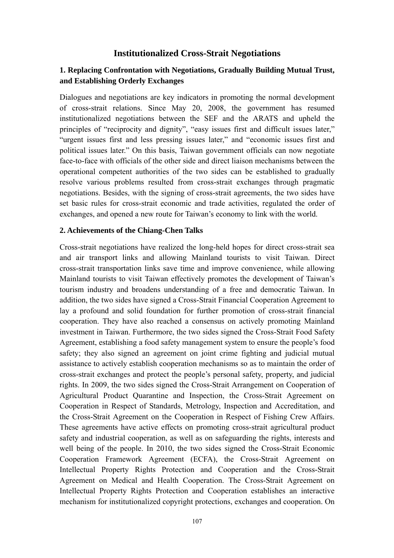## **Institutionalized Cross-Strait Negotiations**

## **1. Replacing Confrontation with Negotiations, Gradually Building Mutual Trust, and Establishing Orderly Exchanges**

Dialogues and negotiations are key indicators in promoting the normal development of cross-strait relations. Since May 20, 2008, the government has resumed institutionalized negotiations between the SEF and the ARATS and upheld the principles of "reciprocity and dignity", "easy issues first and difficult issues later," "urgent issues first and less pressing issues later," and "economic issues first and political issues later." On this basis, Taiwan government officials can now negotiate face-to-face with officials of the other side and direct liaison mechanisms between the operational competent authorities of the two sides can be established to gradually resolve various problems resulted from cross-strait exchanges through pragmatic negotiations. Besides, with the signing of cross-strait agreements, the two sides have set basic rules for cross-strait economic and trade activities, regulated the order of exchanges, and opened a new route for Taiwan's economy to link with the world.

#### **2. Achievements of the Chiang-Chen Talks**

Cross-strait negotiations have realized the long-held hopes for direct cross-strait sea and air transport links and allowing Mainland tourists to visit Taiwan. Direct cross-strait transportation links save time and improve convenience, while allowing Mainland tourists to visit Taiwan effectively promotes the development of Taiwan's tourism industry and broadens understanding of a free and democratic Taiwan. In addition, the two sides have signed a Cross-Strait Financial Cooperation Agreement to lay a profound and solid foundation for further promotion of cross-strait financial cooperation. They have also reached a consensus on actively promoting Mainland investment in Taiwan. Furthermore, the two sides signed the Cross-Strait Food Safety Agreement, establishing a food safety management system to ensure the people's food safety; they also signed an agreement on joint crime fighting and judicial mutual assistance to actively establish cooperation mechanisms so as to maintain the order of cross-strait exchanges and protect the people's personal safety, property, and judicial rights. In 2009, the two sides signed the Cross-Strait Arrangement on Cooperation of Agricultural Product Quarantine and Inspection, the Cross-Strait Agreement on Cooperation in Respect of Standards, Metrology, Inspection and Accreditation, and the Cross-Strait Agreement on the Cooperation in Respect of Fishing Crew Affairs. These agreements have active effects on promoting cross-strait agricultural product safety and industrial cooperation, as well as on safeguarding the rights, interests and well being of the people. In 2010, the two sides signed the Cross-Strait Economic Cooperation Framework Agreement (ECFA), the Cross-Strait Agreement on Intellectual Property Rights Protection and Cooperation and the Cross-Strait Agreement on Medical and Health Cooperation. The Cross-Strait Agreement on Intellectual Property Rights Protection and Cooperation establishes an interactive mechanism for institutionalized copyright protections, exchanges and cooperation. On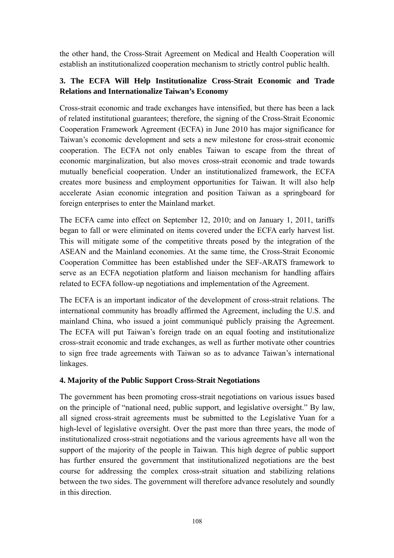the other hand, the Cross-Strait Agreement on Medical and Health Cooperation will establish an institutionalized cooperation mechanism to strictly control public health.

## **3. The ECFA Will Help Institutionalize Cross-Strait Economic and Trade Relations and Internationalize Taiwan's Economy**

Cross-strait economic and trade exchanges have intensified, but there has been a lack of related institutional guarantees; therefore, the signing of the Cross-Strait Economic Cooperation Framework Agreement (ECFA) in June 2010 has major significance for Taiwan's economic development and sets a new milestone for cross-strait economic cooperation. The ECFA not only enables Taiwan to escape from the threat of economic marginalization, but also moves cross-strait economic and trade towards mutually beneficial cooperation. Under an institutionalized framework, the ECFA creates more business and employment opportunities for Taiwan. It will also help accelerate Asian economic integration and position Taiwan as a springboard for foreign enterprises to enter the Mainland market.

The ECFA came into effect on September 12, 2010; and on January 1, 2011, tariffs began to fall or were eliminated on items covered under the ECFA early harvest list. This will mitigate some of the competitive threats posed by the integration of the ASEAN and the Mainland economies. At the same time, the Cross-Strait Economic Cooperation Committee has been established under the SEF-ARATS framework to serve as an ECFA negotiation platform and liaison mechanism for handling affairs related to ECFA follow-up negotiations and implementation of the Agreement.

The ECFA is an important indicator of the development of cross-strait relations. The international community has broadly affirmed the Agreement, including the U.S. and mainland China, who issued a joint communiqué publicly praising the Agreement. The ECFA will put Taiwan's foreign trade on an equal footing and institutionalize cross-strait economic and trade exchanges, as well as further motivate other countries to sign free trade agreements with Taiwan so as to advance Taiwan's international linkages.

## **4. Majority of the Public Support Cross-Strait Negotiations**

The government has been promoting cross-strait negotiations on various issues based on the principle of "national need, public support, and legislative oversight." By law, all signed cross-strait agreements must be submitted to the Legislative Yuan for a high-level of legislative oversight. Over the past more than three years, the mode of institutionalized cross-strait negotiations and the various agreements have all won the support of the majority of the people in Taiwan. This high degree of public support has further ensured the government that institutionalized negotiations are the best course for addressing the complex cross-strait situation and stabilizing relations between the two sides. The government will therefore advance resolutely and soundly in this direction.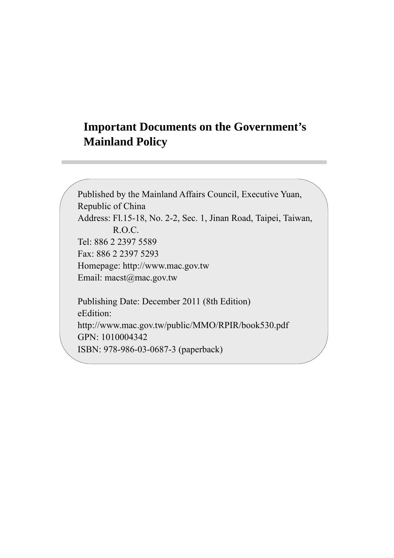# **Important Documents on the Government's Mainland Policy**

Published by the Mainland Affairs Council, Executive Yuan, Republic of China Address: Fl.15-18, No. 2-2, Sec. 1, Jinan Road, Taipei, Taiwan, R.O.C. Tel: 886 2 2397 5589 Fax: 886 2 2397 5293 Homepage: http://www.mac.gov.tw Email: macst@mac.gov.tw

Publishing Date: December 2011 (8th Edition) eEdition: http://www.mac.gov.tw/public/MMO/RPIR/book530.pdf GPN: 1010004342 ISBN: 978-986-03-0687-3 (paperback)